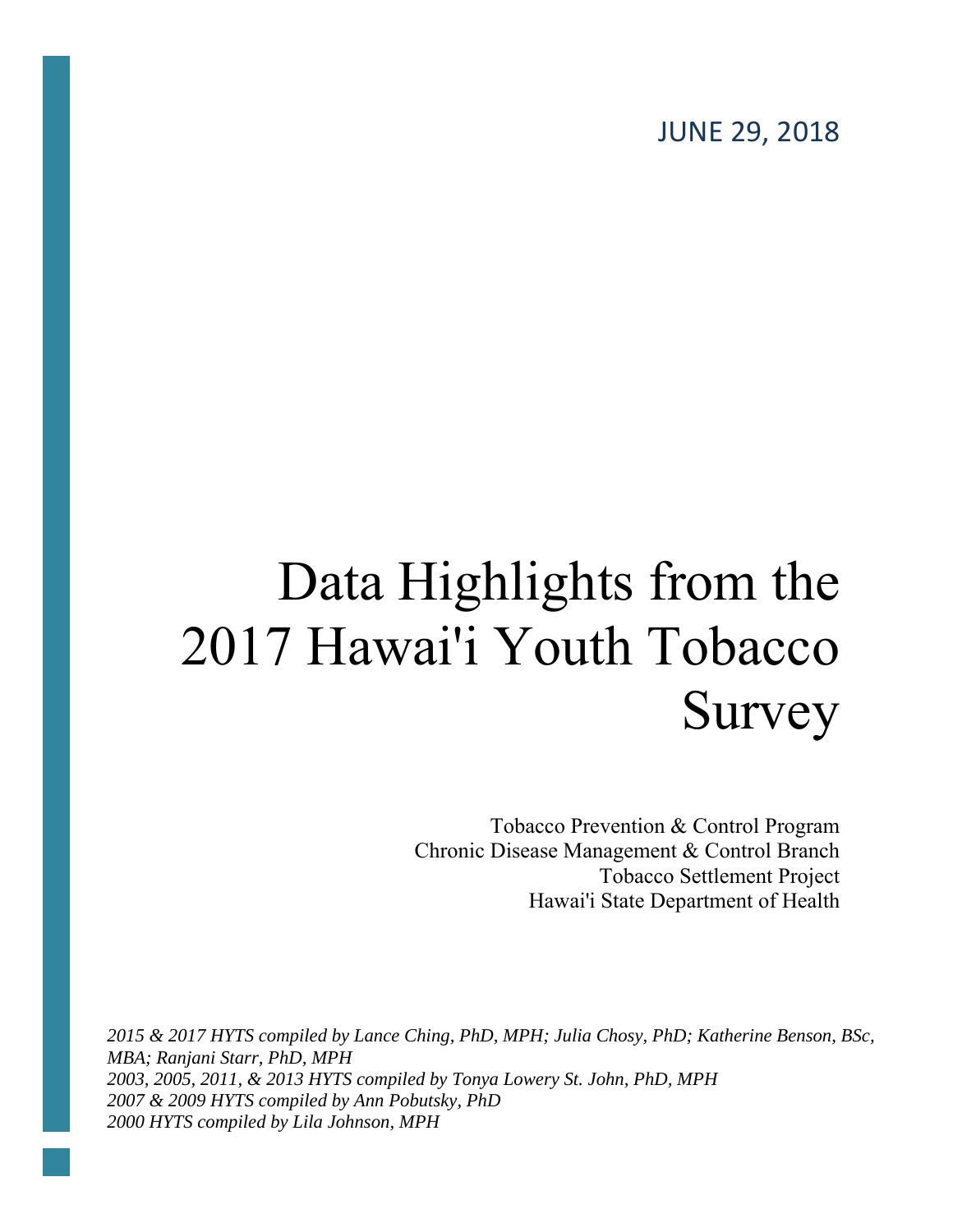JUNE 29, 2018

### Data Highlights from the 2017 Hawai'i Youth Tobacco Survey

Tobacco Prevention & Control Program Chronic Disease Management & Control Branch Tobacco Settlement Project Hawai'i State Department of Health

*2015 & 2017 HYTS compiled by Lance Ching, PhD, MPH; Julia Chosy, PhD; Katherine Benson, BSc, MBA; Ranjani Starr, PhD, MPH 2003, 2005, 2011, & 2013 HYTS compiled by Tonya Lowery St. John, PhD, MPH 2007 & 2009 HYTS compiled by Ann Pobutsky, PhD 2000 HYTS compiled by Lila Johnson, MPH*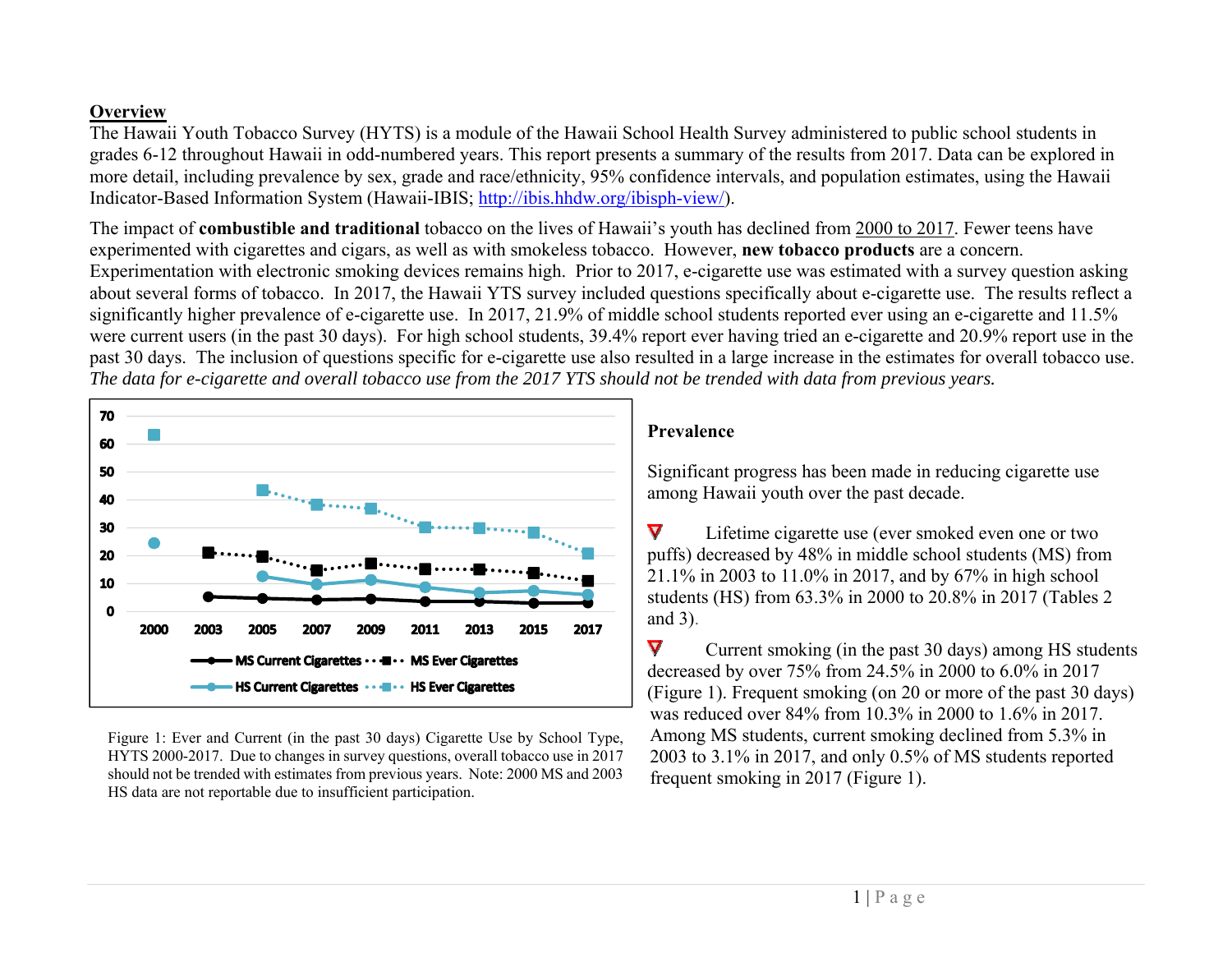#### **Overview**

The Hawaii Youth Tobacco Survey (HYTS) is a module of the Hawaii School Health Survey administered to public school students in grades 6-12 throughout Hawaii in odd-numbered years. This report presents a summary of the results from 2017. Data can be explored in more detail, including prevalence by sex, grade and race/ethnicity, 95% confidence intervals, and population estimates, using the Hawaii Indicator-Based Information System (Hawaii-IBIS; http://ibis.hhdw.org/ibisph-view/).

The impact of **combustible and traditional** tobacco on the lives of Hawaii's youth has declined from 2000 to 2017. Fewer teens have experimented with cigarettes and cigars, as well as with smokeless tobacco. However, **new tobacco products** are a concern. Experimentation with electronic smoking devices remains high. Prior to 2017, e-cigarette use was estimated with a survey question asking about several forms of tobacco. In 2017, the Hawaii YTS survey included questions specifically about e-cigarette use. The results reflect a significantly higher prevalence of e-cigarette use. In 2017, 21.9% of middle school students reported ever using an e-cigarette and 11.5% were current users (in the past 30 days). For high school students, 39.4% report ever having tried an e-cigarette and 20.9% report use in the past 30 days. The inclusion of questions specific for e-cigarette use also resulted in a large increase in the estimates for overall tobacco use. *The data for e-cigarette and overall tobacco use from the 2017 YTS should not be trended with data from previous years.*



Figure 1: Ever and Current (in the past 30 days) Cigarette Use by School Type, HYTS 2000-2017. Due to changes in survey questions, overall tobacco use in 2017 should not be trended with estimates from previous years. Note: 2000 MS and 2003 HS data are not reportable due to insufficient participation.

#### **Prevalence**

Significant progress has been made in reducing cigarette use among Hawaii youth over the past decade.

 $\overline{\mathbf{V}}$ Lifetime cigarette use (ever smoked even one or two puffs) decreased by 48% in middle school students (MS) from 21.1% in 2003 to 11.0% in 2017, and by 67% in high school students (HS) from 63.3% in 2000 to 20.8% in 2017 (Tables 2 and 3).

 $\blacktriangledown$ Current smoking (in the past 30 days) among HS students decreased by over 75% from 24.5% in 2000 to 6.0% in 2017 (Figure 1). Frequent smoking (on 20 or more of the past 30 days) was reduced over 84% from 10.3% in 2000 to 1.6% in 2017. Among MS students, current smoking declined from 5.3% in 2003 to 3.1% in 2017, and only 0.5% of MS students reported frequent smoking in 2017 (Figure 1).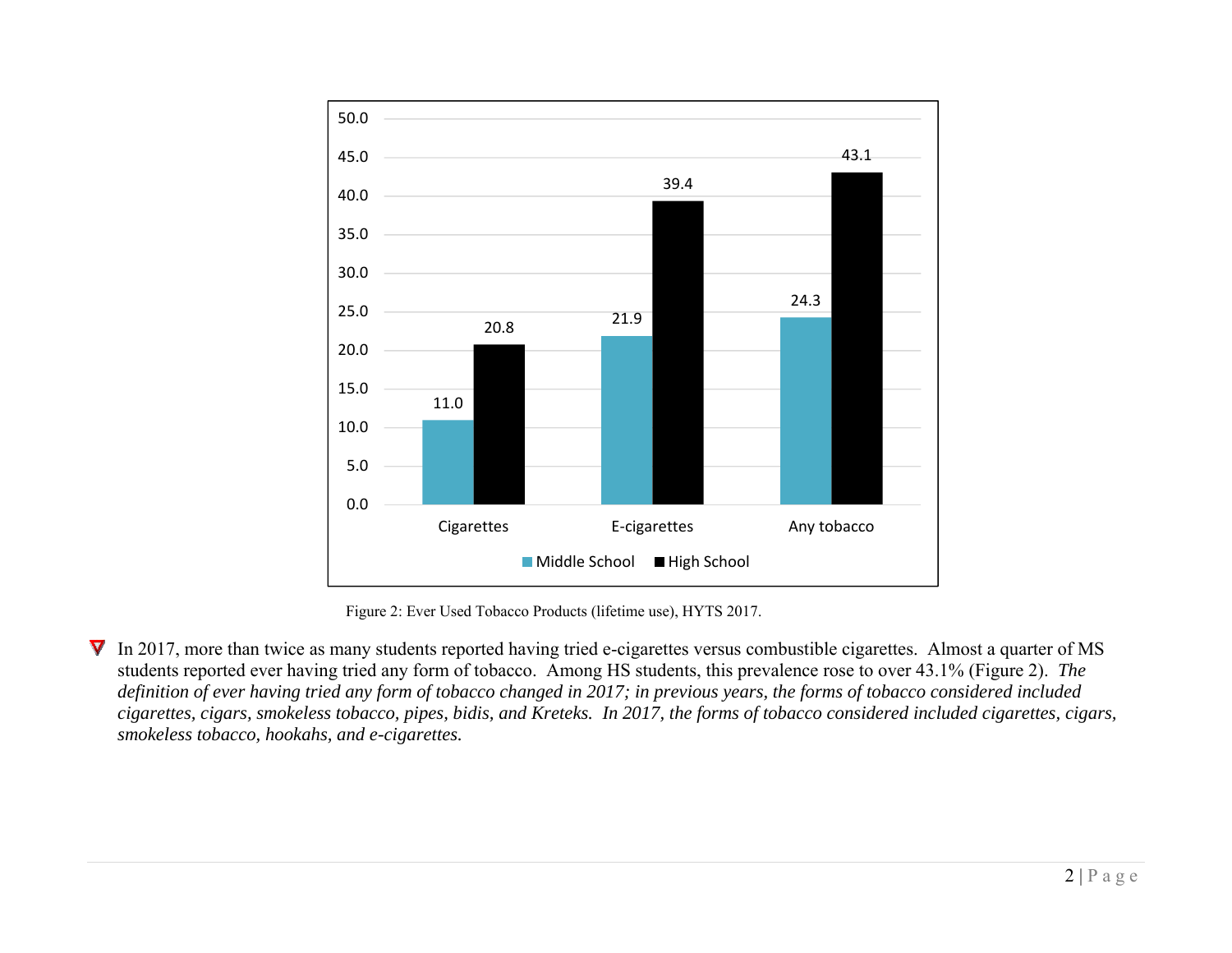

Figure 2: Ever Used Tobacco Products (lifetime use), HYTS 2017.

In 2017, more than twice as many students reported having tried e-cigarettes versus combustible cigarettes. Almost a quarter of MS students reported ever having tried any form of tobacco. Among HS students, this prevalence rose to over 43.1% (Figure 2). *The definition of ever having tried any form of tobacco changed in 2017; in previous years, the forms of tobacco considered included cigarettes, cigars, smokeless tobacco, pipes, bidis, and Kreteks. In 2017, the forms of tobacco considered included cigarettes, cigars, smokeless tobacco, hookahs, and e-cigarettes.*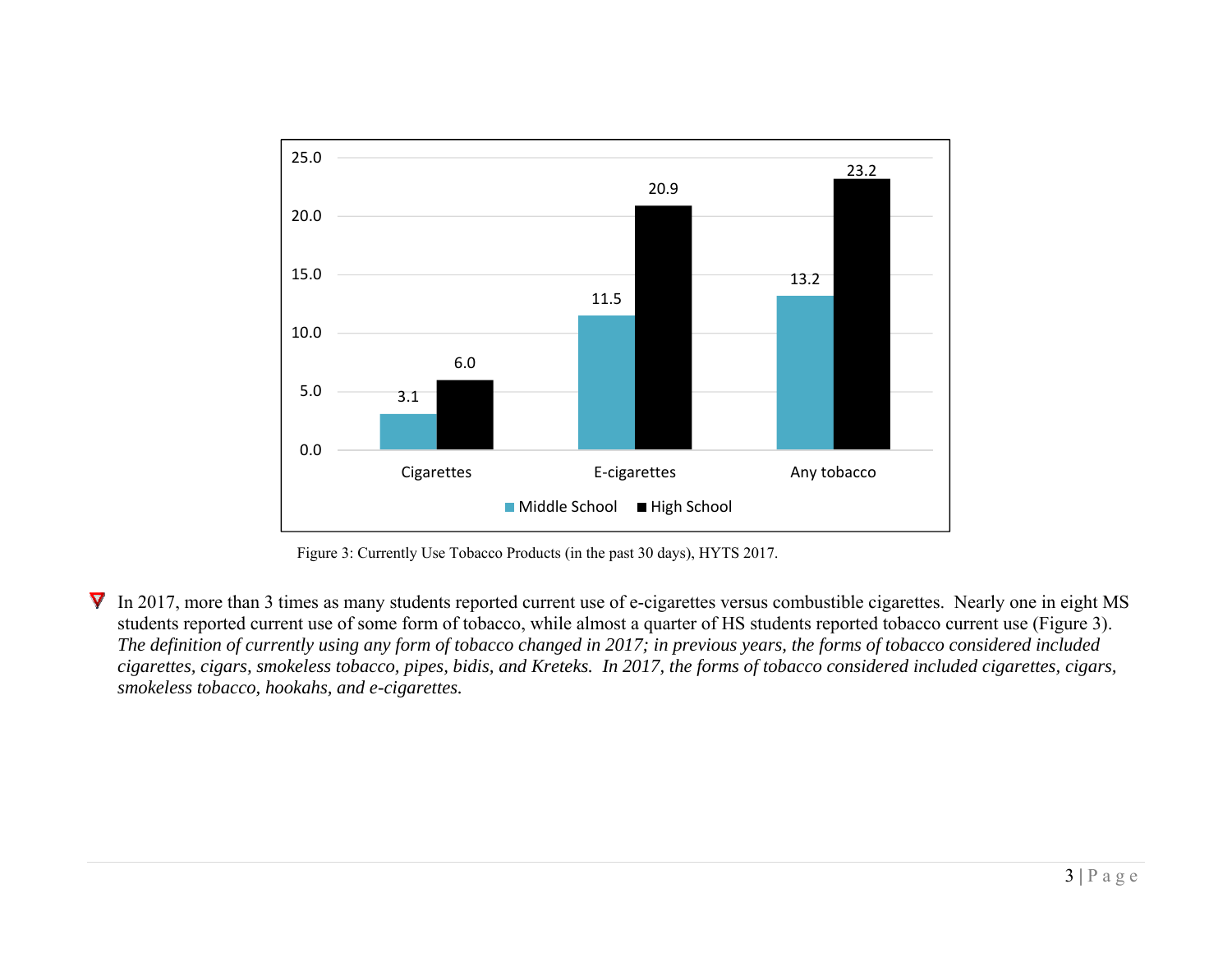

Figure 3: Currently Use Tobacco Products (in the past 30 days), HYTS 2017.

In 2017, more than 3 times as many students reported current use of e-cigarettes versus combustible cigarettes. Nearly one in eight MS students reported current use of some form of tobacco, while almost a quarter of HS students reported tobacco current use (Figure 3). *The definition of currently using any form of tobacco changed in 2017; in previous years, the forms of tobacco considered included cigarettes, cigars, smokeless tobacco, pipes, bidis, and Kreteks. In 2017, the forms of tobacco considered included cigarettes, cigars, smokeless tobacco, hookahs, and e-cigarettes.*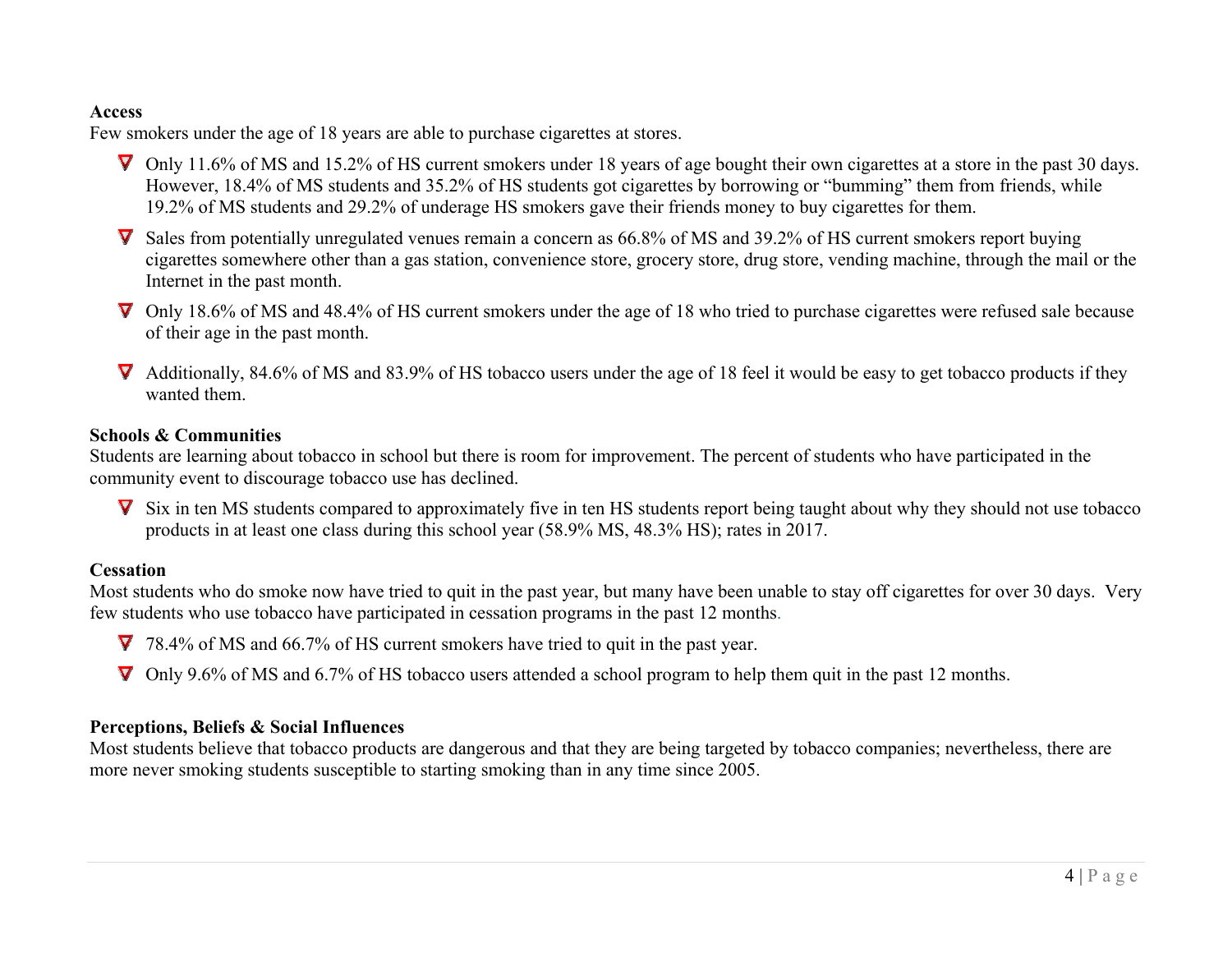#### **Access**

Few smokers under the age of 18 years are able to purchase cigarettes at stores.

- $\nabla$  Only 11.6% of MS and 15.2% of HS current smokers under 18 years of age bought their own cigarettes at a store in the past 30 days. However, 18.4% of MS students and 35.2% of HS students got cigarettes by borrowing or "bumming" them from friends, while 19.2% of MS students and 29.2% of underage HS smokers gave their friends money to buy cigarettes for them.
- **V** Sales from potentially unregulated venues remain a concern as 66.8% of MS and 39.2% of HS current smokers report buying cigarettes somewhere other than a gas station, convenience store, grocery store, drug store, vending machine, through the mail or the Internet in the past month.
- $\nabla$  Only 18.6% of MS and 48.4% of HS current smokers under the age of 18 who tried to purchase cigarettes were refused sale because of their age in the past month.
- $\nabla$  Additionally, 84.6% of MS and 83.9% of HS tobacco users under the age of 18 feel it would be easy to get tobacco products if they wanted them.

#### **Schools & Communities**

Students are learning about tobacco in school but there is room for improvement. The percent of students who have participated in the community event to discourage tobacco use has declined.

 $\nabla$  Six in ten MS students compared to approximately five in ten HS students report being taught about why they should not use tobacco products in at least one class during this school year (58.9% MS, 48.3% HS); rates in 2017.

#### **Cessation**

Most students who do smoke now have tried to quit in the past year, but many have been unable to stay off cigarettes for over 30 days. Very few students who use tobacco have participated in cessation programs in the past 12 months.

78.4% of MS and 66.7% of HS current smokers have tried to quit in the past year.

Only 9.6% of MS and 6.7% of HS tobacco users attended a school program to help them quit in the past 12 months.

#### **Perceptions, Beliefs & Social Influences**

Most students believe that tobacco products are dangerous and that they are being targeted by tobacco companies; nevertheless, there are more never smoking students susceptible to starting smoking than in any time since 2005.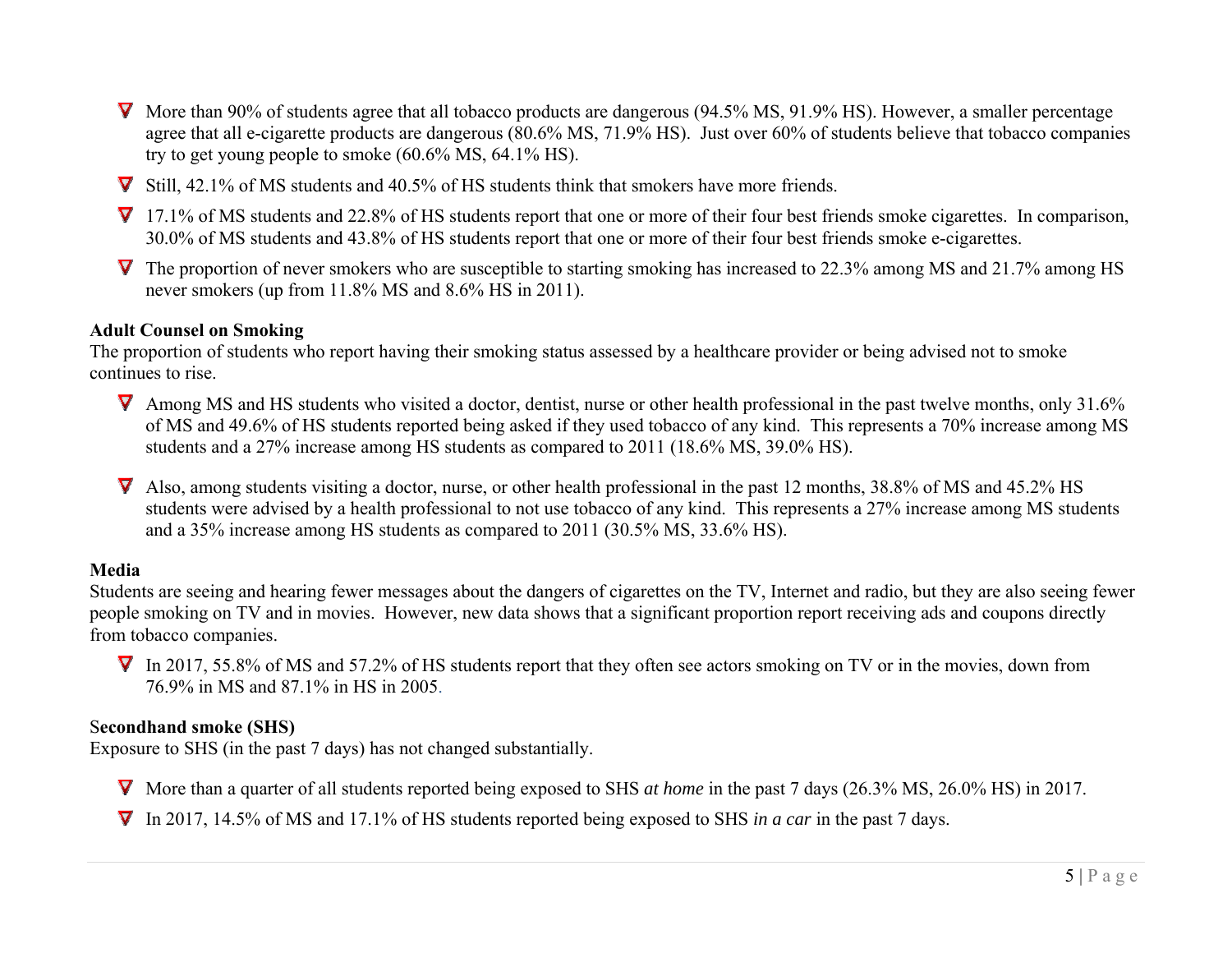- **V** More than 90% of students agree that all tobacco products are dangerous (94.5% MS, 91.9% HS). However, a smaller percentage agree that all e-cigarette products are dangerous (80.6% MS, 71.9% HS). Just over 60% of students believe that tobacco companies try to get young people to smoke (60.6% MS, 64.1% HS).
- Still, 42.1% of MS students and 40.5% of HS students think that smokers have more friends.
- 17.1% of MS students and 22.8% of HS students report that one or more of their four best friends smoke cigarettes. In comparison, 30.0% of MS students and 43.8% of HS students report that one or more of their four best friends smoke e-cigarettes.
- $\nabla$  The proportion of never smokers who are susceptible to starting smoking has increased to 22.3% among MS and 21.7% among HS never smokers (up from 11.8% MS and 8.6% HS in 2011).

#### **Adult Counsel on Smoking**

The proportion of students who report having their smoking status assessed by a healthcare provider or being advised not to smoke continues to rise.

- **V** Among MS and HS students who visited a doctor, dentist, nurse or other health professional in the past twelve months, only 31.6% of MS and 49.6% of HS students reported being asked if they used tobacco of any kind. This represents a 70% increase among MS students and a 27% increase among HS students as compared to 2011 (18.6% MS, 39.0% HS).
- Also, among students visiting a doctor, nurse, or other health professional in the past 12 months, 38.8% of MS and 45.2% HS students were advised by a health professional to not use tobacco of any kind. This represents a 27% increase among MS students and a 35% increase among HS students as compared to 2011 (30.5% MS, 33.6% HS).

#### **Media**

Students are seeing and hearing fewer messages about the dangers of cigarettes on the TV, Internet and radio, but they are also seeing fewer people smoking on TV and in movies. However, new data shows that a significant proportion report receiving ads and coupons directly from tobacco companies.

In 2017, 55.8% of MS and 57.2% of HS students report that they often see actors smoking on TV or in the movies, down from 76.9% in MS and 87.1% in HS in 2005.

#### S**econdhand smoke (SHS)**

Exposure to SHS (in the past 7 days) has not changed substantially.

More than a quarter of all students reported being exposed to SHS *at home* in the past 7 days (26.3% MS, 26.0% HS) in 2017.

In 2017, 14.5% of MS and 17.1% of HS students reported being exposed to SHS *in a car* in the past 7 days.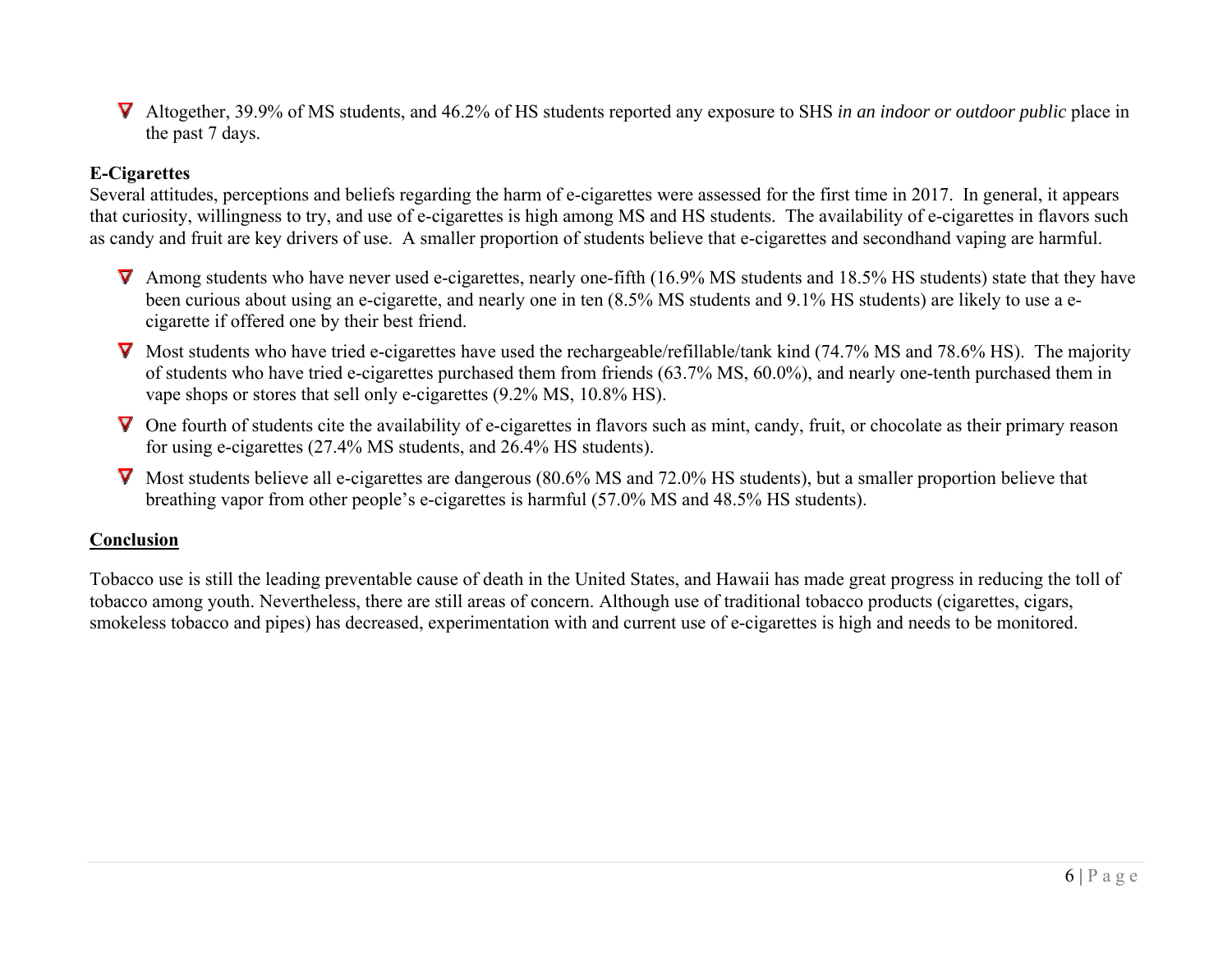Altogether, 39.9% of MS students, and 46.2% of HS students reported any exposure to SHS *in an indoor or outdoor public* place in the past 7 days.

#### **E-Cigarettes**

Several attitudes, perceptions and beliefs regarding the harm of e-cigarettes were assessed for the first time in 2017. In general, it appears that curiosity, willingness to try, and use of e-cigarettes is high among MS and HS students. The availability of e-cigarettes in flavors such as candy and fruit are key drivers of use. A smaller proportion of students believe that e-cigarettes and secondhand vaping are harmful.

- $\nabla$  Among students who have never used e-cigarettes, nearly one-fifth (16.9% MS students and 18.5% HS students) state that they have been curious about using an e-cigarette, and nearly one in ten (8.5% MS students and 9.1% HS students) are likely to use a ecigarette if offered one by their best friend.
- $\nabla$  Most students who have tried e-cigarettes have used the rechargeable/refillable/tank kind (74.7% MS and 78.6% HS). The majority of students who have tried e-cigarettes purchased them from friends (63.7% MS, 60.0%), and nearly one-tenth purchased them in vape shops or stores that sell only e-cigarettes (9.2% MS, 10.8% HS).
- $\nabla$  One fourth of students cite the availability of e-cigarettes in flavors such as mint, candy, fruit, or chocolate as their primary reason for using e-cigarettes (27.4% MS students, and 26.4% HS students).
- **V** Most students believe all e-cigarettes are dangerous (80.6% MS and 72.0% HS students), but a smaller proportion believe that breathing vapor from other people's e-cigarettes is harmful (57.0% MS and 48.5% HS students).

#### **Conclusion**

Tobacco use is still the leading preventable cause of death in the United States, and Hawaii has made great progress in reducing the toll of tobacco among youth. Nevertheless, there are still areas of concern. Although use of traditional tobacco products (cigarettes, cigars, smokeless tobacco and pipes) has decreased, experimentation with and current use of e-cigarettes is high and needs to be monitored.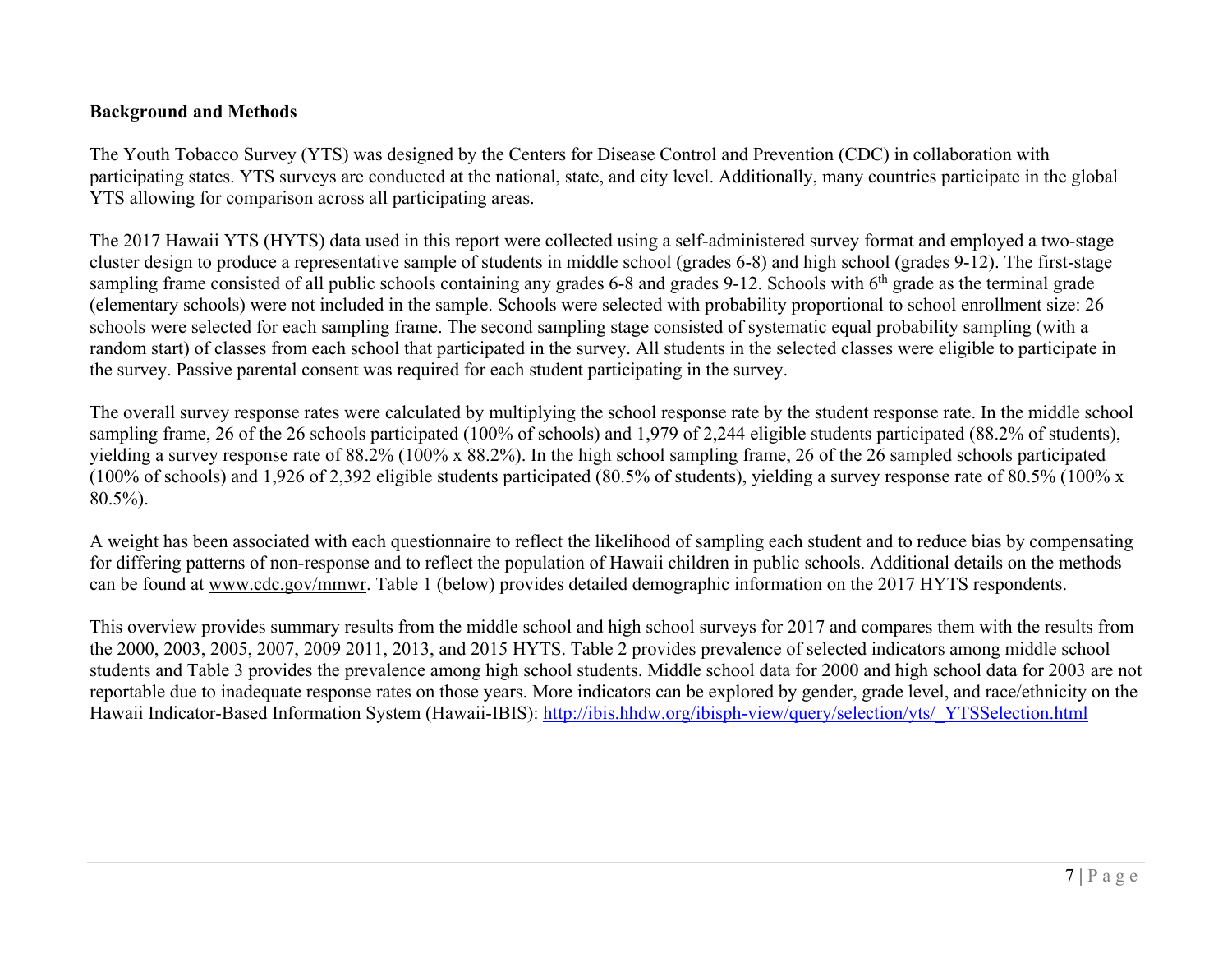#### **Background and Methods**

The Youth Tobacco Survey (YTS) was designed by the Centers for Disease Control and Prevention (CDC) in collaboration with participating states. YTS surveys are conducted at the national, state, and city level. Additionally, many countries participate in the global YTS allowing for comparison across all participating areas.

The 2017 Hawaii YTS (HYTS) data used in this report were collected using a self-administered survey format and employed a two-stage cluster design to produce a representative sample of students in middle school (grades 6-8) and high school (grades 9-12). The first-stage sampling frame consisted of all public schools containing any grades 6-8 and grades 9-12. Schools with 6<sup>th</sup> grade as the terminal grade (elementary schools) were not included in the sample. Schools were selected with probability proportional to school enrollment size: 26 schools were selected for each sampling frame. The second sampling stage consisted of systematic equal probability sampling (with a random start) of classes from each school that participated in the survey. All students in the selected classes were eligible to participate in the survey. Passive parental consent was required for each student participating in the survey.

The overall survey response rates were calculated by multiplying the school response rate by the student response rate. In the middle school sampling frame, 26 of the 26 schools participated (100% of schools) and 1,979 of 2,244 eligible students participated (88.2% of students), yielding a survey response rate of 88.2% (100% x 88.2%). In the high school sampling frame, 26 of the 26 sampled schools participated (100% of schools) and 1,926 of 2,392 eligible students participated (80.5% of students), yielding a survey response rate of 80.5% (100% x 80.5%).

A weight has been associated with each questionnaire to reflect the likelihood of sampling each student and to reduce bias by compensating for differing patterns of non-response and to reflect the population of Hawaii children in public schools. Additional details on the methods can be found at www.cdc.gov/mmwr. Table 1 (below) provides detailed demographic information on the 2017 HYTS respondents.

This overview provides summary results from the middle school and high school surveys for 2017 and compares them with the results from the 2000, 2003, 2005, 2007, 2009 2011, 2013, and 2015 HYTS. Table 2 provides prevalence of selected indicators among middle school students and Table 3 provides the prevalence among high school students. Middle school data for 2000 and high school data for 2003 are not reportable due to inadequate response rates on those years. More indicators can be explored by gender, grade level, and race/ethnicity on the Hawaii Indicator-Based Information System (Hawaii-IBIS): http://ibis.hhdw.org/ibisph-view/query/selection/yts/\_YTSSelection.html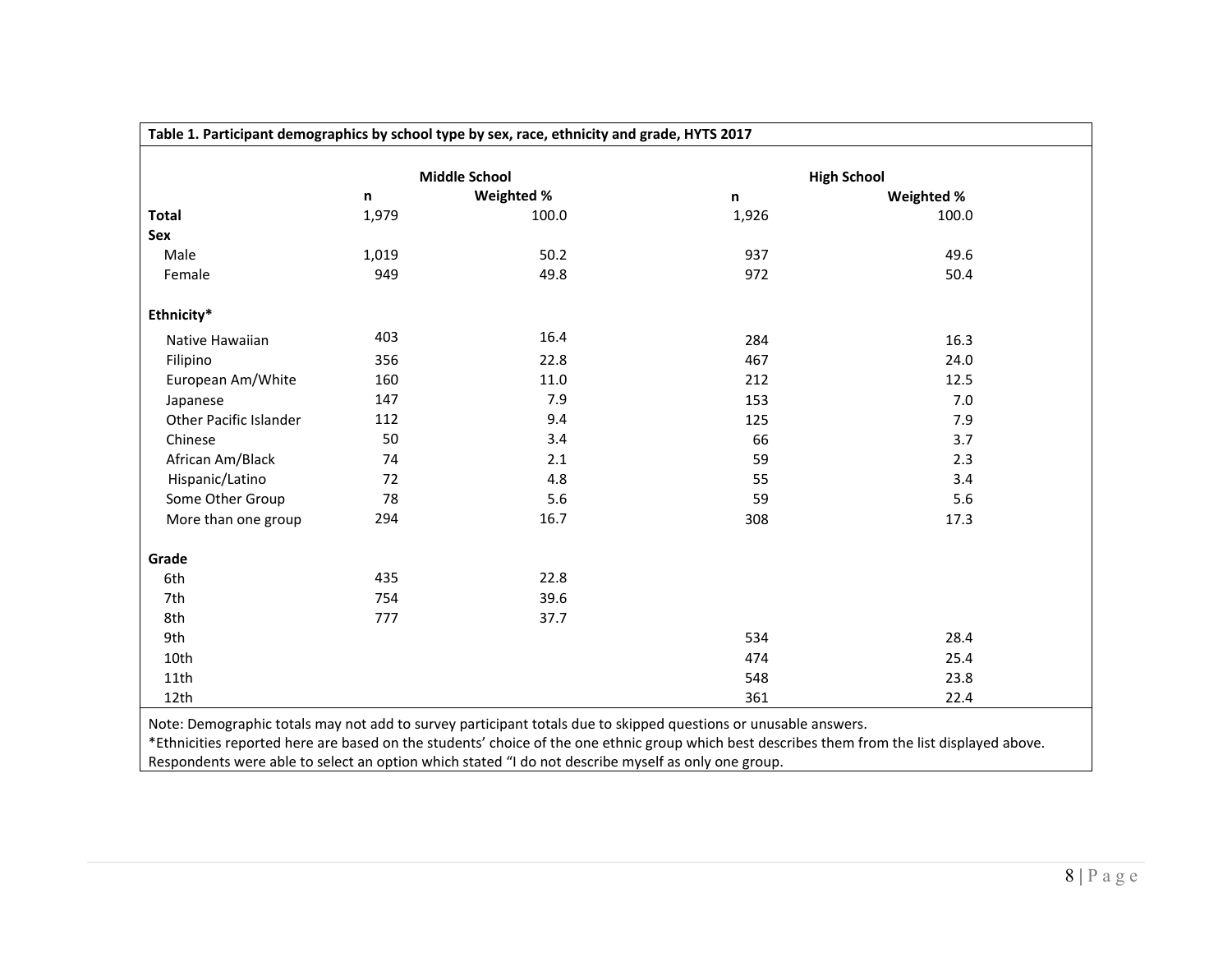|                        |       | <b>Middle School</b> |       | <b>High School</b> |
|------------------------|-------|----------------------|-------|--------------------|
|                        | n     | Weighted %           | n     | Weighted %         |
| Total                  | 1,979 | 100.0                | 1,926 | 100.0              |
| Sex                    |       |                      |       |                    |
| Male                   | 1,019 | 50.2                 | 937   | 49.6               |
| Female                 | 949   | 49.8                 | 972   | 50.4               |
| Ethnicity*             |       |                      |       |                    |
| Native Hawaiian        | 403   | 16.4                 | 284   | 16.3               |
| Filipino               | 356   | 22.8                 | 467   | 24.0               |
| European Am/White      | 160   | 11.0                 | 212   | 12.5               |
| Japanese               | 147   | 7.9                  | 153   | 7.0                |
| Other Pacific Islander | 112   | 9.4                  | 125   | 7.9                |
| Chinese                | 50    | 3.4                  | 66    | 3.7                |
| African Am/Black       | 74    | 2.1                  | 59    | 2.3                |
| Hispanic/Latino        | 72    | 4.8                  | 55    | 3.4                |
| Some Other Group       | 78    | 5.6                  | 59    | 5.6                |
| More than one group    | 294   | 16.7                 | 308   | 17.3               |
| Grade                  |       |                      |       |                    |
| 6th                    | 435   | 22.8                 |       |                    |
| 7th                    | 754   | 39.6                 |       |                    |
| 8th                    | 777   | 37.7                 |       |                    |
| 9th                    |       |                      | 534   | 28.4               |
| 10th                   |       |                      | 474   | 25.4               |
| 11th                   |       |                      | 548   | 23.8               |
| 12th                   |       |                      | 361   | 22.4               |

Respondents were able to select an option which stated "I do not describe myself as only one group.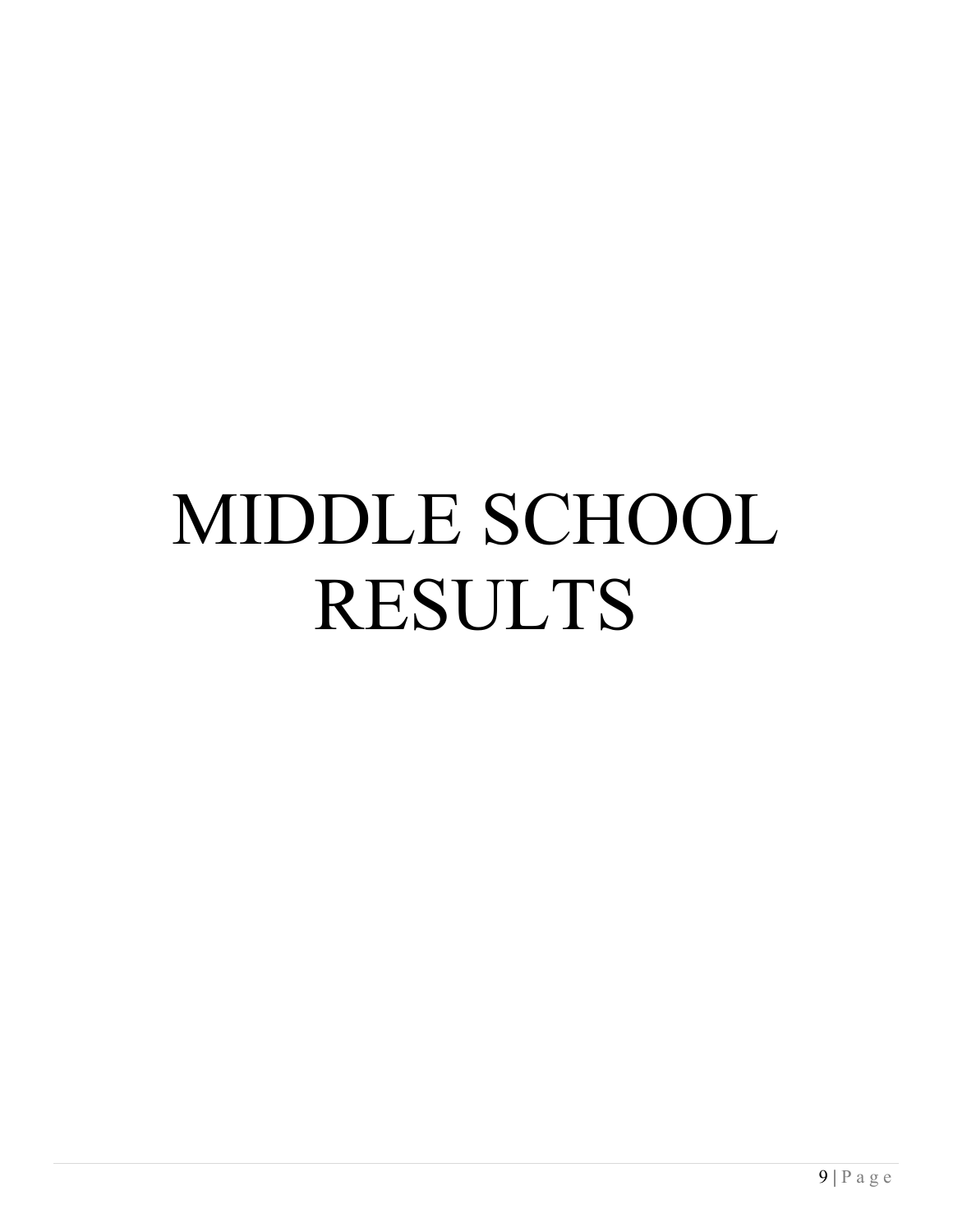# MIDDLE SCHOOL RESULTS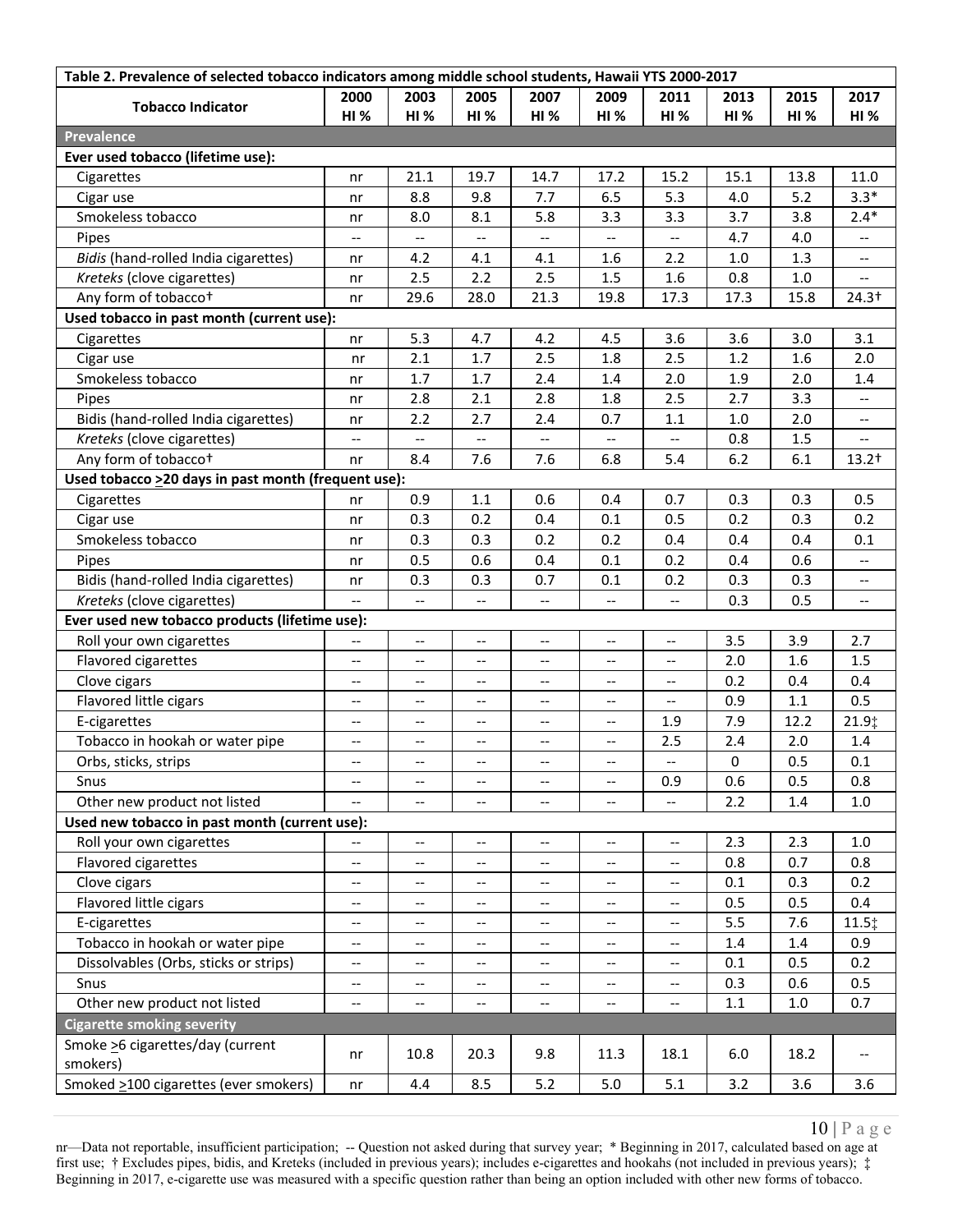|                                                      | Table 2. Prevalence of selected tobacco indicators among middle school students, Hawaii YTS 2000-2017 |                                       |                          |                                                     |                                                     |                                                     |      |             |                          |
|------------------------------------------------------|-------------------------------------------------------------------------------------------------------|---------------------------------------|--------------------------|-----------------------------------------------------|-----------------------------------------------------|-----------------------------------------------------|------|-------------|--------------------------|
| <b>Tobacco Indicator</b>                             | 2000                                                                                                  | 2003                                  | 2005                     | 2007                                                | 2009                                                | 2011                                                | 2013 | 2015        | 2017                     |
|                                                      | <b>HI %</b>                                                                                           | HI%                                   | <b>HI%</b>               | HI%                                                 | <b>HI%</b>                                          | <b>HI %</b>                                         | HI%  | <b>HI %</b> | <b>HI %</b>              |
| <b>Prevalence</b>                                    |                                                                                                       |                                       |                          |                                                     |                                                     |                                                     |      |             |                          |
| Ever used tobacco (lifetime use):                    |                                                                                                       |                                       |                          |                                                     |                                                     |                                                     |      |             |                          |
| Cigarettes                                           | nr                                                                                                    | 21.1                                  | 19.7                     | 14.7                                                | 17.2                                                | 15.2                                                | 15.1 | 13.8        | 11.0                     |
| Cigar use                                            | nr                                                                                                    | 8.8                                   | 9.8                      | 7.7                                                 | 6.5                                                 | 5.3                                                 | 4.0  | 5.2         | $3.3*$                   |
| Smokeless tobacco                                    | nr                                                                                                    | 8.0                                   | 8.1                      | 5.8                                                 | 3.3                                                 | 3.3                                                 | 3.7  | 3.8         | $2.4*$                   |
| Pipes                                                | $\overline{\phantom{m}}$                                                                              | $\overline{\phantom{a}}$              | $\overline{\phantom{m}}$ | $\overline{\phantom{a}}$                            | $\overline{\phantom{a}}$                            | $\overline{\phantom{a}}$                            | 4.7  | 4.0         | $\overline{\phantom{m}}$ |
| Bidis (hand-rolled India cigarettes)                 | nr                                                                                                    | 4.2                                   | 4.1                      | 4.1                                                 | 1.6                                                 | 2.2                                                 | 1.0  | 1.3         |                          |
| Kreteks (clove cigarettes)                           | nr                                                                                                    | 2.5                                   | 2.2                      | 2.5                                                 | 1.5                                                 | 1.6                                                 | 0.8  | 1.0         |                          |
| Any form of tobacco <sup>+</sup>                     | nr                                                                                                    | 29.6                                  | 28.0                     | 21.3                                                | 19.8                                                | 17.3                                                | 17.3 | 15.8        | $24.3+$                  |
| Used tobacco in past month (current use):            |                                                                                                       |                                       |                          |                                                     |                                                     |                                                     |      |             |                          |
| Cigarettes                                           | nr                                                                                                    | 5.3                                   | 4.7                      | 4.2                                                 | 4.5                                                 | 3.6                                                 | 3.6  | 3.0         | 3.1                      |
| Cigar use                                            | nr                                                                                                    | 2.1                                   | 1.7                      | 2.5                                                 | 1.8                                                 | 2.5                                                 | 1.2  | 1.6         | 2.0                      |
| Smokeless tobacco                                    | nr                                                                                                    | 1.7                                   | $1.7$                    | 2.4                                                 | 1.4                                                 | 2.0                                                 | 1.9  | 2.0         | 1.4                      |
| Pipes                                                | nr                                                                                                    | 2.8                                   | 2.1                      | 2.8                                                 | 1.8                                                 | 2.5                                                 | 2.7  | 3.3         | $\overline{\phantom{a}}$ |
| Bidis (hand-rolled India cigarettes)                 | nr                                                                                                    | 2.2                                   | 2.7                      | 2.4                                                 | 0.7                                                 | 1.1                                                 | 1.0  | 2.0         |                          |
| Kreteks (clove cigarettes)                           | $-$                                                                                                   | --                                    | $-$                      | $-$                                                 | $\overline{\phantom{a}}$                            | $\overline{\phantom{a}}$                            | 0.8  | 1.5         | $-$                      |
| Any form of tobaccot                                 | nr                                                                                                    | 8.4                                   | 7.6                      | 7.6                                                 | 6.8                                                 | 5.4                                                 | 6.2  | 6.1         | $13.2^{+}$               |
| Used tobacco > 20 days in past month (frequent use): |                                                                                                       |                                       |                          |                                                     |                                                     |                                                     |      |             |                          |
| Cigarettes                                           | nr                                                                                                    | 0.9                                   | $1.1\,$                  | 0.6                                                 | 0.4                                                 | 0.7                                                 | 0.3  | 0.3         | 0.5                      |
| Cigar use                                            | nr                                                                                                    | 0.3                                   | 0.2                      | 0.4                                                 | 0.1                                                 | 0.5                                                 | 0.2  | 0.3         | 0.2                      |
| Smokeless tobacco                                    | nr                                                                                                    | 0.3                                   | 0.3                      | 0.2                                                 | 0.2                                                 | 0.4                                                 | 0.4  | 0.4         | 0.1                      |
| Pipes                                                | nr                                                                                                    | 0.5                                   | 0.6                      | 0.4                                                 | 0.1                                                 | 0.2                                                 | 0.4  | 0.6         | $-$                      |
| Bidis (hand-rolled India cigarettes)                 | nr                                                                                                    | 0.3                                   | 0.3                      | 0.7                                                 | 0.1                                                 | 0.2                                                 | 0.3  | 0.3         | $\qquad \qquad -$        |
| Kreteks (clove cigarettes)                           | ш.,                                                                                                   | $\overline{\phantom{m}}$              | $-$                      | $\overline{\phantom{a}}$                            | $\overline{\phantom{a}}$                            | $\overline{\phantom{m}}$                            | 0.3  | 0.5         | $\overline{\phantom{a}}$ |
| Ever used new tobacco products (lifetime use):       |                                                                                                       |                                       |                          |                                                     |                                                     |                                                     |      |             |                          |
| Roll your own cigarettes                             | $\overline{\phantom{a}}$                                                                              | $-\, -$                               | $-$                      | --                                                  | $\overline{\phantom{m}}$                            | $-\!$ –                                             | 3.5  | 3.9         | 2.7                      |
| Flavored cigarettes                                  | $\overline{\phantom{a}}$                                                                              | $\overline{\phantom{m}}$              | $\overline{\phantom{a}}$ | $\overline{\phantom{a}}$                            | $\overline{\phantom{a}}$                            | $\overline{\phantom{a}}$                            | 2.0  | 1.6         | 1.5                      |
| Clove cigars                                         | $-$                                                                                                   | --                                    | $-$                      | $\overline{\phantom{a}}$                            | --                                                  | $\overline{\phantom{a}}$                            | 0.2  | 0.4         | 0.4                      |
| Flavored little cigars                               | $\overline{\phantom{m}}$                                                                              | --                                    | $-$                      | $\qquad \qquad -$                                   | $\overline{\phantom{a}}$                            | $\overline{\phantom{a}}$                            | 0.9  | 1.1         | 0.5                      |
| E-cigarettes                                         | $-\, -$                                                                                               | $-\,-$                                | $-\,-$                   | --                                                  | $\overline{\phantom{a}}$                            | 1.9                                                 | 7.9  | 12.2        | 21.9‡                    |
| Tobacco in hookah or water pipe                      | $\overline{\phantom{m}}$                                                                              | --                                    | --                       | $\overline{\phantom{a}}$                            | $\overline{\phantom{a}}$                            | 2.5                                                 | 2.4  | 2.0         | 1.4                      |
| Orbs, sticks, strips                                 |                                                                                                       |                                       |                          |                                                     |                                                     |                                                     | 0    | 0.5         | 0.1                      |
| Snus                                                 | $\overline{\phantom{a}}$                                                                              | --                                    | $-$                      | --                                                  | $\overline{\phantom{a}}$                            | 0.9                                                 | 0.6  | 0.5         | 0.8                      |
| Other new product not listed                         |                                                                                                       | --                                    | --                       | --                                                  | --                                                  |                                                     | 2.2  | 1.4         | 1.0                      |
| Used new tobacco in past month (current use):        |                                                                                                       |                                       |                          |                                                     |                                                     |                                                     |      |             |                          |
| Roll your own cigarettes                             | $\overline{\phantom{a}}$                                                                              | $\overline{\phantom{a}}$              | --                       | $\overline{\phantom{a}}$                            | $\overline{\phantom{a}}$                            | $\overline{\phantom{a}}$                            | 2.3  | 2.3         | 1.0                      |
| Flavored cigarettes                                  | $-\hbox{--}$                                                                                          | $\hspace{0.05cm}$ – $\hspace{0.05cm}$ | $\overline{\phantom{a}}$ | $\overline{\phantom{a}}$                            | $-\!$                                               | $\overline{\phantom{a}}$                            | 0.8  | 0.7         | 0.8                      |
| Clove cigars                                         | $-$                                                                                                   | --                                    | $-$                      | $\overline{\phantom{a}}$                            | $\overline{\phantom{m}}$                            | $\hspace{0.05cm} -\hspace{0.05cm} -\hspace{0.05cm}$ | 0.1  | 0.3         | 0.2                      |
| Flavored little cigars                               | --                                                                                                    | --                                    | --                       | --                                                  | $\overline{\phantom{a}}$                            | --                                                  | 0.5  | 0.5         | 0.4                      |
| E-cigarettes                                         | $\overline{\phantom{m}}$                                                                              |                                       | --                       | $\qquad \qquad -$                                   | $-\!$ –                                             | $\hspace{0.05cm} -\hspace{0.05cm} -\hspace{0.05cm}$ | 5.5  | 7.6         | 11.5‡                    |
| Tobacco in hookah or water pipe                      |                                                                                                       | --                                    |                          | $\hspace{0.05cm} -\hspace{0.05cm} -\hspace{0.05cm}$ | $\hspace{0.05cm} -\hspace{0.05cm} -\hspace{0.05cm}$ | $\overline{\phantom{a}}$                            | 1.4  | 1.4         | 0.9                      |
| Dissolvables (Orbs, sticks or strips)                | $-\,-$                                                                                                | --                                    |                          |                                                     |                                                     |                                                     | 0.1  | 0.5         | 0.2                      |
|                                                      | $\overline{\phantom{a}}$                                                                              | $\overline{\phantom{a}}$              | --                       | $\overline{\phantom{a}}$                            | $\qquad \qquad -$                                   | $\overline{\phantom{a}}$                            |      |             |                          |
| Snus                                                 | $-\hbox{--}$                                                                                          | $-\,-$                                | $- -$                    | $\overline{\phantom{a}}$                            | $-\hbox{--}$                                        | $\hspace{0.05cm} \dashv$                            | 0.3  | 0.6         | 0.5<br>0.7               |
| Other new product not listed                         | $\overline{\phantom{a}}$                                                                              | --                                    | $-$                      | $-$                                                 | --                                                  | $\overline{\phantom{a}}$                            | 1.1  | $1.0\,$     |                          |
| <b>Cigarette smoking severity</b>                    |                                                                                                       |                                       |                          |                                                     |                                                     |                                                     |      |             |                          |
| Smoke > 6 cigarettes/day (current<br>smokers)        | nr                                                                                                    | 10.8                                  | 20.3                     | 9.8                                                 | 11.3                                                | 18.1                                                | 6.0  | 18.2        | $\overline{\phantom{a}}$ |
| Smoked >100 cigarettes (ever smokers)                | nr                                                                                                    | 4.4                                   | 8.5                      | 5.2                                                 | 5.0                                                 | 5.1                                                 | 3.2  | 3.6         | 3.6                      |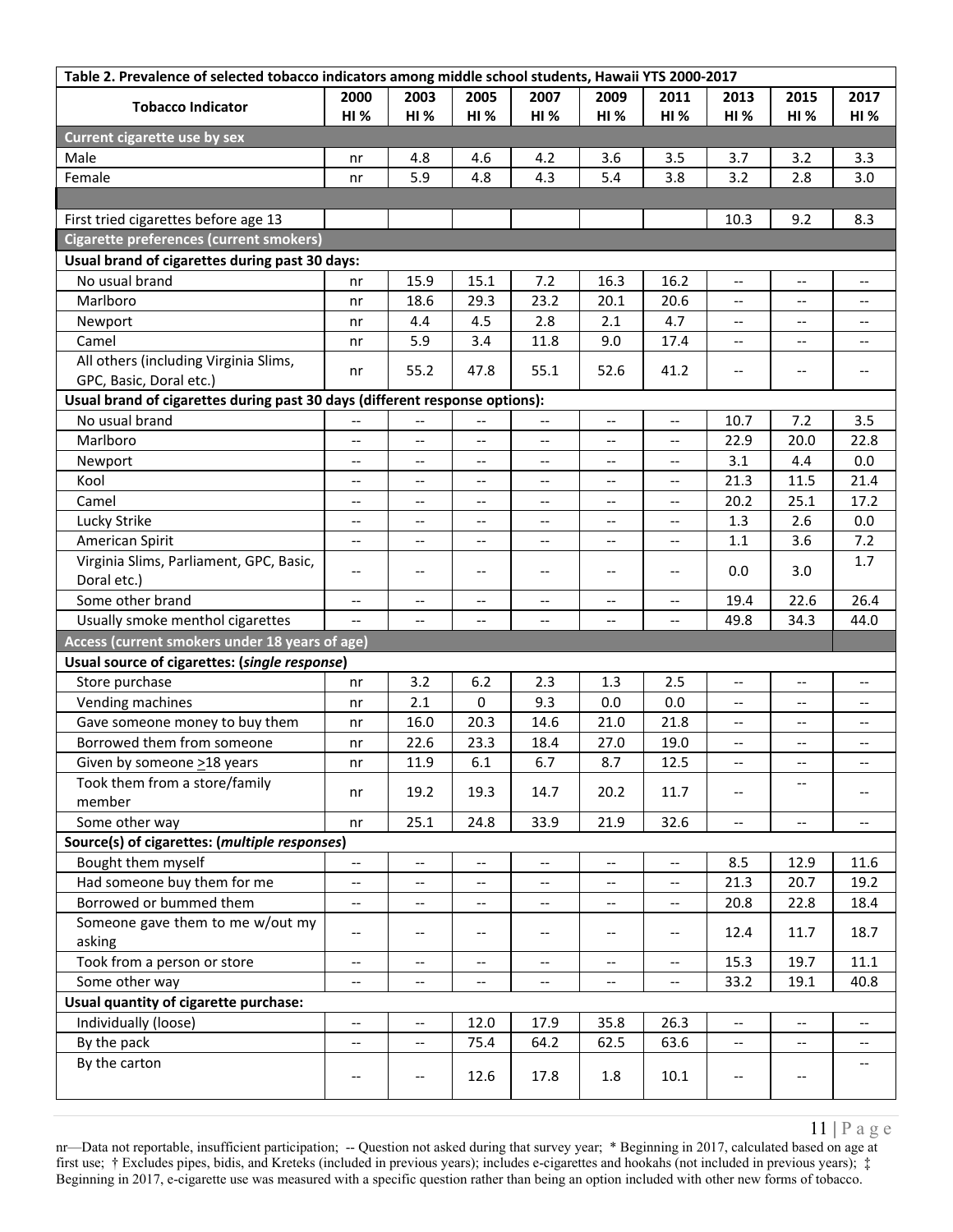| Table 2. Prevalence of selected tobacco indicators among middle school students, Hawaii YTS 2000-2017 |                                                     |                          |                                       |                                                     |                                                     |                                                     |                          |                                                     |                          |  |
|-------------------------------------------------------------------------------------------------------|-----------------------------------------------------|--------------------------|---------------------------------------|-----------------------------------------------------|-----------------------------------------------------|-----------------------------------------------------|--------------------------|-----------------------------------------------------|--------------------------|--|
| <b>Tobacco Indicator</b>                                                                              | 2000                                                | 2003                     | 2005                                  | 2007                                                | 2009                                                | 2011                                                | 2013                     | 2015                                                | 2017                     |  |
|                                                                                                       | HI%                                                 | HI%                      | HI%                                   | <b>HI%</b>                                          | HI%                                                 | <b>HI %</b>                                         | <b>HI%</b>               | <b>HI %</b>                                         | <b>HI %</b>              |  |
| Current cigarette use by sex                                                                          |                                                     |                          |                                       |                                                     |                                                     |                                                     |                          |                                                     |                          |  |
| Male                                                                                                  | nr                                                  | 4.8                      | 4.6                                   | 4.2                                                 | 3.6                                                 | 3.5                                                 | 3.7                      | 3.2                                                 | 3.3                      |  |
| Female                                                                                                | nr                                                  | 5.9                      | 4.8                                   | 4.3                                                 | 5.4                                                 | 3.8                                                 | 3.2                      | 2.8                                                 | 3.0                      |  |
|                                                                                                       |                                                     |                          |                                       |                                                     |                                                     |                                                     |                          |                                                     |                          |  |
| First tried cigarettes before age 13                                                                  |                                                     |                          |                                       |                                                     |                                                     |                                                     | 10.3                     | 9.2                                                 | 8.3                      |  |
| <b>Cigarette preferences (current smokers)</b>                                                        |                                                     |                          |                                       |                                                     |                                                     |                                                     |                          |                                                     |                          |  |
| Usual brand of cigarettes during past 30 days:                                                        |                                                     |                          |                                       |                                                     |                                                     |                                                     |                          |                                                     |                          |  |
| No usual brand                                                                                        | nr                                                  | 15.9                     | 15.1                                  | 7.2                                                 | 16.3                                                | 16.2                                                | $\overline{\phantom{a}}$ | $\overline{\phantom{a}}$                            | $-$                      |  |
| Marlboro                                                                                              | nr                                                  | 18.6                     | 29.3                                  | 23.2                                                | 20.1                                                | 20.6                                                | $\overline{\phantom{a}}$ | $\hspace{0.05cm} -\hspace{0.05cm} -\hspace{0.05cm}$ | $- -$                    |  |
| Newport                                                                                               | nr                                                  | 4.4                      | 4.5                                   | 2.8                                                 | 2.1                                                 | 4.7                                                 | $\overline{\phantom{a}}$ | $\overline{\phantom{a}}$                            | --                       |  |
| Camel                                                                                                 | nr                                                  | 5.9                      | 3.4                                   | 11.8                                                | 9.0                                                 | 17.4                                                | --                       | --                                                  | $\qquad \qquad -$        |  |
| All others (including Virginia Slims,                                                                 |                                                     |                          |                                       |                                                     |                                                     |                                                     |                          |                                                     |                          |  |
| GPC, Basic, Doral etc.)                                                                               | nr                                                  | 55.2                     | 47.8                                  | 55.1                                                | 52.6                                                | 41.2                                                | $- -$                    | $\hspace{0.05cm}$ $\hspace{0.05cm}$                 | $-$                      |  |
| Usual brand of cigarettes during past 30 days (different response options):                           |                                                     |                          |                                       |                                                     |                                                     |                                                     |                          |                                                     |                          |  |
| No usual brand                                                                                        | $-\, -$                                             | --                       | --                                    | $\overline{\phantom{a}}$                            | $\overline{\phantom{a}}$                            | $\overline{\phantom{a}}$                            | 10.7                     | 7.2                                                 | 3.5                      |  |
| Marlboro                                                                                              | $-\, -$                                             | $-\,-$                   | $\overline{\phantom{a}}$              | $\overline{\phantom{a}}$                            | $\overline{\phantom{a}}$                            | $\overline{\phantom{a}}$                            | 22.9                     | 20.0                                                | 22.8                     |  |
| Newport                                                                                               | $-\, -$                                             | --                       | --                                    | $\hspace{0.05cm} \ldots$                            | --                                                  | $-\!$                                               | 3.1                      | 4.4                                                 | 0.0                      |  |
| Kool                                                                                                  | $\overline{\phantom{a}}$                            | $-$                      | --                                    | $-$                                                 | $-$                                                 | $\hspace{0.05cm} -\hspace{0.05cm} -\hspace{0.05cm}$ | 21.3                     | 11.5                                                | 21.4                     |  |
| Camel                                                                                                 | $\overline{\phantom{m}}$                            | $\overline{\phantom{a}}$ | $-$                                   | $\overline{\phantom{a}}$                            | $\overline{\phantom{a}}$                            | $\hspace{0.05cm} -\hspace{0.05cm} -\hspace{0.05cm}$ | 20.2                     | 25.1                                                | 17.2                     |  |
| Lucky Strike                                                                                          | $\overline{\phantom{m}}$                            | $\overline{\phantom{a}}$ | $-$                                   | $\hspace{0.05cm} \ldots$                            | $\hspace{0.05cm} -\hspace{0.05cm} -\hspace{0.05cm}$ | $\hspace{0.05cm} \ldots$                            | 1.3                      | 2.6                                                 | 0.0                      |  |
| American Spirit                                                                                       | $\qquad \qquad -$                                   | $-$                      | --                                    | $\overline{\phantom{a}}$                            | $\overline{\phantom{a}}$                            | $-$                                                 | $1.1\,$                  | 3.6                                                 | 7.2                      |  |
| Virginia Slims, Parliament, GPC, Basic,                                                               |                                                     |                          |                                       |                                                     |                                                     |                                                     |                          |                                                     | 1.7                      |  |
| Doral etc.)                                                                                           | $-\,-$                                              | --                       | $\overline{\phantom{a}}$              | $\hspace{0.05cm} \ldots$                            | --                                                  | $\overline{\phantom{a}}$                            | 0.0                      | 3.0                                                 |                          |  |
| Some other brand                                                                                      | $\hspace{0.05cm} -\hspace{0.05cm} -\hspace{0.05cm}$ | $\overline{\phantom{m}}$ | $\hspace{0.05cm}$ – $\hspace{0.05cm}$ | $\hspace{0.05cm} -\hspace{0.05cm} -\hspace{0.05cm}$ | $\overline{\phantom{a}}$                            | $-\hbox{--}$                                        | 19.4                     | 22.6                                                | 26.4                     |  |
| Usually smoke menthol cigarettes                                                                      | $\overline{\phantom{a}}$                            | $\overline{\phantom{m}}$ | $-$                                   | $\overline{\phantom{a}}$                            | $\overline{\phantom{a}}$                            | $\overline{\phantom{a}}$                            | 49.8                     | 34.3                                                | 44.0                     |  |
| Access (current smokers under 18 years of age)                                                        |                                                     |                          |                                       |                                                     |                                                     |                                                     |                          |                                                     |                          |  |
| Usual source of cigarettes: (single response)                                                         |                                                     |                          |                                       |                                                     |                                                     |                                                     |                          |                                                     |                          |  |
| Store purchase                                                                                        | nr                                                  | 3.2                      | 6.2                                   | 2.3                                                 | 1.3                                                 | 2.5                                                 | --                       | --                                                  | $\overline{\phantom{m}}$ |  |
| Vending machines                                                                                      | nr                                                  | 2.1                      | 0                                     | 9.3                                                 | 0.0                                                 | 0.0                                                 | $\overline{\phantom{a}}$ | $\qquad \qquad -$                                   | $\overline{\phantom{a}}$ |  |
| Gave someone money to buy them                                                                        | nr                                                  | 16.0                     | 20.3                                  | 14.6                                                | 21.0                                                | 21.8                                                | $- -$                    | --                                                  | --                       |  |
| Borrowed them from someone                                                                            | nr                                                  | 22.6                     | 23.3                                  | 18.4                                                | 27.0                                                | 19.0                                                | $- -$                    | $\qquad \qquad -$                                   | $\overline{\phantom{m}}$ |  |
| Given by someone >18 years                                                                            | nr                                                  | 11.9                     | 6.1                                   | 6.7                                                 | 8.7                                                 | 12.5                                                |                          |                                                     |                          |  |
| Took them from a store/family                                                                         |                                                     |                          |                                       |                                                     |                                                     |                                                     |                          |                                                     |                          |  |
| member                                                                                                | nr                                                  | 19.2                     | 19.3                                  | 14.7                                                | 20.2                                                | 11.7                                                | $\overline{\phantom{a}}$ |                                                     | $-$                      |  |
| Some other way                                                                                        | nr                                                  | 25.1                     | 24.8                                  | 33.9                                                | 21.9                                                | 32.6                                                | $\overline{\phantom{a}}$ | $-\!$                                               | $\overline{\phantom{a}}$ |  |
| Source(s) of cigarettes: (multiple responses)                                                         |                                                     |                          |                                       |                                                     |                                                     |                                                     |                          |                                                     |                          |  |
| Bought them myself                                                                                    | $\overline{\phantom{a}}$                            | $\overline{\phantom{a}}$ | $-$                                   | $\overline{\phantom{a}}$                            | $\overline{\phantom{a}}$                            | $\overline{\phantom{a}}$                            | 8.5                      | 12.9                                                | 11.6                     |  |
| Had someone buy them for me                                                                           | $-\, -$                                             | $\overline{\phantom{a}}$ | --                                    | $\hspace{0.05cm}$ – $\hspace{0.05cm}$               | --                                                  | $\hspace{0.05cm} -\hspace{0.05cm} -\hspace{0.05cm}$ | 21.3                     | 20.7                                                | 19.2                     |  |
| Borrowed or bummed them                                                                               | $-\, -$                                             | $- -$                    | $\overline{\phantom{a}}$              | $\overline{\phantom{a}}$                            | --                                                  | $\hspace{0.05cm} -\hspace{0.05cm} -\hspace{0.05cm}$ | 20.8                     | 22.8                                                | 18.4                     |  |
| Someone gave them to me w/out my                                                                      |                                                     |                          |                                       |                                                     |                                                     |                                                     |                          |                                                     |                          |  |
| asking                                                                                                | $-\,-$                                              | --                       | --                                    | --                                                  | $-\!$ –                                             | $\hspace{0.05cm} \textbf{--}$                       | 12.4                     | 11.7                                                | 18.7                     |  |
| Took from a person or store                                                                           | $-\hbox{--}$                                        | $- -$                    | $-$                                   | $\overline{\phantom{a}}$                            | $-$                                                 | $\overline{\phantom{a}}$                            | 15.3                     | 19.7                                                | 11.1                     |  |
| Some other way                                                                                        | $-\, -$                                             | $- -$                    | $- -$                                 | $\overline{\phantom{a}}$                            | --                                                  | $\overline{\phantom{a}}$                            | 33.2                     | 19.1                                                | 40.8                     |  |
| Usual quantity of cigarette purchase:                                                                 |                                                     |                          |                                       |                                                     |                                                     |                                                     |                          |                                                     |                          |  |
| Individually (loose)                                                                                  | $\overline{\phantom{m}}$                            | $\overline{\phantom{a}}$ | 12.0                                  | 17.9                                                | 35.8                                                | 26.3                                                | $\overline{\phantom{a}}$ | $\hspace{0.05cm} -\hspace{0.05cm} -\hspace{0.05cm}$ |                          |  |
| By the pack                                                                                           | $-\, -$                                             | $\overline{\phantom{a}}$ | 75.4                                  | 64.2                                                | 62.5                                                | 63.6                                                | $\overline{\phantom{a}}$ | $\hspace{0.05cm} -\hspace{0.05cm} -\hspace{0.05cm}$ |                          |  |
| By the carton                                                                                         |                                                     |                          |                                       |                                                     |                                                     |                                                     |                          |                                                     |                          |  |
|                                                                                                       | $\overline{\phantom{m}}$                            | --                       | 12.6                                  | 17.8                                                | 1.8                                                 | 10.1                                                | --                       | $-\!$                                               |                          |  |
|                                                                                                       |                                                     |                          |                                       |                                                     |                                                     |                                                     |                          |                                                     |                          |  |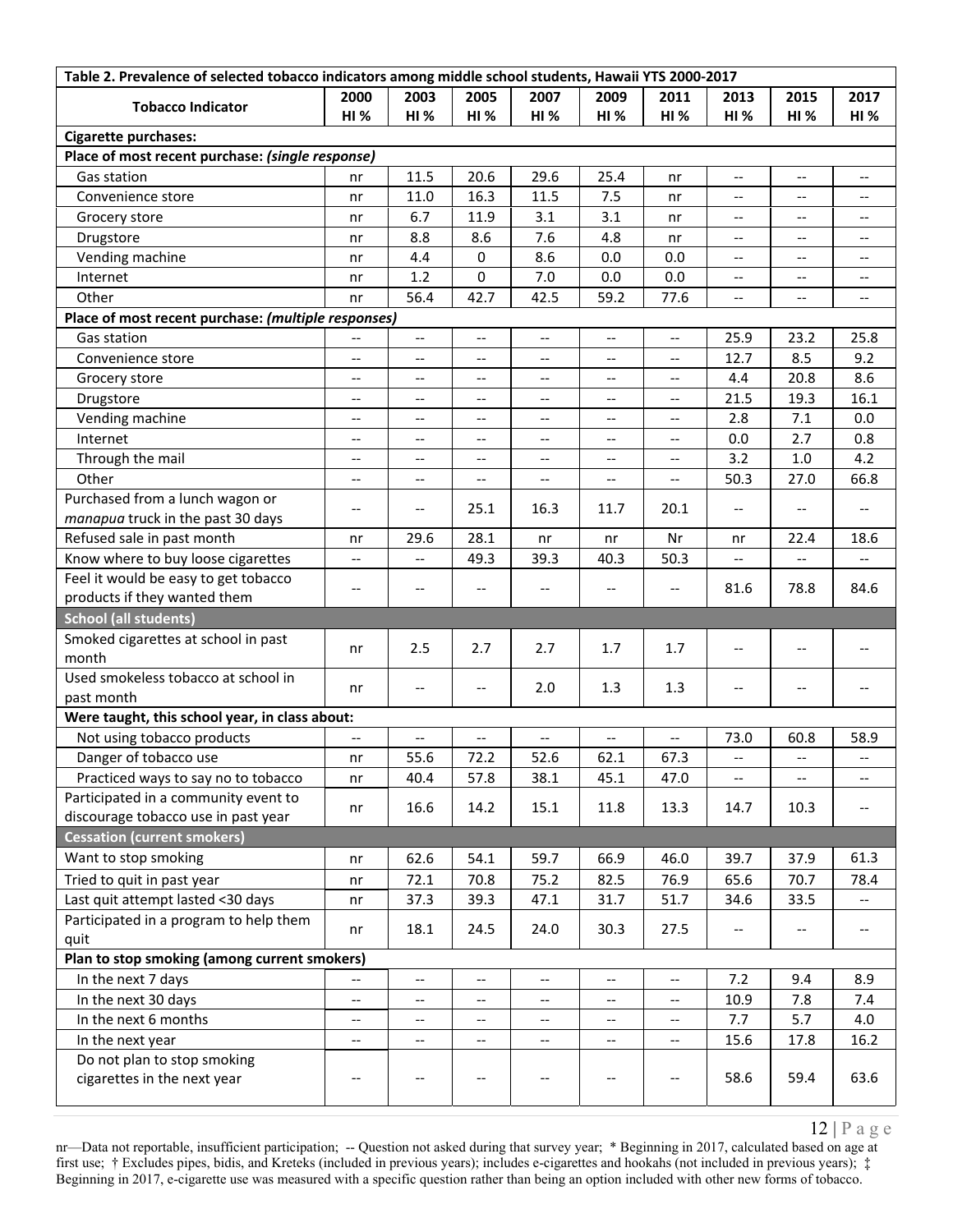| Table 2. Prevalence of selected tobacco indicators among middle school students, Hawaii YTS 2000-2017 |                          |                                       |                          |                          |                          |                                                     |                                                     |                                       |                                       |
|-------------------------------------------------------------------------------------------------------|--------------------------|---------------------------------------|--------------------------|--------------------------|--------------------------|-----------------------------------------------------|-----------------------------------------------------|---------------------------------------|---------------------------------------|
|                                                                                                       | 2000                     | 2003                                  | 2005                     | 2007                     | 2009                     | 2011                                                | 2013                                                | 2015                                  | 2017                                  |
| <b>Tobacco Indicator</b>                                                                              | <b>HI %</b>              | HI%                                   | <b>HI%</b>               | HI%                      | <b>HI%</b>               | <b>HI %</b>                                         | HI%                                                 | <b>HI %</b>                           | <b>HI %</b>                           |
| <b>Cigarette purchases:</b>                                                                           |                          |                                       |                          |                          |                          |                                                     |                                                     |                                       |                                       |
| Place of most recent purchase: (single response)                                                      |                          |                                       |                          |                          |                          |                                                     |                                                     |                                       |                                       |
| Gas station                                                                                           | nr                       | 11.5                                  | 20.6                     | 29.6                     | 25.4                     | nr                                                  | $\overline{\phantom{m}}$                            | $\hspace{0.05cm} \ldots$              | $-$                                   |
| Convenience store                                                                                     | nr                       | 11.0                                  | 16.3                     | 11.5                     | 7.5                      | nr                                                  | $-$                                                 | --                                    | $-$                                   |
| Grocery store                                                                                         | nr                       | 6.7                                   | 11.9                     | 3.1                      | 3.1                      | nr                                                  | $\hspace{0.05cm} -\hspace{0.05cm} -\hspace{0.05cm}$ | $\overline{\phantom{a}}$              | $\overline{\phantom{m}}$              |
| Drugstore                                                                                             | nr                       | 8.8                                   | 8.6                      | 7.6                      | 4.8                      | nr                                                  | $\hspace{0.05cm} -\hspace{0.05cm} -\hspace{0.05cm}$ | $\hspace{0.05cm} \ldots$              | $\overline{\phantom{a}}$              |
| Vending machine                                                                                       | nr                       | 4.4                                   | 0                        | 8.6                      | 0.0                      | 0.0                                                 | $-$                                                 | $-$                                   | $-$                                   |
| Internet                                                                                              | nr                       | 1.2                                   | 0                        | 7.0                      | 0.0                      | 0.0                                                 | $\overline{\phantom{m}}$                            | $-$                                   | $\qquad \qquad -$                     |
| Other                                                                                                 | nr                       | 56.4                                  | 42.7                     | 42.5                     | 59.2                     | 77.6                                                | $\overline{\phantom{a}}$                            | $-$                                   | $\overline{\phantom{a}}$              |
| Place of most recent purchase: (multiple responses)                                                   |                          |                                       |                          |                          |                          |                                                     |                                                     |                                       |                                       |
| Gas station                                                                                           | --                       | $\overline{\phantom{a}}$              | $\overline{\phantom{a}}$ | --                       | $\overline{\phantom{a}}$ | $\overline{\phantom{a}}$                            | 25.9                                                | 23.2                                  | 25.8                                  |
| Convenience store                                                                                     | $\overline{\phantom{m}}$ | $\overline{\phantom{a}}$              | $\overline{\phantom{a}}$ | $\overline{\phantom{a}}$ | $\overline{\phantom{a}}$ | $\hspace{0.05cm} -\hspace{0.05cm} -\hspace{0.05cm}$ | 12.7                                                | 8.5                                   | 9.2                                   |
| Grocery store                                                                                         | $-$                      | $-$                                   | $-$                      | $-$                      | $\overline{\phantom{a}}$ | $\overline{\phantom{a}}$                            | 4.4                                                 | 20.8                                  | 8.6                                   |
| Drugstore                                                                                             | $\qquad \qquad -$        | --                                    | --                       | --                       | $\overline{\phantom{m}}$ | $\overline{\phantom{a}}$                            | 21.5                                                | 19.3                                  | 16.1                                  |
| Vending machine                                                                                       | $\overline{\phantom{m}}$ | --                                    | $-$                      | $\overline{\phantom{a}}$ | $\overline{\phantom{a}}$ | $\qquad \qquad -$                                   | 2.8                                                 | 7.1                                   | 0.0                                   |
| Internet                                                                                              | $-$                      | --                                    | --                       | $\overline{\phantom{a}}$ | $\overline{\phantom{a}}$ | $\qquad \qquad -$                                   | 0.0                                                 | 2.7                                   | 0.8                                   |
| Through the mail                                                                                      | $\overline{\phantom{a}}$ | --                                    | $\overline{\phantom{a}}$ | $\qquad \qquad -$        | $\overline{\phantom{a}}$ | $-\!$ $\!-$                                         | 3.2                                                 | 1.0                                   | 4.2                                   |
| Other                                                                                                 | $\overline{\phantom{m}}$ | $\overline{\phantom{a}}$              | $-$                      | $\overline{\phantom{a}}$ | $\overline{\phantom{m}}$ | $\hspace{0.05cm} -\hspace{0.05cm} -\hspace{0.05cm}$ | 50.3                                                | 27.0                                  | 66.8                                  |
| Purchased from a lunch wagon or                                                                       |                          |                                       |                          |                          |                          |                                                     |                                                     |                                       |                                       |
| manapua truck in the past 30 days                                                                     | $-\,-$                   | $\overline{\phantom{m}}$              | 25.1                     | 16.3                     | 11.7                     | 20.1                                                | $\overline{\phantom{m}}$                            | $\hspace{0.05cm}$ – $\hspace{0.05cm}$ | $\overline{\phantom{a}}$              |
| Refused sale in past month                                                                            | nr                       | 29.6                                  | 28.1                     | nr                       | nr                       | Nr                                                  | nr                                                  | 22.4                                  | 18.6                                  |
| Know where to buy loose cigarettes                                                                    | $-$                      | --                                    | 49.3                     | 39.3                     | 40.3                     | 50.3                                                |                                                     |                                       |                                       |
| Feel it would be easy to get tobacco                                                                  |                          |                                       |                          |                          |                          |                                                     |                                                     |                                       |                                       |
| products if they wanted them                                                                          | $\overline{\phantom{m}}$ | --                                    | $-$                      | $\overline{\phantom{a}}$ | --                       | $\overline{\phantom{a}}$                            | 81.6                                                | 78.8                                  | 84.6                                  |
| <b>School (all students)</b>                                                                          |                          |                                       |                          |                          |                          |                                                     |                                                     |                                       |                                       |
| Smoked cigarettes at school in past                                                                   |                          |                                       |                          |                          |                          |                                                     |                                                     |                                       |                                       |
| month                                                                                                 | nr                       | 2.5                                   | 2.7                      | 2.7                      | 1.7                      | 1.7                                                 | $\overline{\phantom{m}}$                            | $\hspace{0.05cm}$ – $\hspace{0.05cm}$ | --                                    |
| Used smokeless tobacco at school in                                                                   | nr                       | --                                    | $\overline{\phantom{a}}$ | 2.0                      | 1.3                      | 1.3                                                 | $\overline{\phantom{m}}$                            | $\hspace{0.05cm}$ – $\hspace{0.05cm}$ | $\overline{\phantom{a}}$              |
| past month                                                                                            |                          |                                       |                          |                          |                          |                                                     |                                                     |                                       |                                       |
| Were taught, this school year, in class about:                                                        |                          |                                       |                          |                          |                          |                                                     |                                                     |                                       |                                       |
| Not using tobacco products                                                                            |                          | --                                    |                          | --                       | --                       | $-$                                                 | 73.0                                                | 60.8                                  | 58.9                                  |
| Danger of tobacco use                                                                                 | nr                       | 55.6                                  | 72.2                     | 52.6                     | 62.1                     | 67.3                                                | --                                                  |                                       |                                       |
| Practiced ways to say no to tobacco                                                                   | nr                       | 40.4                                  | 57.8                     | 38.1                     | 45.1                     | 47.0                                                | $\overline{\phantom{a}}$                            | $\overline{\phantom{a}}$              | $\overline{\phantom{m}}$              |
| Participated in a community event to                                                                  | nr                       | 16.6                                  | 14.2                     | 15.1                     | 11.8                     | 13.3                                                | 14.7                                                | 10.3                                  | $\hspace{0.05cm}$ – $\hspace{0.05cm}$ |
| discourage tobacco use in past year                                                                   |                          |                                       |                          |                          |                          |                                                     |                                                     |                                       |                                       |
| <b>Cessation (current smokers)</b>                                                                    |                          |                                       |                          |                          |                          |                                                     |                                                     |                                       |                                       |
| Want to stop smoking                                                                                  | nr                       | 62.6                                  | 54.1                     | 59.7                     | 66.9                     | 46.0                                                | 39.7                                                | 37.9                                  | 61.3                                  |
| Tried to quit in past year                                                                            | nr                       | 72.1                                  | 70.8                     | 75.2                     | 82.5                     | 76.9                                                | 65.6                                                | 70.7                                  | 78.4                                  |
| Last quit attempt lasted <30 days                                                                     | nr                       | 37.3                                  | 39.3                     | 47.1                     | 31.7                     | 51.7                                                | 34.6                                                | 33.5                                  | $\overline{\phantom{a}}$              |
| Participated in a program to help them                                                                |                          | 18.1                                  | 24.5                     | 24.0                     | 30.3                     | 27.5                                                |                                                     |                                       | $\overline{\phantom{m}}$              |
| quit                                                                                                  | nr                       |                                       |                          |                          |                          |                                                     | $-\, -$                                             | --                                    |                                       |
| Plan to stop smoking (among current smokers)                                                          |                          |                                       |                          |                          |                          |                                                     |                                                     |                                       |                                       |
| In the next 7 days                                                                                    |                          | --                                    |                          | --                       | $\qquad \qquad -$        | $\overline{\phantom{a}}$                            | 7.2                                                 | 9.4                                   | 8.9                                   |
| In the next 30 days                                                                                   | $-$                      | --                                    |                          | --                       | --                       | $\hspace{0.05cm} -\hspace{0.05cm} -\hspace{0.05cm}$ | 10.9                                                | 7.8                                   | 7.4                                   |
| In the next 6 months                                                                                  | $\overline{\phantom{a}}$ | $\overline{\phantom{a}}$              | $\overline{\phantom{a}}$ | $\overline{\phantom{a}}$ | $\overline{\phantom{a}}$ | $\overline{\phantom{a}}$                            | 7.7                                                 | 5.7                                   | 4.0                                   |
| In the next year                                                                                      | $\overline{\phantom{m}}$ | $\hspace{0.05cm}$ – $\hspace{0.05cm}$ | $- -$                    | --                       | $-\hbox{--}$             | $-\!$                                               | 15.6                                                | 17.8                                  | 16.2                                  |
| Do not plan to stop smoking<br>cigarettes in the next year                                            | $-\,-$                   | $\hspace{0.05cm}$ – $\hspace{0.05cm}$ | --                       | --                       | $-\hbox{--}$             | $\hspace{0.05cm} \dashv$                            | 58.6                                                | 59.4                                  | 63.6                                  |
|                                                                                                       |                          |                                       |                          |                          |                          |                                                     |                                                     |                                       |                                       |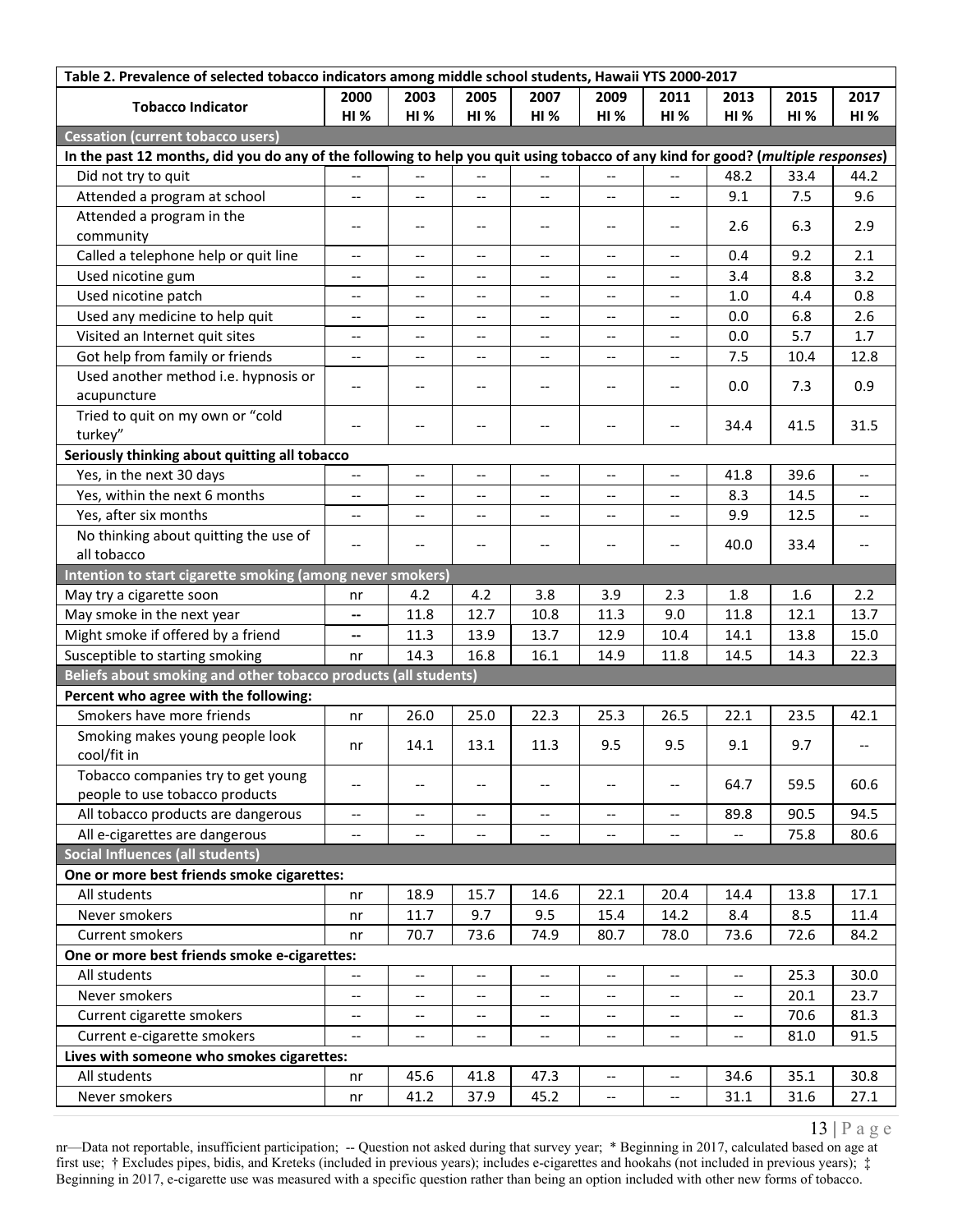| Table 2. Prevalence of selected tobacco indicators among middle school students, Hawaii YTS 2000-2017                            |                                                     |                                                     |                          |                                                     |                                                     |                                                     |                                                     |             |                                       |
|----------------------------------------------------------------------------------------------------------------------------------|-----------------------------------------------------|-----------------------------------------------------|--------------------------|-----------------------------------------------------|-----------------------------------------------------|-----------------------------------------------------|-----------------------------------------------------|-------------|---------------------------------------|
| <b>Tobacco Indicator</b>                                                                                                         | 2000                                                | 2003                                                | 2005                     | 2007                                                | 2009                                                | 2011                                                | 2013                                                | 2015        | 2017                                  |
|                                                                                                                                  | <b>HI</b> %                                         | HI%                                                 | <b>HI%</b>               | HI%                                                 | HI%                                                 | <b>HI %</b>                                         | HI%                                                 | <b>HI %</b> | <b>HI %</b>                           |
| <b>Cessation (current tobacco users)</b>                                                                                         |                                                     |                                                     |                          |                                                     |                                                     |                                                     |                                                     |             |                                       |
| In the past 12 months, did you do any of the following to help you quit using tobacco of any kind for good? (multiple responses) |                                                     |                                                     |                          |                                                     |                                                     |                                                     |                                                     |             |                                       |
| Did not try to quit                                                                                                              | $-$                                                 | $\overline{\phantom{a}}$                            |                          | $\overline{\phantom{a}}$                            | $\overline{\phantom{a}}$                            | $\overline{\phantom{a}}$                            | 48.2                                                | 33.4        | 44.2                                  |
| Attended a program at school                                                                                                     | $-$                                                 | --                                                  | --                       | $\overline{a}$                                      | $\overline{\phantom{a}}$                            | $\overline{\phantom{a}}$                            | 9.1                                                 | 7.5         | 9.6                                   |
| Attended a program in the                                                                                                        | $-\,-$                                              | $-\, -$                                             | $-$                      | $\hspace{0.05cm} -\hspace{0.05cm} -\hspace{0.05cm}$ | $-\!$ –                                             | $-\, -$                                             | 2.6                                                 | 6.3         | 2.9                                   |
| community                                                                                                                        |                                                     |                                                     |                          |                                                     |                                                     |                                                     |                                                     |             |                                       |
| Called a telephone help or quit line                                                                                             | $\hspace{0.05cm} -\hspace{0.05cm} -\hspace{0.05cm}$ | $\hspace{0.05cm} -\hspace{0.05cm} -\hspace{0.05cm}$ | $\overline{\phantom{m}}$ | $\overline{\phantom{a}}$                            | $\overline{\phantom{a}}$                            | $\hspace{0.05cm} -\hspace{0.05cm} -\hspace{0.05cm}$ | 0.4                                                 | 9.2         | 2.1                                   |
| Used nicotine gum                                                                                                                | $\overline{\phantom{a}}$                            | --                                                  | --                       | $-$                                                 | --                                                  | $\hspace{0.05cm} -\hspace{0.05cm} -\hspace{0.05cm}$ | 3.4                                                 | 8.8         | 3.2                                   |
| Used nicotine patch                                                                                                              | $\overline{\phantom{a}}$                            | --                                                  | $-$                      | --                                                  | $\qquad \qquad -$                                   | $\overline{\phantom{a}}$                            | 1.0                                                 | 4.4         | 0.8                                   |
| Used any medicine to help quit                                                                                                   | $\overline{\phantom{m}}$                            | $\overline{\phantom{m}}$                            | $\overline{\phantom{a}}$ | $\overline{\phantom{a}}$                            | $\overline{\phantom{a}}$                            | $\overline{\phantom{a}}$                            | 0.0                                                 | 6.8         | 2.6                                   |
| Visited an Internet quit sites                                                                                                   | $-$                                                 | --                                                  | $-$                      | $\overline{\phantom{a}}$                            | --                                                  | $\qquad \qquad -$                                   | 0.0                                                 | 5.7         | 1.7                                   |
| Got help from family or friends                                                                                                  | $-$                                                 | --                                                  | --                       | --                                                  | --                                                  | $\qquad \qquad -$                                   | 7.5                                                 | 10.4        | 12.8                                  |
| Used another method i.e. hypnosis or                                                                                             | $\overline{\phantom{m}}$                            | $\overline{\phantom{m}}$                            | $\overline{\phantom{m}}$ | $\overline{\phantom{a}}$                            | $\overline{\phantom{m}}$                            | $\hspace{0.05cm} \ldots$                            | 0.0                                                 | 7.3         | 0.9                                   |
| acupuncture                                                                                                                      |                                                     |                                                     |                          |                                                     |                                                     |                                                     |                                                     |             |                                       |
| Tried to quit on my own or "cold                                                                                                 | $-\,-$                                              | $\overline{\phantom{m}}$                            | $-$                      | $\hspace{0.05cm}$ – $\hspace{0.05cm}$               | $\hspace{0.05cm} -\hspace{0.05cm} -\hspace{0.05cm}$ | $\hspace{0.05cm} -\hspace{0.05cm} -\hspace{0.05cm}$ | 34.4                                                | 41.5        | 31.5                                  |
| turkey"                                                                                                                          |                                                     |                                                     |                          |                                                     |                                                     |                                                     |                                                     |             |                                       |
| Seriously thinking about quitting all tobacco                                                                                    |                                                     |                                                     |                          |                                                     |                                                     |                                                     |                                                     |             |                                       |
| Yes, in the next 30 days                                                                                                         | $\overline{\phantom{m}}$                            | --                                                  | $-$                      | $\overline{\phantom{a}}$                            | $\overline{\phantom{a}}$                            | $\hspace{0.05cm} -\hspace{0.05cm} -\hspace{0.05cm}$ | 41.8                                                | 39.6        |                                       |
| Yes, within the next 6 months                                                                                                    | $-$                                                 | --                                                  |                          | $\overline{\phantom{a}}$                            | --                                                  | $-$                                                 | 8.3                                                 | 14.5        |                                       |
| Yes, after six months                                                                                                            | $\overline{\phantom{a}}$                            | --                                                  | --                       | --                                                  | $\overline{\phantom{a}}$                            | $\overline{\phantom{a}}$                            | 9.9                                                 | 12.5        | $\hspace{0.05cm}$ – $\hspace{0.05cm}$ |
| No thinking about quitting the use of                                                                                            | $\overline{\phantom{a}}$                            | $\overline{\phantom{m}}$                            | $\overline{\phantom{m}}$ | $\hspace{0.05cm} -\hspace{0.05cm} -\hspace{0.05cm}$ | $-\!$ –                                             | $\hspace{0.05cm} \ldots$                            | 40.0                                                | 33.4        | $\overline{\phantom{a}}$              |
| all tobacco                                                                                                                      |                                                     |                                                     |                          |                                                     |                                                     |                                                     |                                                     |             |                                       |
| Intention to start cigarette smoking (among never smokers)                                                                       |                                                     |                                                     |                          |                                                     |                                                     |                                                     |                                                     |             |                                       |
| May try a cigarette soon                                                                                                         | nr                                                  | 4.2                                                 | 4.2                      | 3.8                                                 | 3.9                                                 | 2.3                                                 | $1.8\,$                                             | 1.6         | 2.2                                   |
| May smoke in the next year                                                                                                       | --                                                  | 11.8                                                | 12.7                     | 10.8                                                | 11.3                                                | 9.0                                                 | 11.8                                                | 12.1        | 13.7                                  |
| Might smoke if offered by a friend                                                                                               | --                                                  | 11.3                                                | 13.9                     | 13.7                                                | 12.9                                                | 10.4                                                | 14.1                                                | 13.8        | 15.0                                  |
| Susceptible to starting smoking                                                                                                  | nr                                                  | 14.3                                                | 16.8                     | 16.1                                                | 14.9                                                | 11.8                                                | 14.5                                                | 14.3        | 22.3                                  |
| Beliefs about smoking and other tobacco products (all students)                                                                  |                                                     |                                                     |                          |                                                     |                                                     |                                                     |                                                     |             |                                       |
| Percent who agree with the following:                                                                                            |                                                     |                                                     |                          |                                                     |                                                     |                                                     |                                                     |             |                                       |
| Smokers have more friends                                                                                                        | nr                                                  | 26.0                                                | 25.0                     | 22.3                                                | 25.3                                                | 26.5                                                | 22.1                                                | 23.5        | 42.1                                  |
| Smoking makes young people look                                                                                                  | nr                                                  | 14.1                                                | 13.1                     | 11.3                                                | 9.5                                                 | 9.5                                                 | 9.1                                                 | 9.7         | $\overline{\phantom{a}}$              |
| cool/fit in                                                                                                                      |                                                     |                                                     |                          |                                                     |                                                     |                                                     |                                                     |             |                                       |
| Tobacco companies try to get young                                                                                               | $\overline{\phantom{m}}$                            | $-\, -$                                             |                          | --                                                  | $\hspace{0.05cm}$ $\hspace{0.05cm}$                 | $\overline{\phantom{m}}$                            | 64.7                                                | 59.5        | 60.6                                  |
| people to use tobacco products                                                                                                   |                                                     |                                                     |                          |                                                     |                                                     |                                                     |                                                     |             |                                       |
| All tobacco products are dangerous                                                                                               | $\overline{\phantom{a}}$                            | $\overline{\phantom{a}}$                            | $-\,-$                   | --                                                  | $\qquad \qquad -$                                   | $\overline{\phantom{a}}$                            | 89.8                                                | 90.5        | 94.5                                  |
| All e-cigarettes are dangerous                                                                                                   | $\overline{\phantom{a}}$                            | --                                                  | $-$                      | $\overline{\phantom{a}}$                            | $\qquad \qquad -$                                   | $\overline{\phantom{m}}$                            | $\overline{\phantom{a}}$                            | 75.8        | 80.6                                  |
| <b>Social Influences (all students)</b>                                                                                          |                                                     |                                                     |                          |                                                     |                                                     |                                                     |                                                     |             |                                       |
| One or more best friends smoke cigarettes:                                                                                       |                                                     |                                                     |                          |                                                     |                                                     |                                                     |                                                     |             |                                       |
| All students                                                                                                                     | nr                                                  | 18.9                                                | 15.7                     | 14.6                                                | 22.1                                                | 20.4                                                | 14.4                                                | 13.8        | 17.1                                  |
| Never smokers                                                                                                                    | nr                                                  | 11.7                                                | 9.7                      | 9.5                                                 | 15.4                                                | 14.2                                                | 8.4                                                 | 8.5         | 11.4                                  |
| <b>Current smokers</b>                                                                                                           | nr                                                  | 70.7                                                | 73.6                     | 74.9                                                | 80.7                                                | 78.0                                                | 73.6                                                | 72.6        | 84.2                                  |
| One or more best friends smoke e-cigarettes:                                                                                     |                                                     |                                                     |                          |                                                     |                                                     |                                                     |                                                     |             |                                       |
| All students                                                                                                                     | $\hspace{0.05cm} -\hspace{0.05cm} -\hspace{0.05cm}$ | $\overline{\phantom{a}}$                            | $\overline{\phantom{a}}$ | $\overline{\phantom{a}}$                            | $\overline{\phantom{a}}$                            | $\hspace{0.05cm} -\hspace{0.05cm} -\hspace{0.05cm}$ | $\hspace{0.05cm} -\hspace{0.05cm} -\hspace{0.05cm}$ | 25.3        | 30.0                                  |
| Never smokers                                                                                                                    | --                                                  | --                                                  | $-$                      | --                                                  | --                                                  | --                                                  | $\overline{\phantom{a}}$                            | 20.1        | 23.7                                  |
| Current cigarette smokers                                                                                                        | $\overline{\phantom{m}}$                            | $\overline{\phantom{a}}$                            | $\overline{\phantom{a}}$ | $\overline{\phantom{a}}$                            | $\overline{\phantom{a}}$                            | $\overline{\phantom{m}}$                            | $\overline{\phantom{m}}$                            | 70.6        | 81.3                                  |
| Current e-cigarette smokers                                                                                                      | $-$                                                 | --                                                  | --                       | $\hspace{0.05cm}$ – $\hspace{0.05cm}$               | $\qquad \qquad -$                                   | $\hspace{0.05cm}$ – $\hspace{0.05cm}$               | $\overline{\phantom{a}}$                            | 81.0        | 91.5                                  |
| Lives with someone who smokes cigarettes:                                                                                        |                                                     |                                                     |                          |                                                     |                                                     |                                                     |                                                     |             |                                       |
| All students                                                                                                                     | nr                                                  | 45.6                                                | 41.8                     | 47.3                                                | $\overline{\phantom{a}}$                            | $\overline{\phantom{a}}$                            | 34.6                                                | 35.1        | 30.8                                  |
| Never smokers                                                                                                                    | nr                                                  | 41.2                                                | 37.9                     | 45.2                                                | $\hspace{0.05cm} -\hspace{0.05cm} -\hspace{0.05cm}$ | $-\!$                                               | 31.1                                                | 31.6        | 27.1                                  |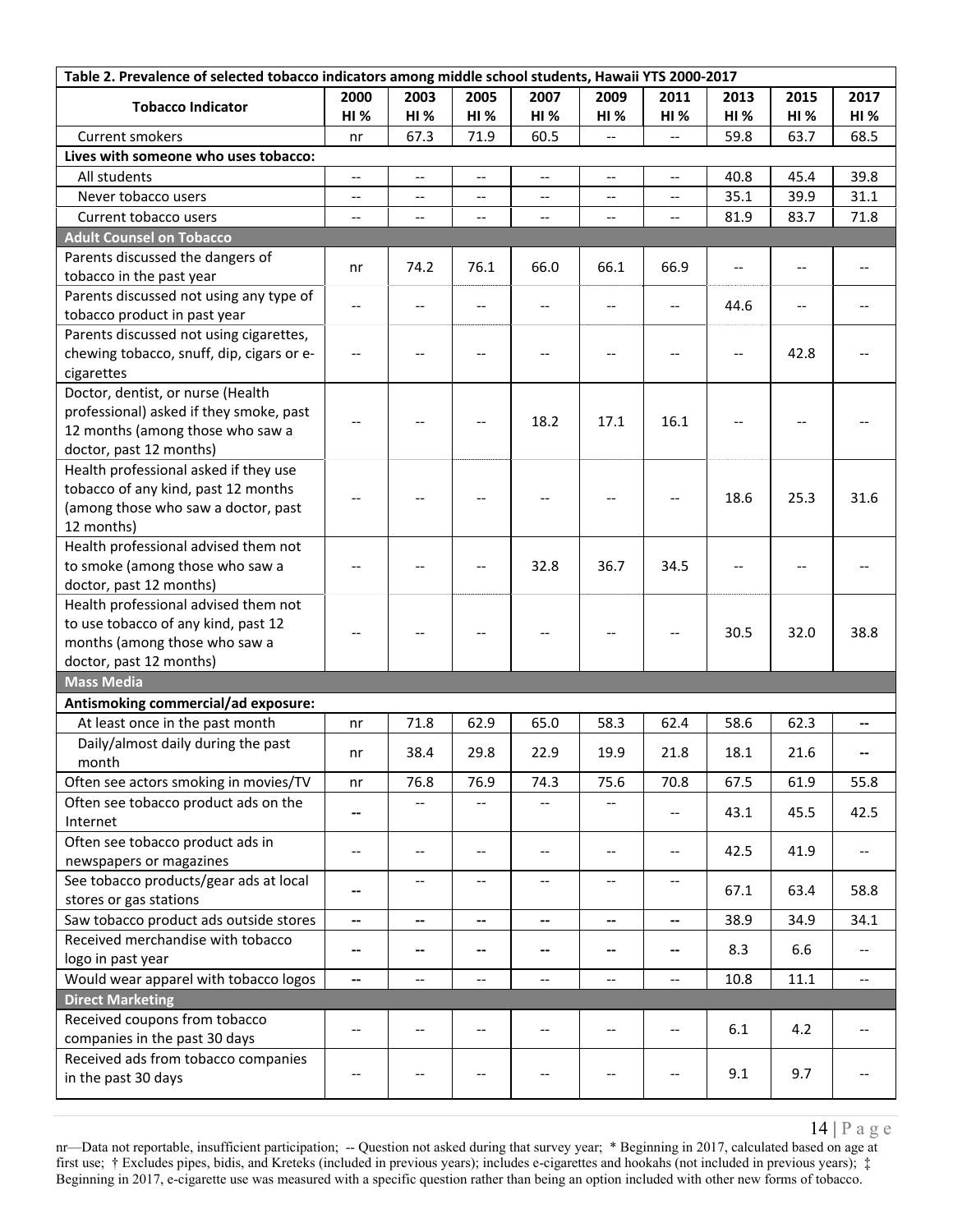| Table 2. Prevalence of selected tobacco indicators among middle school students, Hawaii YTS 2000-2017 |                          |                          |                                                     |                          |                          |                                                     |            |                          |                          |
|-------------------------------------------------------------------------------------------------------|--------------------------|--------------------------|-----------------------------------------------------|--------------------------|--------------------------|-----------------------------------------------------|------------|--------------------------|--------------------------|
| <b>Tobacco Indicator</b>                                                                              | 2000                     | 2003                     | 2005                                                | 2007                     | 2009                     | 2011                                                | 2013       | 2015                     | 2017                     |
|                                                                                                       | HI%                      | <b>HI %</b>              | HI%                                                 | <b>HI%</b>               | <b>HI%</b>               | <b>HI %</b>                                         | <b>HI%</b> | HI%                      | <b>HI</b> %              |
| Current smokers                                                                                       | nr                       | 67.3                     | 71.9                                                | 60.5                     | $\overline{\phantom{a}}$ |                                                     | 59.8       | 63.7                     | 68.5                     |
| Lives with someone who uses tobacco:                                                                  |                          |                          |                                                     |                          |                          |                                                     |            |                          |                          |
| All students                                                                                          | $\overline{\phantom{a}}$ | $-$                      | $-$                                                 | $\overline{\phantom{a}}$ | $\overline{\phantom{m}}$ | $\hspace{0.05cm} -\hspace{0.05cm} -\hspace{0.05cm}$ | 40.8       | 45.4                     | 39.8                     |
| Never tobacco users                                                                                   | $-$                      | --                       |                                                     | $\overline{a}$           | $\overline{\phantom{a}}$ | $-$                                                 | 35.1       | 39.9                     | 31.1                     |
| Current tobacco users                                                                                 | --                       | --                       | $\overline{\phantom{a}}$                            | $\overline{\phantom{a}}$ | --                       | $\overline{\phantom{a}}$                            | 81.9       | 83.7                     | 71.8                     |
| <b>Adult Counsel on Tobacco</b>                                                                       |                          |                          |                                                     |                          |                          |                                                     |            |                          |                          |
| Parents discussed the dangers of                                                                      | nr                       | 74.2                     | 76.1                                                | 66.0                     | 66.1                     | 66.9                                                |            |                          |                          |
| tobacco in the past year                                                                              |                          |                          |                                                     |                          |                          |                                                     |            |                          |                          |
| Parents discussed not using any type of                                                               | $- -$                    | $-$                      | $-$                                                 | --                       | $-$                      | $-$                                                 | 44.6       | $\overline{\phantom{a}}$ |                          |
| tobacco product in past year                                                                          |                          |                          |                                                     |                          |                          |                                                     |            |                          |                          |
| Parents discussed not using cigarettes,                                                               |                          |                          |                                                     |                          |                          |                                                     |            |                          |                          |
| chewing tobacco, snuff, dip, cigars or e-                                                             | $-\, -$                  |                          |                                                     | $-$                      | --                       |                                                     |            | 42.8                     |                          |
| cigarettes<br>Doctor, dentist, or nurse (Health                                                       |                          |                          |                                                     |                          |                          |                                                     |            |                          |                          |
| professional) asked if they smoke, past                                                               |                          |                          |                                                     |                          |                          |                                                     |            |                          |                          |
| 12 months (among those who saw a                                                                      |                          |                          |                                                     | 18.2                     | 17.1                     | 16.1                                                |            |                          |                          |
| doctor, past 12 months)                                                                               |                          |                          |                                                     |                          |                          |                                                     |            |                          |                          |
| Health professional asked if they use                                                                 |                          |                          |                                                     |                          |                          |                                                     |            |                          |                          |
| tobacco of any kind, past 12 months                                                                   |                          |                          |                                                     |                          |                          |                                                     |            |                          |                          |
| (among those who saw a doctor, past                                                                   | $-$                      |                          |                                                     |                          |                          |                                                     | 18.6       | 25.3                     | 31.6                     |
| 12 months)                                                                                            |                          |                          |                                                     |                          |                          |                                                     |            |                          |                          |
| Health professional advised them not                                                                  |                          |                          |                                                     |                          |                          |                                                     |            |                          |                          |
| to smoke (among those who saw a                                                                       |                          |                          |                                                     | 32.8                     | 36.7                     | 34.5                                                |            |                          |                          |
| doctor, past 12 months)                                                                               |                          |                          |                                                     |                          |                          |                                                     |            |                          |                          |
| Health professional advised them not                                                                  |                          |                          |                                                     |                          |                          |                                                     |            |                          |                          |
| to use tobacco of any kind, past 12                                                                   |                          |                          |                                                     |                          | --                       |                                                     | 30.5       | 32.0                     | 38.8                     |
| months (among those who saw a                                                                         |                          |                          |                                                     |                          |                          |                                                     |            |                          |                          |
| doctor, past 12 months)                                                                               |                          |                          |                                                     |                          |                          |                                                     |            |                          |                          |
| <b>Mass Media</b>                                                                                     |                          |                          |                                                     |                          |                          |                                                     |            |                          |                          |
| Antismoking commercial/ad exposure:                                                                   |                          |                          |                                                     |                          |                          |                                                     |            |                          |                          |
| At least once in the past month                                                                       | nr                       | 71.8                     | 62.9                                                | 65.0                     | 58.3                     | 62.4                                                | 58.6       | 62.3                     | --                       |
| Daily/almost daily during the past                                                                    | nr                       | 38.4                     | 29.8                                                | 22.9                     | 19.9                     | 21.8                                                | 18.1       | 21.6                     | --                       |
| month                                                                                                 |                          |                          |                                                     |                          |                          |                                                     |            |                          |                          |
| Often see actors smoking in movies/TV                                                                 | nr                       | 76.8                     | 76.9                                                | 74.3                     | 75.6                     | 70.8                                                | 67.5       | 61.9                     | 55.8                     |
| Often see tobacco product ads on the                                                                  | --                       |                          |                                                     |                          |                          | $-\, -$                                             | 43.1       | 45.5                     | 42.5                     |
| Internet<br>Often see tobacco product ads in                                                          |                          |                          |                                                     |                          |                          |                                                     |            |                          |                          |
| newspapers or magazines                                                                               | $\qquad \qquad -$        | $-$                      | $\hspace{0.05cm} -\hspace{0.05cm} -\hspace{0.05cm}$ | $\hspace{0.05cm} \ldots$ | $\overline{\phantom{a}}$ | $\overline{\phantom{a}}$                            | 42.5       | 41.9                     | $-$                      |
| See tobacco products/gear ads at local                                                                |                          | $-\hbox{--}$             | $\overline{\phantom{a}}$                            | $\overline{\phantom{a}}$ | $\hspace{0.05cm} \ldots$ | $\hspace{0.05cm} \dashrightarrow$                   |            |                          |                          |
| stores or gas stations                                                                                | --                       |                          |                                                     |                          |                          |                                                     | 67.1       | 63.4                     | 58.8                     |
| Saw tobacco product ads outside stores                                                                | $\overline{\phantom{a}}$ | --                       | --                                                  | $\overline{\phantom{a}}$ | $\overline{\phantom{a}}$ | $\overline{\phantom{a}}$                            | 38.9       | 34.9                     | 34.1                     |
| Received merchandise with tobacco                                                                     |                          |                          |                                                     |                          |                          |                                                     |            |                          |                          |
| logo in past year                                                                                     | --                       | --                       | --                                                  | --                       | --                       | --                                                  | 8.3        | 6.6                      | $\overline{\phantom{m}}$ |
| Would wear apparel with tobacco logos                                                                 | --                       | $\overline{\phantom{a}}$ | $-$                                                 | $\overline{\phantom{a}}$ | $\qquad \qquad -$        | $\hspace{0.05cm} -\hspace{0.05cm} -\hspace{0.05cm}$ | 10.8       | 11.1                     | $\overline{\phantom{a}}$ |
| <b>Direct Marketing</b>                                                                               |                          |                          |                                                     |                          |                          |                                                     |            |                          |                          |
| Received coupons from tobacco                                                                         |                          |                          |                                                     |                          |                          |                                                     |            |                          |                          |
| companies in the past 30 days                                                                         | $-$                      | --                       | $\overline{\phantom{a}}$                            | --                       | --                       | $-\, -$                                             | 6.1        | 4.2                      |                          |
| Received ads from tobacco companies                                                                   |                          |                          |                                                     |                          |                          |                                                     |            |                          |                          |
| in the past 30 days                                                                                   |                          |                          | $\overline{\phantom{a}}$                            | --                       | --                       |                                                     | 9.1        | 9.7                      |                          |
|                                                                                                       |                          |                          |                                                     |                          |                          |                                                     |            |                          |                          |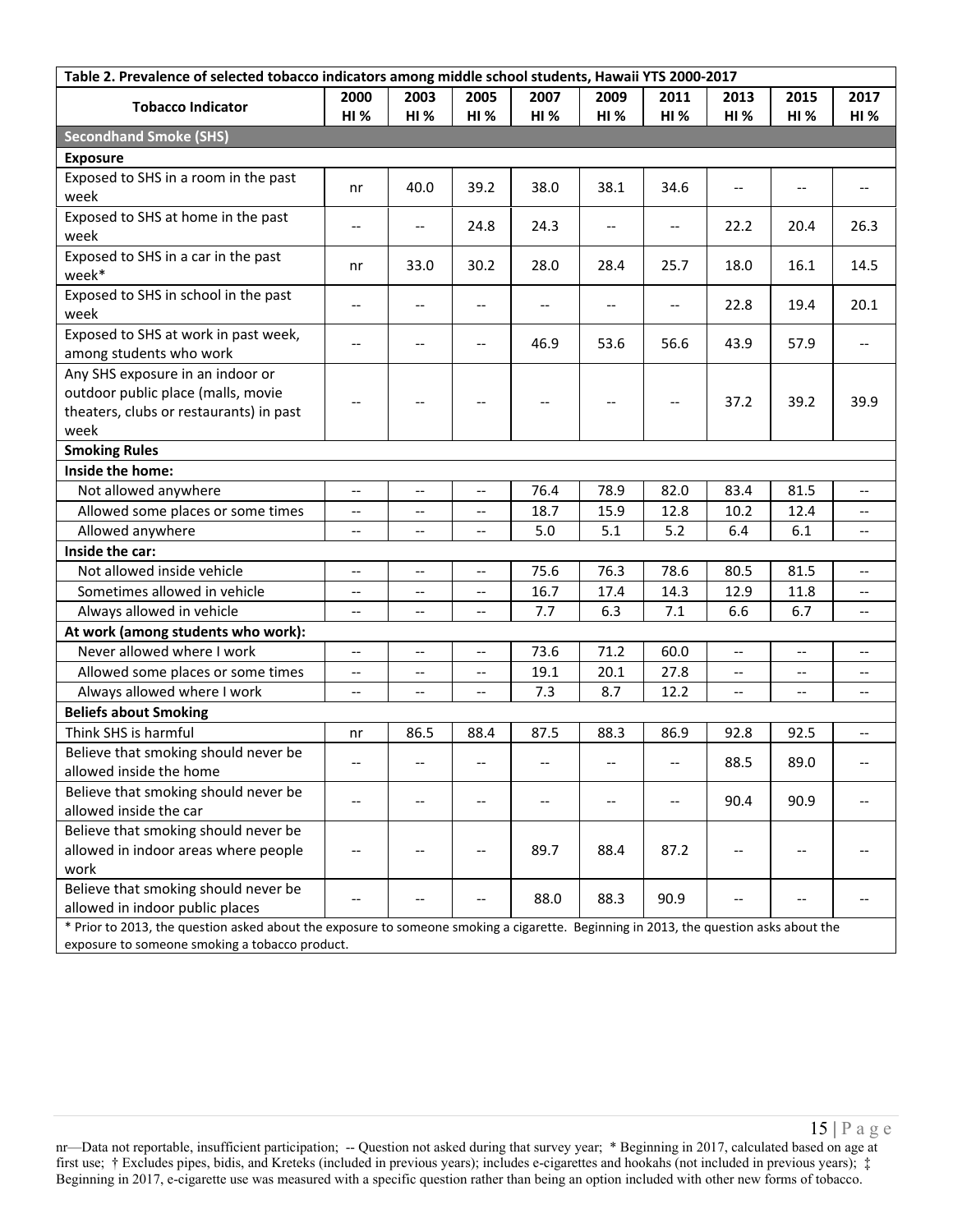| Table 2. Prevalence of selected tobacco indicators among middle school students, Hawaii YTS 2000-2017                                 |                          |                          |                          |                          |                                       |                                       |                                       |                                     |                          |
|---------------------------------------------------------------------------------------------------------------------------------------|--------------------------|--------------------------|--------------------------|--------------------------|---------------------------------------|---------------------------------------|---------------------------------------|-------------------------------------|--------------------------|
| <b>Tobacco Indicator</b>                                                                                                              | 2000                     | 2003                     | 2005                     | 2007                     | 2009                                  | 2011                                  | 2013                                  | 2015                                | 2017                     |
|                                                                                                                                       | HI%                      | HI%                      | HI%                      | <b>HI%</b>               | <b>HI%</b>                            | <b>HI %</b>                           | <b>HI %</b>                           | HI%                                 | <b>HI %</b>              |
| <b>Secondhand Smoke (SHS)</b>                                                                                                         |                          |                          |                          |                          |                                       |                                       |                                       |                                     |                          |
| <b>Exposure</b>                                                                                                                       |                          |                          |                          |                          |                                       |                                       |                                       |                                     |                          |
| Exposed to SHS in a room in the past                                                                                                  | nr                       | 40.0                     | 39.2                     | 38.0                     | 38.1                                  | 34.6                                  | $-$                                   | $-$                                 |                          |
| week                                                                                                                                  |                          |                          |                          |                          |                                       |                                       |                                       |                                     |                          |
| Exposed to SHS at home in the past                                                                                                    | $-\,-$                   | $-$                      | 24.8                     | 24.3                     | $\overline{\phantom{a}}$              | $\hspace{0.05cm}$ – $\hspace{0.05cm}$ | 22.2                                  | 20.4                                | 26.3                     |
| week                                                                                                                                  |                          |                          |                          |                          |                                       |                                       |                                       |                                     |                          |
| Exposed to SHS in a car in the past<br>week*                                                                                          | nr                       | 33.0                     | 30.2                     | 28.0                     | 28.4                                  | 25.7                                  | 18.0                                  | 16.1                                | 14.5                     |
| Exposed to SHS in school in the past                                                                                                  |                          |                          |                          |                          |                                       |                                       |                                       |                                     | 20.1                     |
| week                                                                                                                                  | $\overline{\phantom{m}}$ | --                       | $-$                      | --                       | $\qquad \qquad -$                     | $-\, -$                               | 22.8                                  | 19.4                                |                          |
| Exposed to SHS at work in past week,                                                                                                  | $-$                      | $-$                      |                          | 46.9                     | 53.6                                  | 56.6                                  | 43.9                                  | 57.9                                |                          |
| among students who work                                                                                                               |                          |                          |                          |                          |                                       |                                       |                                       |                                     |                          |
| Any SHS exposure in an indoor or                                                                                                      |                          |                          |                          |                          |                                       |                                       |                                       |                                     |                          |
| outdoor public place (malls, movie                                                                                                    | $\overline{\phantom{a}}$ | $-$                      |                          | $\overline{\phantom{a}}$ | $\hspace{0.05cm}$ – $\hspace{0.05cm}$ | $\hspace{0.05cm}$ – $\hspace{0.05cm}$ | 37.2                                  | 39.2                                | 39.9                     |
| theaters, clubs or restaurants) in past                                                                                               |                          |                          |                          |                          |                                       |                                       |                                       |                                     |                          |
| week                                                                                                                                  |                          |                          |                          |                          |                                       |                                       |                                       |                                     |                          |
| <b>Smoking Rules</b>                                                                                                                  |                          |                          |                          |                          |                                       |                                       |                                       |                                     |                          |
| Inside the home:                                                                                                                      |                          |                          |                          |                          |                                       |                                       |                                       |                                     |                          |
| Not allowed anywhere                                                                                                                  | $\overline{\phantom{a}}$ | $\overline{\phantom{a}}$ | $\overline{\phantom{a}}$ | 76.4                     | 78.9                                  | 82.0                                  | 83.4                                  | 81.5                                | --                       |
| Allowed some places or some times                                                                                                     | $\overline{\phantom{m}}$ | $-$                      | --                       | 18.7                     | 15.9                                  | 12.8                                  | 10.2                                  | 12.4                                | --                       |
| Allowed anywhere                                                                                                                      | $-\, -$                  | --                       | $\overline{\phantom{a}}$ | 5.0                      | 5.1                                   | 5.2                                   | 6.4                                   | 6.1                                 | $-$                      |
| Inside the car:                                                                                                                       |                          |                          |                          |                          |                                       |                                       |                                       |                                     |                          |
| Not allowed inside vehicle                                                                                                            | $\overline{\phantom{m}}$ | $\overline{\phantom{a}}$ | $-$                      | 75.6                     | 76.3                                  | 78.6                                  | 80.5                                  | 81.5                                | $\overline{\phantom{a}}$ |
| Sometimes allowed in vehicle                                                                                                          | $\overline{\phantom{m}}$ | $-$                      | $-$                      | 16.7                     | 17.4                                  | 14.3                                  | 12.9                                  | 11.8                                | --                       |
| Always allowed in vehicle                                                                                                             | $\overline{\phantom{m}}$ | $\overline{\phantom{a}}$ | $-$                      | 7.7                      | 6.3                                   | 7.1                                   | 6.6                                   | 6.7                                 | $\overline{\phantom{a}}$ |
| At work (among students who work):                                                                                                    |                          |                          |                          |                          |                                       |                                       |                                       |                                     |                          |
| Never allowed where I work                                                                                                            | $\overline{\phantom{a}}$ | $-$                      | $-$                      | 73.6                     | 71.2                                  | 60.0                                  | $-$                                   | --                                  | --                       |
| Allowed some places or some times                                                                                                     | $-\hbox{--}$             | $\overline{\phantom{a}}$ | $- -$                    | 19.1                     | 20.1                                  | 27.8                                  | $\hspace{0.05cm}$ – $\hspace{0.05cm}$ | $\overline{\phantom{a}}$            | --                       |
| Always allowed where I work                                                                                                           | $-\, -$                  | --                       | $\overline{\phantom{a}}$ | 7.3                      | 8.7                                   | 12.2                                  | $-\, -$                               | $\hspace{0.05cm}$ $\hspace{0.05cm}$ | $- -$                    |
| <b>Beliefs about Smoking</b>                                                                                                          |                          |                          |                          |                          |                                       |                                       |                                       |                                     |                          |
| Think SHS is harmful                                                                                                                  | nr                       | 86.5                     | 88.4                     | 87.5                     | 88.3                                  | 86.9                                  | 92.8                                  | 92.5                                | $\overline{\phantom{a}}$ |
| Believe that smoking should never be                                                                                                  |                          |                          |                          |                          |                                       |                                       | 88.5                                  | 89.0                                |                          |
| allowed inside the home                                                                                                               |                          |                          |                          |                          |                                       |                                       |                                       |                                     |                          |
| Believe that smoking should never be                                                                                                  |                          |                          |                          |                          |                                       |                                       | 90.4                                  | 90.9                                |                          |
| allowed inside the car                                                                                                                |                          |                          |                          |                          |                                       |                                       |                                       |                                     |                          |
| Believe that smoking should never be                                                                                                  |                          |                          |                          |                          |                                       |                                       |                                       |                                     |                          |
| allowed in indoor areas where people                                                                                                  |                          |                          |                          | 89.7                     | 88.4                                  | 87.2                                  |                                       |                                     |                          |
| work                                                                                                                                  |                          |                          |                          |                          |                                       |                                       |                                       |                                     |                          |
| Believe that smoking should never be<br>allowed in indoor public places                                                               |                          |                          |                          | 88.0                     | 88.3                                  | 90.9                                  |                                       |                                     |                          |
| * Prior to 2013, the question asked about the exposure to someone smoking a cigarette. Beginning in 2013, the question asks about the |                          |                          |                          |                          |                                       |                                       |                                       |                                     |                          |
| exposure to someone smoking a tobacco product.                                                                                        |                          |                          |                          |                          |                                       |                                       |                                       |                                     |                          |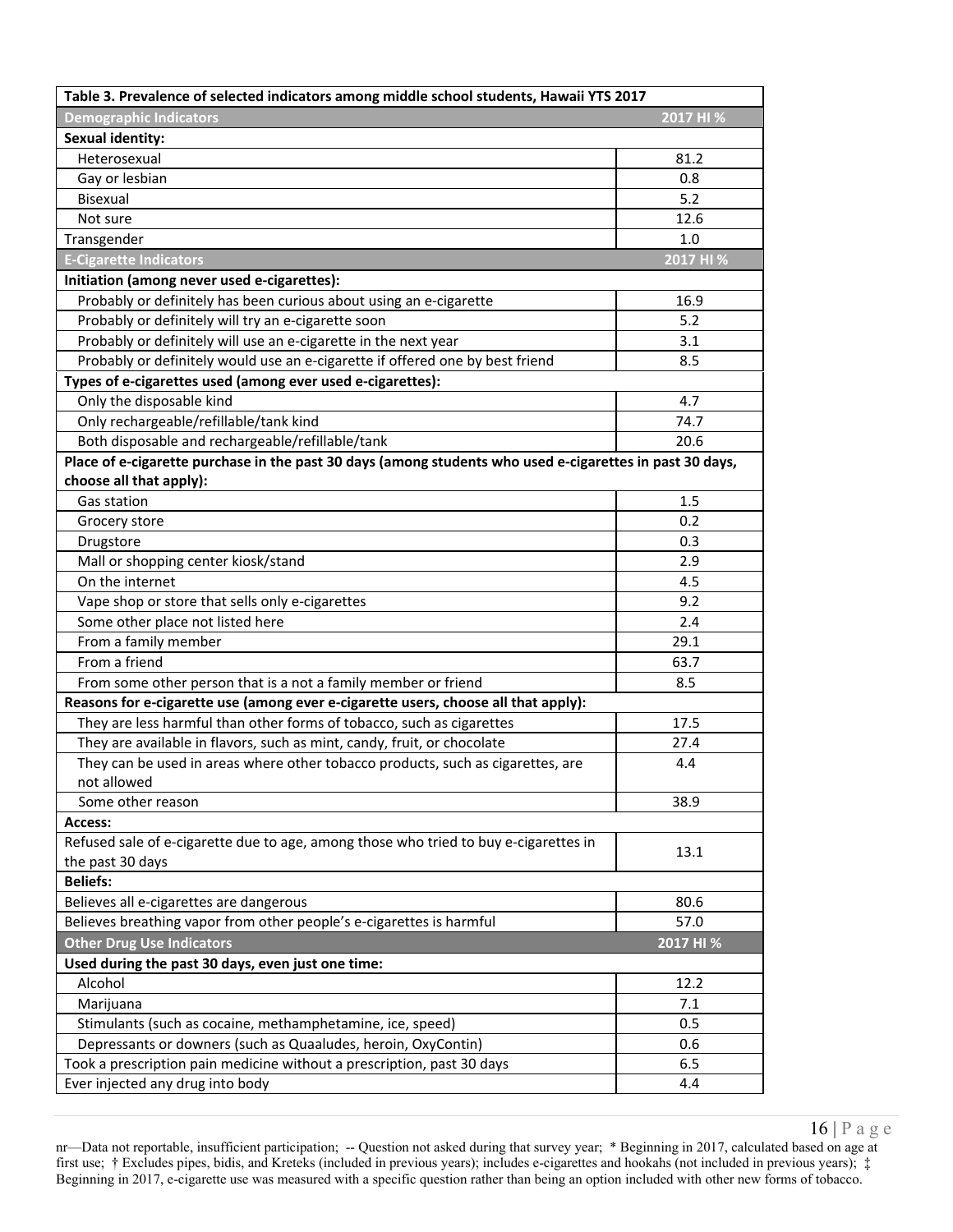| Table 3. Prevalence of selected indicators among middle school students, Hawaii YTS 2017                 |           |  |  |  |  |  |  |
|----------------------------------------------------------------------------------------------------------|-----------|--|--|--|--|--|--|
| <b>Demographic Indicators</b>                                                                            | 2017 HI % |  |  |  |  |  |  |
| <b>Sexual identity:</b>                                                                                  |           |  |  |  |  |  |  |
| Heterosexual                                                                                             | 81.2      |  |  |  |  |  |  |
| Gay or lesbian                                                                                           | 0.8       |  |  |  |  |  |  |
| Bisexual                                                                                                 | 5.2       |  |  |  |  |  |  |
| Not sure                                                                                                 | 12.6      |  |  |  |  |  |  |
| Transgender                                                                                              | 1.0       |  |  |  |  |  |  |
| <b>E-Cigarette Indicators</b>                                                                            | 2017 HI % |  |  |  |  |  |  |
| Initiation (among never used e-cigarettes):                                                              |           |  |  |  |  |  |  |
| Probably or definitely has been curious about using an e-cigarette                                       | 16.9      |  |  |  |  |  |  |
| Probably or definitely will try an e-cigarette soon                                                      | 5.2       |  |  |  |  |  |  |
| Probably or definitely will use an e-cigarette in the next year                                          | 3.1       |  |  |  |  |  |  |
| Probably or definitely would use an e-cigarette if offered one by best friend                            | 8.5       |  |  |  |  |  |  |
| Types of e-cigarettes used (among ever used e-cigarettes):                                               |           |  |  |  |  |  |  |
| Only the disposable kind                                                                                 | 4.7       |  |  |  |  |  |  |
| Only rechargeable/refillable/tank kind                                                                   | 74.7      |  |  |  |  |  |  |
| Both disposable and rechargeable/refillable/tank                                                         | 20.6      |  |  |  |  |  |  |
| Place of e-cigarette purchase in the past 30 days (among students who used e-cigarettes in past 30 days, |           |  |  |  |  |  |  |
| choose all that apply):                                                                                  |           |  |  |  |  |  |  |
| Gas station                                                                                              | 1.5       |  |  |  |  |  |  |
| Grocery store                                                                                            | 0.2       |  |  |  |  |  |  |
| Drugstore                                                                                                | 0.3       |  |  |  |  |  |  |
| Mall or shopping center kiosk/stand                                                                      | 2.9       |  |  |  |  |  |  |
| On the internet                                                                                          | 4.5       |  |  |  |  |  |  |
| Vape shop or store that sells only e-cigarettes                                                          | 9.2       |  |  |  |  |  |  |
| Some other place not listed here                                                                         | 2.4       |  |  |  |  |  |  |
| From a family member                                                                                     | 29.1      |  |  |  |  |  |  |
| From a friend                                                                                            | 63.7      |  |  |  |  |  |  |
| From some other person that is a not a family member or friend                                           | 8.5       |  |  |  |  |  |  |
| Reasons for e-cigarette use (among ever e-cigarette users, choose all that apply):                       |           |  |  |  |  |  |  |
| They are less harmful than other forms of tobacco, such as cigarettes                                    | 17.5      |  |  |  |  |  |  |
| They are available in flavors, such as mint, candy, fruit, or chocolate                                  | 27.4      |  |  |  |  |  |  |
| They can be used in areas where other tobacco products, such as cigarettes, are                          | 4.4       |  |  |  |  |  |  |
| not allowed                                                                                              |           |  |  |  |  |  |  |
| Some other reason                                                                                        | 38.9      |  |  |  |  |  |  |
| Access:                                                                                                  |           |  |  |  |  |  |  |
| Refused sale of e-cigarette due to age, among those who tried to buy e-cigarettes in                     | 13.1      |  |  |  |  |  |  |
| the past 30 days                                                                                         |           |  |  |  |  |  |  |
| <b>Beliefs:</b>                                                                                          |           |  |  |  |  |  |  |
| Believes all e-cigarettes are dangerous                                                                  | 80.6      |  |  |  |  |  |  |
| Believes breathing vapor from other people's e-cigarettes is harmful                                     | 57.0      |  |  |  |  |  |  |
| <b>Other Drug Use Indicators</b>                                                                         | 2017 HI % |  |  |  |  |  |  |
| Used during the past 30 days, even just one time:                                                        |           |  |  |  |  |  |  |
| Alcohol                                                                                                  | 12.2      |  |  |  |  |  |  |
| Marijuana                                                                                                | 7.1       |  |  |  |  |  |  |
| Stimulants (such as cocaine, methamphetamine, ice, speed)                                                | 0.5       |  |  |  |  |  |  |
| Depressants or downers (such as Quaaludes, heroin, OxyContin)                                            | 0.6       |  |  |  |  |  |  |
| Took a prescription pain medicine without a prescription, past 30 days                                   | 6.5       |  |  |  |  |  |  |
| Ever injected any drug into body                                                                         | 4.4       |  |  |  |  |  |  |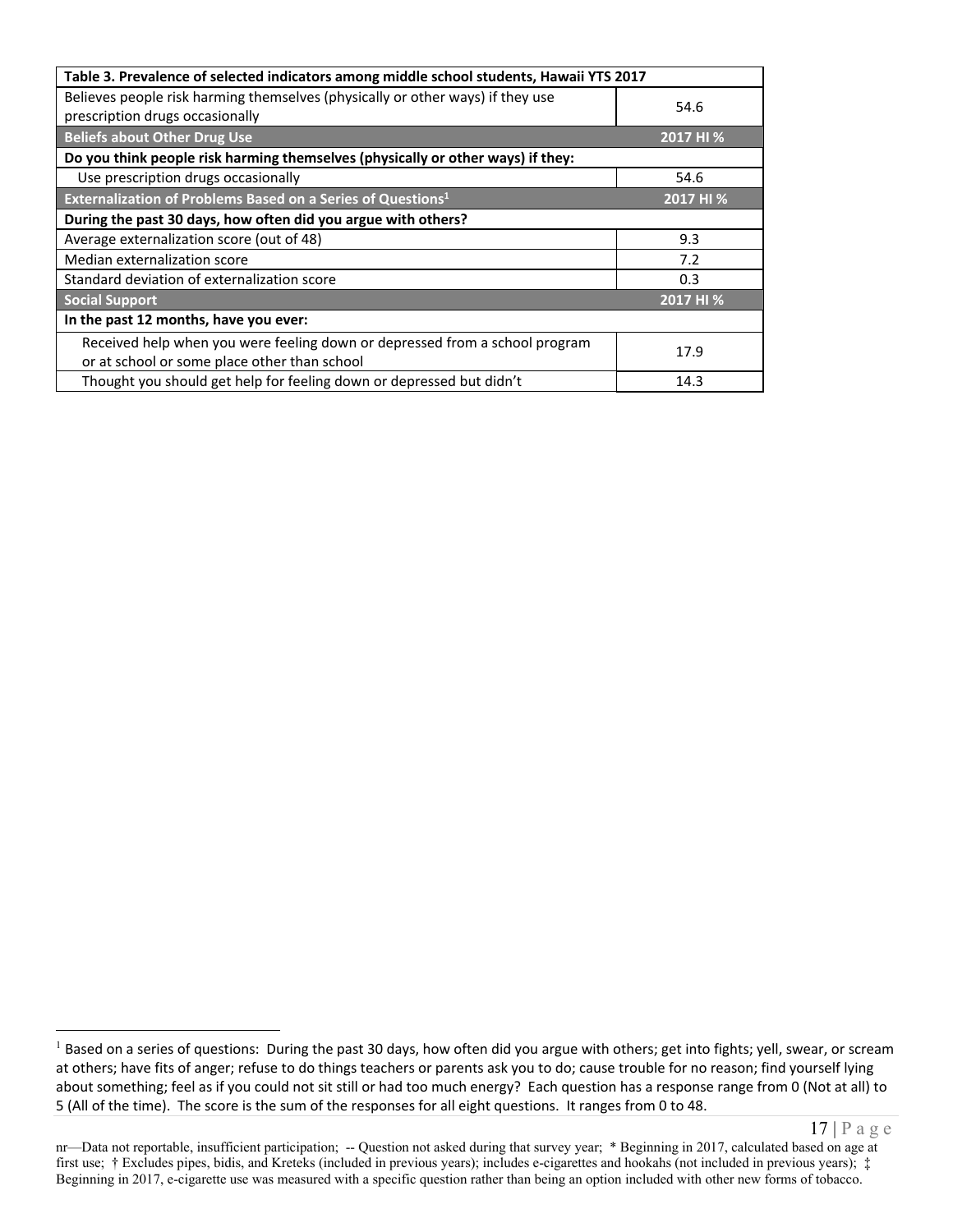| Table 3. Prevalence of selected indicators among middle school students, Hawaii YTS 2017 |           |  |  |  |  |  |  |  |
|------------------------------------------------------------------------------------------|-----------|--|--|--|--|--|--|--|
| Believes people risk harming themselves (physically or other ways) if they use           | 54.6      |  |  |  |  |  |  |  |
| prescription drugs occasionally                                                          |           |  |  |  |  |  |  |  |
| <b>Beliefs about Other Drug Use</b>                                                      | 2017 HI % |  |  |  |  |  |  |  |
| Do you think people risk harming themselves (physically or other ways) if they:          |           |  |  |  |  |  |  |  |
| Use prescription drugs occasionally                                                      | 54.6      |  |  |  |  |  |  |  |
| Externalization of Problems Based on a Series of Questions <sup>1</sup>                  | 2017 HI % |  |  |  |  |  |  |  |
| During the past 30 days, how often did you argue with others?                            |           |  |  |  |  |  |  |  |
| Average externalization score (out of 48)                                                | 9.3       |  |  |  |  |  |  |  |
| Median externalization score                                                             | 7.2       |  |  |  |  |  |  |  |
| Standard deviation of externalization score                                              | 0.3       |  |  |  |  |  |  |  |
| <b>Social Support</b>                                                                    | 2017 HI % |  |  |  |  |  |  |  |
| In the past 12 months, have you ever:                                                    |           |  |  |  |  |  |  |  |
| Received help when you were feeling down or depressed from a school program              | 17.9      |  |  |  |  |  |  |  |
| or at school or some place other than school                                             |           |  |  |  |  |  |  |  |
| Thought you should get help for feeling down or depressed but didn't                     | 14.3      |  |  |  |  |  |  |  |

 $\overline{a}$ 

 $<sup>1</sup>$  Based on a series of questions: During the past 30 days, how often did you argue with others; get into fights; yell, swear, or scream</sup> at others; have fits of anger; refuse to do things teachers or parents ask you to do; cause trouble for no reason; find yourself lying about something; feel as if you could not sit still or had too much energy? Each question has a response range from 0 (Not at all) to 5 (All of the time). The score is the sum of the responses for all eight questions. It ranges from 0 to 48.

nr—Data not reportable, insufficient participation; -- Question not asked during that survey year; \* Beginning in 2017, calculated based on age at first use; † Excludes pipes, bidis, and Kreteks (included in previous years); includes e-cigarettes and hookahs (not included in previous years); ‡ Beginning in 2017, e-cigarette use was measured with a specific question rather than being an option included with other new forms of tobacco.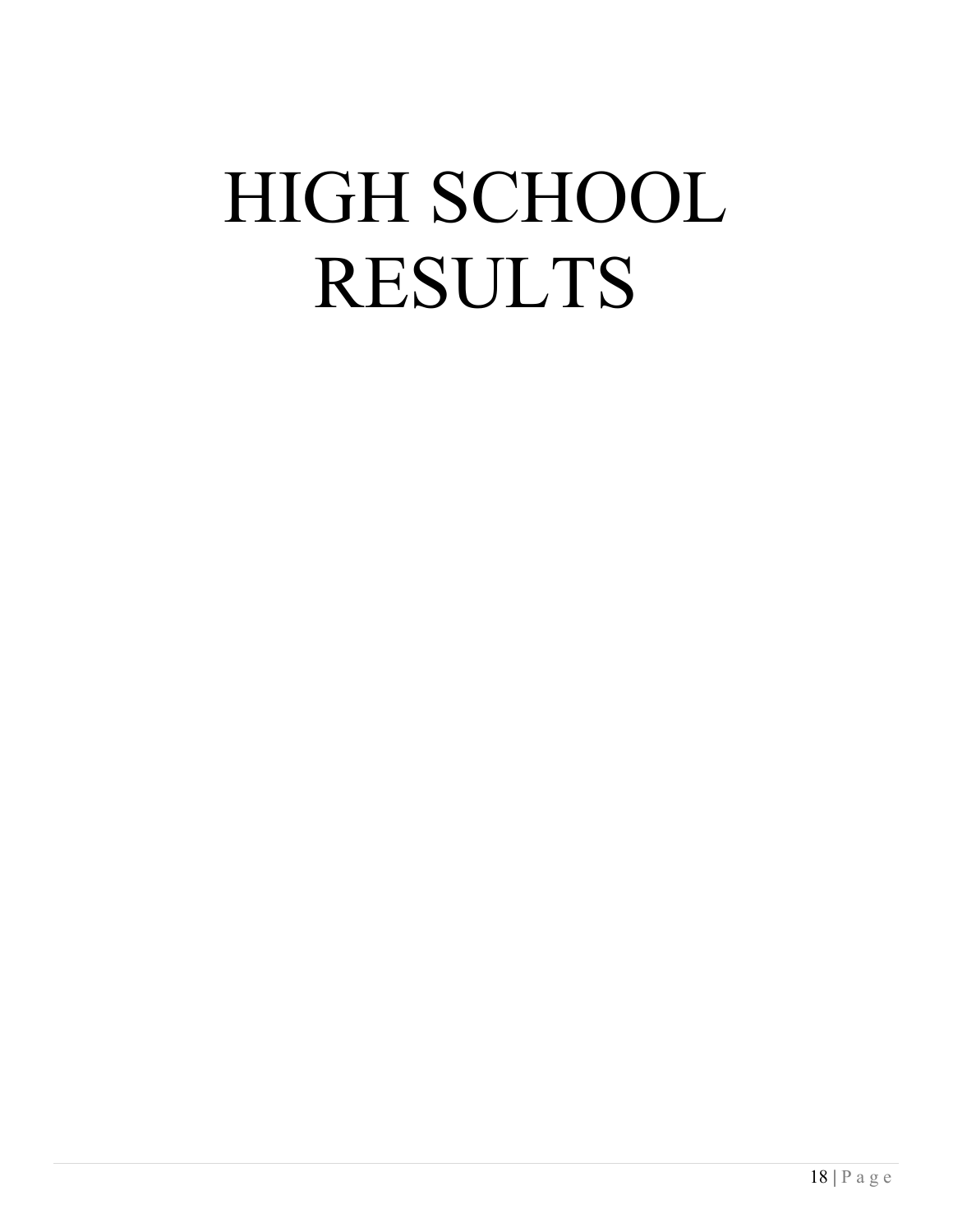## HIGH SCHOOL RESULTS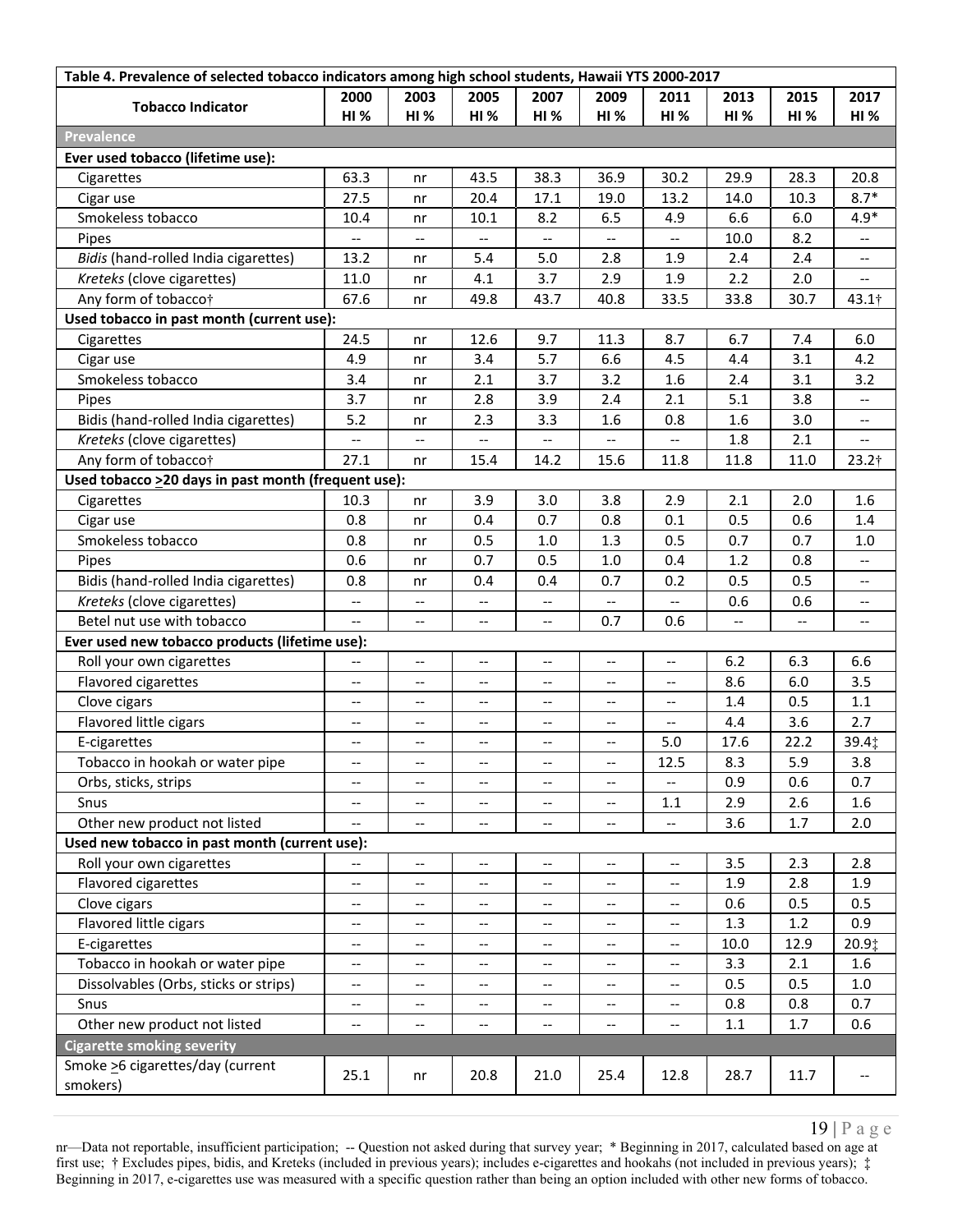| Table 4. Prevalence of selected tobacco indicators among high school students, Hawaii YTS 2000-2017 |                                                         |                                       |                                                     |                                   |                                                     |                                                     |                          |            |                          |  |
|-----------------------------------------------------------------------------------------------------|---------------------------------------------------------|---------------------------------------|-----------------------------------------------------|-----------------------------------|-----------------------------------------------------|-----------------------------------------------------|--------------------------|------------|--------------------------|--|
| <b>Tobacco Indicator</b>                                                                            | 2000                                                    | 2003                                  | 2005                                                | 2007                              | 2009                                                | 2011                                                | 2013                     | 2015       | 2017                     |  |
|                                                                                                     | <b>HI %</b>                                             | <b>HI %</b>                           | <b>HI %</b>                                         | HI%                               | <b>HI%</b>                                          | <b>HI %</b>                                         | HI%                      | <b>HI%</b> | <b>HI%</b>               |  |
| <b>Prevalence</b>                                                                                   |                                                         |                                       |                                                     |                                   |                                                     |                                                     |                          |            |                          |  |
| Ever used tobacco (lifetime use):                                                                   |                                                         |                                       |                                                     |                                   |                                                     |                                                     |                          |            |                          |  |
| Cigarettes                                                                                          | 63.3                                                    | nr                                    | 43.5                                                | 38.3                              | 36.9                                                | 30.2                                                | 29.9                     | 28.3       | 20.8                     |  |
| Cigar use                                                                                           | 27.5                                                    | nr                                    | 20.4                                                | 17.1                              | 19.0                                                | 13.2                                                | 14.0                     | 10.3       | $8.7*$                   |  |
| Smokeless tobacco                                                                                   | 10.4                                                    | nr                                    | 10.1                                                | 8.2                               | 6.5                                                 | 4.9                                                 | 6.6                      | $6.0\,$    | $4.9*$                   |  |
| Pipes                                                                                               | --                                                      | $-\, -$                               |                                                     |                                   | $\overline{\phantom{a}}$                            | $\overline{\phantom{a}}$                            | 10.0                     | 8.2        |                          |  |
| Bidis (hand-rolled India cigarettes)                                                                | 13.2                                                    | nr                                    | 5.4                                                 | 5.0                               | 2.8                                                 | 1.9                                                 | 2.4                      | 2.4        |                          |  |
| Kreteks (clove cigarettes)                                                                          | 11.0                                                    | nr                                    | 4.1                                                 | 3.7                               | 2.9                                                 | 1.9                                                 | 2.2                      | 2.0        |                          |  |
| Any form of tobacco†                                                                                | 67.6                                                    | nr                                    | 49.8                                                | 43.7                              | 40.8                                                | 33.5                                                | 33.8                     | 30.7       | $43.1\dagger$            |  |
| Used tobacco in past month (current use):                                                           |                                                         |                                       |                                                     |                                   |                                                     |                                                     |                          |            |                          |  |
| Cigarettes                                                                                          | 24.5                                                    | nr                                    | 12.6                                                | 9.7                               | 11.3                                                | 8.7                                                 | 6.7                      | 7.4        | 6.0                      |  |
| Cigar use                                                                                           | 4.9                                                     | nr                                    | 3.4                                                 | 5.7                               | 6.6                                                 | 4.5                                                 | 4.4                      | 3.1        | 4.2                      |  |
| Smokeless tobacco                                                                                   | 3.4                                                     | nr                                    | 2.1                                                 | 3.7                               | 3.2                                                 | 1.6                                                 | 2.4                      | 3.1        | 3.2                      |  |
| Pipes                                                                                               | 3.7                                                     | nr                                    | 2.8                                                 | 3.9                               | 2.4                                                 | 2.1                                                 | 5.1                      | 3.8        |                          |  |
| Bidis (hand-rolled India cigarettes)                                                                | 5.2                                                     | nr                                    | 2.3                                                 | 3.3                               | 1.6                                                 | 0.8                                                 | 1.6                      | 3.0        |                          |  |
| Kreteks (clove cigarettes)                                                                          | $\overline{\phantom{a}}$                                | $\overline{\phantom{a}}$              | $-\!$                                               | $\overline{\phantom{a}}$          | --                                                  | $\overline{\phantom{a}}$                            | 1.8                      | 2.1        | $\overline{\phantom{a}}$ |  |
| Any form of tobacco†                                                                                | 27.1                                                    | nr                                    | 15.4                                                | 14.2                              | 15.6                                                | 11.8                                                | 11.8                     | 11.0       | $23.2$ †                 |  |
| Used tobacco >20 days in past month (frequent use):                                                 |                                                         |                                       |                                                     |                                   |                                                     |                                                     |                          |            |                          |  |
| Cigarettes                                                                                          | 10.3                                                    | nr                                    | 3.9                                                 | 3.0                               | 3.8                                                 | 2.9                                                 | 2.1                      | 2.0        | 1.6                      |  |
| Cigar use                                                                                           | 0.8                                                     | nr                                    | 0.4                                                 | 0.7                               | 0.8                                                 | 0.1                                                 | 0.5                      | 0.6        | 1.4                      |  |
| Smokeless tobacco                                                                                   | 0.8                                                     | nr                                    | 0.5                                                 | 1.0                               | 1.3                                                 | 0.5                                                 | 0.7                      | 0.7        | $1.0\,$                  |  |
| Pipes                                                                                               | 0.6                                                     | nr                                    | 0.7                                                 | 0.5                               | 1.0                                                 | 0.4                                                 | 1.2                      | 0.8        | --                       |  |
| Bidis (hand-rolled India cigarettes)                                                                | 0.8                                                     | nr                                    | 0.4                                                 | 0.4                               | 0.7                                                 | 0.2                                                 | 0.5                      | 0.5        | $\overline{\phantom{a}}$ |  |
| Kreteks (clove cigarettes)                                                                          | $\overline{\phantom{a}}$                                | --                                    | --                                                  | $\hspace{0.05cm} \ldots$          | $\overline{\phantom{a}}$                            | $\overline{\phantom{a}}$                            | 0.6                      | 0.6        | --                       |  |
| Betel nut use with tobacco                                                                          | $\overline{\phantom{a}}$                                | $\overline{\phantom{a}}$              | --                                                  | $\hspace{0.05cm} \ldots$          | 0.7                                                 | 0.6                                                 | $\overline{\phantom{a}}$ |            | --                       |  |
| Ever used new tobacco products (lifetime use):                                                      |                                                         |                                       |                                                     |                                   |                                                     |                                                     |                          |            |                          |  |
| Roll your own cigarettes                                                                            | $\qquad \qquad -$                                       | --                                    | --                                                  | --                                | --                                                  | $\overline{\phantom{a}}$                            | 6.2                      | 6.3        | 6.6                      |  |
| Flavored cigarettes                                                                                 | $-\, -$                                                 | --                                    | $\hspace{0.05cm}$ $\hspace{0.05cm}$                 | $\hspace{0.05cm} \dashv$          | $\overline{\phantom{a}}$                            | $\qquad \qquad -$                                   | 8.6                      | 6.0        | 3.5                      |  |
| Clove cigars                                                                                        | $-\hbox{--}$                                            | $\hspace{0.05cm}$ – $\hspace{0.05cm}$ | $\hspace{0.05cm} -\hspace{0.05cm} -\hspace{0.05cm}$ | $\overline{\phantom{a}}$          | $\overline{\phantom{a}}$                            | $-\!$ –                                             | 1.4                      | 0.5        | 1.1                      |  |
| Flavored little cigars                                                                              | $\overline{\phantom{a}}$                                | --                                    | $\hspace{0.05cm} \ldots$                            | $\hspace{0.05cm} \ldots$          | --                                                  | $\overline{\phantom{a}}$                            | 4.4                      | 3.6        | 2.7                      |  |
| E-cigarettes                                                                                        | $-\, -$                                                 | --                                    | $\hspace{0.05cm}$ $\hspace{0.05cm}$                 | $\qquad \qquad -$                 | $\overline{\phantom{a}}$                            | 5.0                                                 | 17.6                     | 22.2       | 39.4‡                    |  |
| Tobacco in hookah or water pipe                                                                     |                                                         |                                       |                                                     |                                   |                                                     | 12.5                                                | 8.3                      | 5.9        | 3.8                      |  |
| Orbs, sticks, strips                                                                                | $\qquad \qquad -$                                       | --                                    | --                                                  | $\hspace{0.05cm} \textbf{--}$     | --                                                  |                                                     | 0.9                      | 0.6        | 0.7                      |  |
| Snus                                                                                                | --                                                      | --                                    | $\overline{\phantom{a}}$                            | $\qquad \qquad -$                 | --                                                  | 1.1                                                 | 2.9                      | 2.6        | 1.6                      |  |
| Other new product not listed                                                                        | $-\, -$                                                 | $-\,-$                                | $\hspace{0.05cm} -\hspace{0.05cm} -\hspace{0.05cm}$ | $\overline{\phantom{a}}$          | $-\hbox{--}$                                        | --                                                  | 3.6                      | 1.7        | 2.0                      |  |
| Used new tobacco in past month (current use):                                                       |                                                         |                                       |                                                     |                                   |                                                     |                                                     |                          |            |                          |  |
| Roll your own cigarettes                                                                            | --                                                      | --                                    | $\overline{\phantom{m}}$                            | $\overline{\phantom{a}}$          | $\overline{\phantom{m}}$                            | $\hspace{0.05cm} -\hspace{0.05cm} -\hspace{0.05cm}$ | 3.5                      | 2.3        | 2.8                      |  |
| Flavored cigarettes                                                                                 | $-\, -$                                                 | $-\, -$                               | $\hspace{0.05cm} \textbf{--}$                       | $-\!$ –                           | $\overline{\phantom{a}}$                            | $\hspace{0.05cm} -\hspace{0.05cm} -\hspace{0.05cm}$ | 1.9                      | 2.8        | 1.9                      |  |
| Clove cigars                                                                                        | $-\,-$                                                  | --                                    | $\overline{\phantom{m}}$                            | $\overline{\phantom{m}}$          | $-\!$                                               | $\overline{\phantom{m}}$                            | 0.6                      | 0.5        | 0.5                      |  |
| Flavored little cigars                                                                              |                                                         | $-$                                   | --                                                  |                                   | $\hspace{0.05cm} -\hspace{0.05cm} -\hspace{0.05cm}$ | $\overline{\phantom{a}}$                            | 1.3                      | 1.2        | 0.9                      |  |
| E-cigarettes                                                                                        | $\hspace{0.05cm} \hspace{0.02cm} \hspace{0.02cm} \dots$ | --                                    | $\hspace{0.05cm} \textbf{--}$                       | $\qquad \qquad -$                 | $\overline{\phantom{a}}$                            | $-\!$ $\!-$                                         | 10.0                     | 12.9       | 20.9‡                    |  |
| Tobacco in hookah or water pipe                                                                     | $\overline{\phantom{m}}$                                | $\overline{\phantom{a}}$              | $\hspace{0.05cm} -\hspace{0.05cm} -\hspace{0.05cm}$ | $\overline{\phantom{a}}$          | $\hspace{0.05cm} -\hspace{0.05cm} -\hspace{0.05cm}$ | $\hspace{0.05cm} \dashv$                            | 3.3                      | 2.1        | 1.6                      |  |
| Dissolvables (Orbs, sticks or strips)                                                               | $\overline{\phantom{a}}$                                | --                                    | $\hspace{0.05cm} \ldots$                            | $\hspace{0.05cm} \ldots$          | $\qquad \qquad -$                                   | $\overline{\phantom{a}}$                            | 0.5                      | 0.5        | $1.0\,$                  |  |
| Snus                                                                                                | $-$                                                     | --                                    | $\hspace{0.05cm} -\hspace{0.05cm} -\hspace{0.05cm}$ | $-\!$ –                           | $\overline{\phantom{a}}$                            | $\overline{\phantom{a}}$                            | 0.8                      | 0.8        | 0.7                      |  |
| Other new product not listed                                                                        | $-\,-$                                                  | --                                    | $\hspace{0.05cm}$ – $\hspace{0.05cm}$               | $\hspace{0.05cm} \dashrightarrow$ | $-\!$                                               | $\hspace{0.05cm} \textbf{--}$                       | 1.1                      | $1.7$      | 0.6                      |  |
| <b>Cigarette smoking severity</b>                                                                   |                                                         |                                       |                                                     |                                   |                                                     |                                                     |                          |            |                          |  |
| Smoke > 6 cigarettes/day (current<br>smokers)                                                       | 25.1                                                    | nr                                    | 20.8                                                | 21.0                              | 25.4                                                | 12.8                                                | 28.7                     | 11.7       |                          |  |

 $19 \mid P \text{a g e}$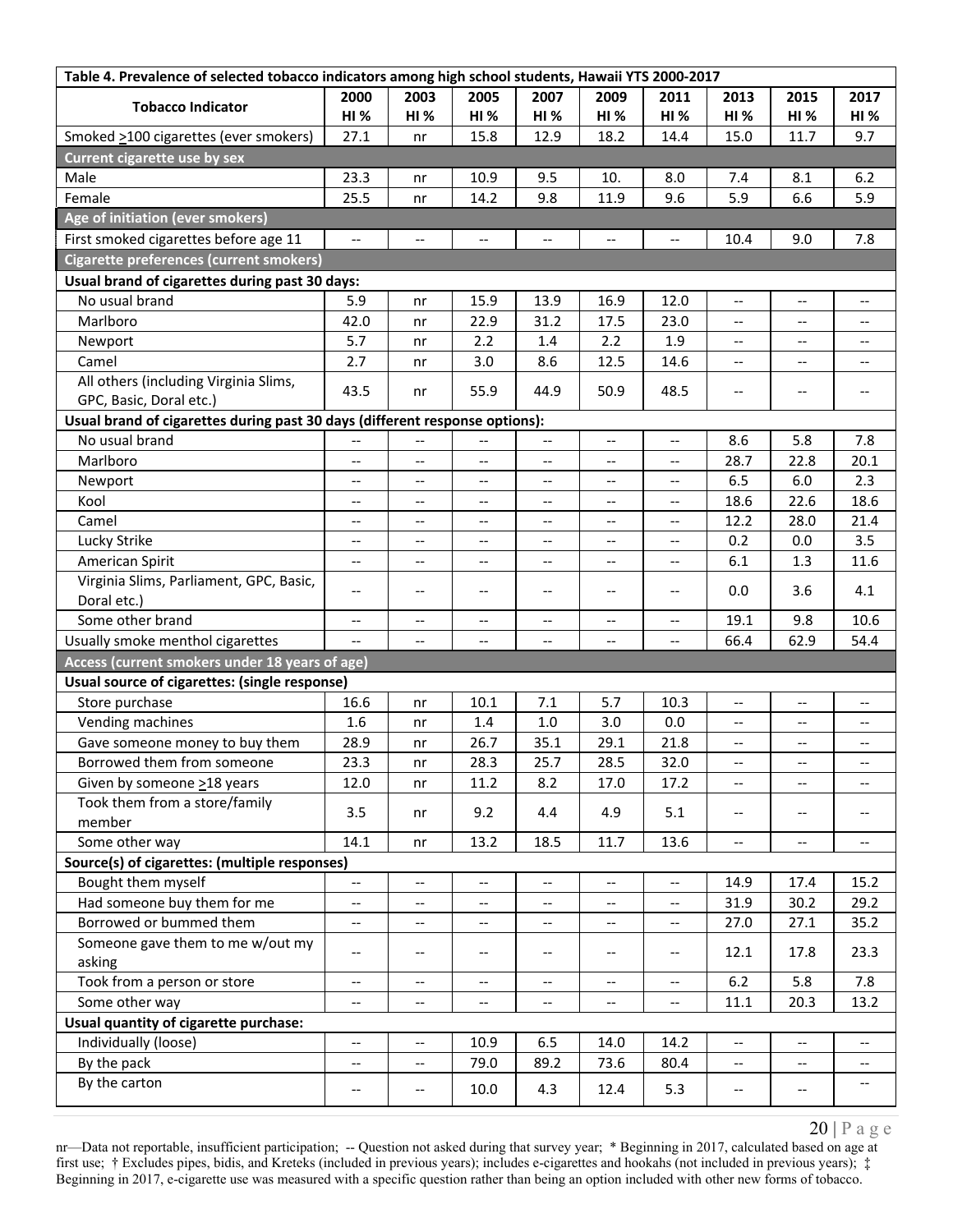| 2000<br>2005<br>2007<br>2003<br>2009<br>2011<br>2013<br>2015<br>2017<br><b>Tobacco Indicator</b><br><b>HI%</b><br><b>HI</b> %<br><b>HI %</b><br><b>HI %</b><br>HI%<br>HI%<br><b>HI %</b><br><b>HI%</b><br>HI%<br>27.1<br>15.8<br>12.9<br>18.2<br>15.0<br>11.7<br>9.7<br>Smoked >100 cigarettes (ever smokers)<br>14.4<br>nr<br><b>Current cigarette use by sex</b><br>Male<br>23.3<br>10.9<br>9.5<br>10.<br>8.0<br>8.1<br>6.2<br>7.4<br>nr<br>Female<br>25.5<br>14.2<br>9.8<br>11.9<br>9.6<br>5.9<br>6.6<br>5.9<br>nr<br>Age of initiation (ever smokers)<br>First smoked cigarettes before age 11<br>$\overline{\phantom{a}}$<br>9.0<br>7.8<br>$\overline{a}$<br><u></u><br>10.4<br>$\overline{\phantom{a}}$<br>$\overline{\phantom{a}}$<br>$\overline{\phantom{a}}$<br>Cigarette preferences (current smokers)<br>Usual brand of cigarettes during past 30 days:<br>No usual brand<br>5.9<br>15.9<br>13.9<br>16.9<br>12.0<br>$\overline{\phantom{a}}$<br>nr<br>$\overline{\phantom{a}}$<br>$\overline{\phantom{a}}$<br>Marlboro<br>17.5<br>42.0<br>22.9<br>31.2<br>23.0<br>nr<br>$- -$<br>$\qquad \qquad -$<br>--<br>5.7<br>2.2<br>2.2<br>1.9<br>Newport<br>1.4<br>nr<br>$-$<br>$-$<br>--<br>2.7<br>12.5<br>Camel<br>3.0<br>8.6<br>14.6<br>nr<br>--<br>$-$<br>--<br>All others (including Virginia Slims,<br>43.5<br>55.9<br>50.9<br>48.5<br>44.9<br>nr<br>$-\,-$<br>$\overline{\phantom{a}}$<br>$\overline{\phantom{a}}$<br>GPC, Basic, Doral etc.)<br>Usual brand of cigarettes during past 30 days (different response options):<br>No usual brand<br>8.6<br>5.8<br>7.8<br>$\overline{\phantom{a}}$<br>$\overline{\phantom{a}}$<br>--<br>--<br>$\qquad \qquad -$<br>$\qquad \qquad \cdots$<br>Marlboro<br>28.7<br>22.8<br>20.1<br>$\overline{\phantom{a}}$<br>$\overline{\phantom{a}}$<br>$-\, -$<br>$-$<br>$\hspace{0.05cm} -\hspace{0.05cm} -\hspace{0.05cm}$<br>$\overline{\phantom{a}}$<br>6.5<br>6.0<br>2.3<br>Newport<br>$\overline{\phantom{a}}$<br>$\overline{\phantom{a}}$<br>$\overline{\phantom{a}}$<br>--<br>$\hspace{0.05cm} \ldots$<br>$\overline{\phantom{a}}$<br>22.6<br>18.6<br>18.6<br>Kool<br>$\overline{\phantom{a}}$<br>--<br>$\overline{\phantom{a}}$<br>$\overline{\phantom{a}}$<br>--<br>--<br>12.2<br>28.0<br>21.4<br>Camel<br>$\overline{\phantom{a}}$<br>$\overline{\phantom{a}}$<br>$-$<br>$\overline{\phantom{a}}$<br>$\qquad \qquad -$<br>$\overline{\phantom{a}}$<br>Lucky Strike<br>3.5<br>0.2<br>0.0<br>$\overline{\phantom{a}}$<br>$\overline{\phantom{a}}$<br>$-\,-$<br>--<br>--<br>$\overline{\phantom{a}}$<br>American Spirit<br>6.1<br>1.3<br>11.6<br>$\overline{\phantom{a}}$<br>--<br>$-\, -$<br>--<br>$\hspace{0.05cm} \dashv$<br>$\hspace{0.05cm} \textbf{--}$<br>Virginia Slims, Parliament, GPC, Basic,<br>0.0<br>4.1<br>3.6<br>$\overline{\phantom{a}}$<br>$\hspace{0.05cm} -\hspace{0.05cm} -\hspace{0.05cm}$<br>$\overline{\phantom{m}}$<br>$-\, -$<br>$\overline{\phantom{a}}$<br>$\hspace{0.05cm} \textbf{--}$<br>Doral etc.)<br>Some other brand<br>9.8<br>10.6<br>19.1<br>$\overline{\phantom{m}}$<br>$\overline{\phantom{a}}$<br>$\overline{\phantom{a}}$<br>$\hspace{0.05cm} \ldots$<br>$\overline{\phantom{a}}$<br>$\hspace{0.05cm} -\hspace{0.05cm} -\hspace{0.05cm}$<br>Usually smoke menthol cigarettes<br>66.4<br>62.9<br>54.4<br>--<br>$\overline{\phantom{a}}$<br>$\overline{\phantom{a}}$<br>--<br>$\overline{\phantom{a}}$ |
|-----------------------------------------------------------------------------------------------------------------------------------------------------------------------------------------------------------------------------------------------------------------------------------------------------------------------------------------------------------------------------------------------------------------------------------------------------------------------------------------------------------------------------------------------------------------------------------------------------------------------------------------------------------------------------------------------------------------------------------------------------------------------------------------------------------------------------------------------------------------------------------------------------------------------------------------------------------------------------------------------------------------------------------------------------------------------------------------------------------------------------------------------------------------------------------------------------------------------------------------------------------------------------------------------------------------------------------------------------------------------------------------------------------------------------------------------------------------------------------------------------------------------------------------------------------------------------------------------------------------------------------------------------------------------------------------------------------------------------------------------------------------------------------------------------------------------------------------------------------------------------------------------------------------------------------------------------------------------------------------------------------------------------------------------------------------------------------------------------------------------------------------------------------------------------------------------------------------------------------------------------------------------------------------------------------------------------------------------------------------------------------------------------------------------------------------------------------------------------------------------------------------------------------------------------------------------------------------------------------------------------------------------------------------------------------------------------------------------------------------------------------------------------------------------------------------------------------------------------------------------------------------------------------------------------------------------------------------------------------------------------------------------------------------------------------------------------------------------------------------------------------------------------------------------------------------------------------------------------------------------------------------------------------------------------------------------------------------------------------------------------------------------|
|                                                                                                                                                                                                                                                                                                                                                                                                                                                                                                                                                                                                                                                                                                                                                                                                                                                                                                                                                                                                                                                                                                                                                                                                                                                                                                                                                                                                                                                                                                                                                                                                                                                                                                                                                                                                                                                                                                                                                                                                                                                                                                                                                                                                                                                                                                                                                                                                                                                                                                                                                                                                                                                                                                                                                                                                                                                                                                                                                                                                                                                                                                                                                                                                                                                                                                                                                                                               |
|                                                                                                                                                                                                                                                                                                                                                                                                                                                                                                                                                                                                                                                                                                                                                                                                                                                                                                                                                                                                                                                                                                                                                                                                                                                                                                                                                                                                                                                                                                                                                                                                                                                                                                                                                                                                                                                                                                                                                                                                                                                                                                                                                                                                                                                                                                                                                                                                                                                                                                                                                                                                                                                                                                                                                                                                                                                                                                                                                                                                                                                                                                                                                                                                                                                                                                                                                                                               |
|                                                                                                                                                                                                                                                                                                                                                                                                                                                                                                                                                                                                                                                                                                                                                                                                                                                                                                                                                                                                                                                                                                                                                                                                                                                                                                                                                                                                                                                                                                                                                                                                                                                                                                                                                                                                                                                                                                                                                                                                                                                                                                                                                                                                                                                                                                                                                                                                                                                                                                                                                                                                                                                                                                                                                                                                                                                                                                                                                                                                                                                                                                                                                                                                                                                                                                                                                                                               |
|                                                                                                                                                                                                                                                                                                                                                                                                                                                                                                                                                                                                                                                                                                                                                                                                                                                                                                                                                                                                                                                                                                                                                                                                                                                                                                                                                                                                                                                                                                                                                                                                                                                                                                                                                                                                                                                                                                                                                                                                                                                                                                                                                                                                                                                                                                                                                                                                                                                                                                                                                                                                                                                                                                                                                                                                                                                                                                                                                                                                                                                                                                                                                                                                                                                                                                                                                                                               |
|                                                                                                                                                                                                                                                                                                                                                                                                                                                                                                                                                                                                                                                                                                                                                                                                                                                                                                                                                                                                                                                                                                                                                                                                                                                                                                                                                                                                                                                                                                                                                                                                                                                                                                                                                                                                                                                                                                                                                                                                                                                                                                                                                                                                                                                                                                                                                                                                                                                                                                                                                                                                                                                                                                                                                                                                                                                                                                                                                                                                                                                                                                                                                                                                                                                                                                                                                                                               |
|                                                                                                                                                                                                                                                                                                                                                                                                                                                                                                                                                                                                                                                                                                                                                                                                                                                                                                                                                                                                                                                                                                                                                                                                                                                                                                                                                                                                                                                                                                                                                                                                                                                                                                                                                                                                                                                                                                                                                                                                                                                                                                                                                                                                                                                                                                                                                                                                                                                                                                                                                                                                                                                                                                                                                                                                                                                                                                                                                                                                                                                                                                                                                                                                                                                                                                                                                                                               |
|                                                                                                                                                                                                                                                                                                                                                                                                                                                                                                                                                                                                                                                                                                                                                                                                                                                                                                                                                                                                                                                                                                                                                                                                                                                                                                                                                                                                                                                                                                                                                                                                                                                                                                                                                                                                                                                                                                                                                                                                                                                                                                                                                                                                                                                                                                                                                                                                                                                                                                                                                                                                                                                                                                                                                                                                                                                                                                                                                                                                                                                                                                                                                                                                                                                                                                                                                                                               |
|                                                                                                                                                                                                                                                                                                                                                                                                                                                                                                                                                                                                                                                                                                                                                                                                                                                                                                                                                                                                                                                                                                                                                                                                                                                                                                                                                                                                                                                                                                                                                                                                                                                                                                                                                                                                                                                                                                                                                                                                                                                                                                                                                                                                                                                                                                                                                                                                                                                                                                                                                                                                                                                                                                                                                                                                                                                                                                                                                                                                                                                                                                                                                                                                                                                                                                                                                                                               |
|                                                                                                                                                                                                                                                                                                                                                                                                                                                                                                                                                                                                                                                                                                                                                                                                                                                                                                                                                                                                                                                                                                                                                                                                                                                                                                                                                                                                                                                                                                                                                                                                                                                                                                                                                                                                                                                                                                                                                                                                                                                                                                                                                                                                                                                                                                                                                                                                                                                                                                                                                                                                                                                                                                                                                                                                                                                                                                                                                                                                                                                                                                                                                                                                                                                                                                                                                                                               |
|                                                                                                                                                                                                                                                                                                                                                                                                                                                                                                                                                                                                                                                                                                                                                                                                                                                                                                                                                                                                                                                                                                                                                                                                                                                                                                                                                                                                                                                                                                                                                                                                                                                                                                                                                                                                                                                                                                                                                                                                                                                                                                                                                                                                                                                                                                                                                                                                                                                                                                                                                                                                                                                                                                                                                                                                                                                                                                                                                                                                                                                                                                                                                                                                                                                                                                                                                                                               |
|                                                                                                                                                                                                                                                                                                                                                                                                                                                                                                                                                                                                                                                                                                                                                                                                                                                                                                                                                                                                                                                                                                                                                                                                                                                                                                                                                                                                                                                                                                                                                                                                                                                                                                                                                                                                                                                                                                                                                                                                                                                                                                                                                                                                                                                                                                                                                                                                                                                                                                                                                                                                                                                                                                                                                                                                                                                                                                                                                                                                                                                                                                                                                                                                                                                                                                                                                                                               |
|                                                                                                                                                                                                                                                                                                                                                                                                                                                                                                                                                                                                                                                                                                                                                                                                                                                                                                                                                                                                                                                                                                                                                                                                                                                                                                                                                                                                                                                                                                                                                                                                                                                                                                                                                                                                                                                                                                                                                                                                                                                                                                                                                                                                                                                                                                                                                                                                                                                                                                                                                                                                                                                                                                                                                                                                                                                                                                                                                                                                                                                                                                                                                                                                                                                                                                                                                                                               |
|                                                                                                                                                                                                                                                                                                                                                                                                                                                                                                                                                                                                                                                                                                                                                                                                                                                                                                                                                                                                                                                                                                                                                                                                                                                                                                                                                                                                                                                                                                                                                                                                                                                                                                                                                                                                                                                                                                                                                                                                                                                                                                                                                                                                                                                                                                                                                                                                                                                                                                                                                                                                                                                                                                                                                                                                                                                                                                                                                                                                                                                                                                                                                                                                                                                                                                                                                                                               |
|                                                                                                                                                                                                                                                                                                                                                                                                                                                                                                                                                                                                                                                                                                                                                                                                                                                                                                                                                                                                                                                                                                                                                                                                                                                                                                                                                                                                                                                                                                                                                                                                                                                                                                                                                                                                                                                                                                                                                                                                                                                                                                                                                                                                                                                                                                                                                                                                                                                                                                                                                                                                                                                                                                                                                                                                                                                                                                                                                                                                                                                                                                                                                                                                                                                                                                                                                                                               |
|                                                                                                                                                                                                                                                                                                                                                                                                                                                                                                                                                                                                                                                                                                                                                                                                                                                                                                                                                                                                                                                                                                                                                                                                                                                                                                                                                                                                                                                                                                                                                                                                                                                                                                                                                                                                                                                                                                                                                                                                                                                                                                                                                                                                                                                                                                                                                                                                                                                                                                                                                                                                                                                                                                                                                                                                                                                                                                                                                                                                                                                                                                                                                                                                                                                                                                                                                                                               |
|                                                                                                                                                                                                                                                                                                                                                                                                                                                                                                                                                                                                                                                                                                                                                                                                                                                                                                                                                                                                                                                                                                                                                                                                                                                                                                                                                                                                                                                                                                                                                                                                                                                                                                                                                                                                                                                                                                                                                                                                                                                                                                                                                                                                                                                                                                                                                                                                                                                                                                                                                                                                                                                                                                                                                                                                                                                                                                                                                                                                                                                                                                                                                                                                                                                                                                                                                                                               |
|                                                                                                                                                                                                                                                                                                                                                                                                                                                                                                                                                                                                                                                                                                                                                                                                                                                                                                                                                                                                                                                                                                                                                                                                                                                                                                                                                                                                                                                                                                                                                                                                                                                                                                                                                                                                                                                                                                                                                                                                                                                                                                                                                                                                                                                                                                                                                                                                                                                                                                                                                                                                                                                                                                                                                                                                                                                                                                                                                                                                                                                                                                                                                                                                                                                                                                                                                                                               |
|                                                                                                                                                                                                                                                                                                                                                                                                                                                                                                                                                                                                                                                                                                                                                                                                                                                                                                                                                                                                                                                                                                                                                                                                                                                                                                                                                                                                                                                                                                                                                                                                                                                                                                                                                                                                                                                                                                                                                                                                                                                                                                                                                                                                                                                                                                                                                                                                                                                                                                                                                                                                                                                                                                                                                                                                                                                                                                                                                                                                                                                                                                                                                                                                                                                                                                                                                                                               |
|                                                                                                                                                                                                                                                                                                                                                                                                                                                                                                                                                                                                                                                                                                                                                                                                                                                                                                                                                                                                                                                                                                                                                                                                                                                                                                                                                                                                                                                                                                                                                                                                                                                                                                                                                                                                                                                                                                                                                                                                                                                                                                                                                                                                                                                                                                                                                                                                                                                                                                                                                                                                                                                                                                                                                                                                                                                                                                                                                                                                                                                                                                                                                                                                                                                                                                                                                                                               |
|                                                                                                                                                                                                                                                                                                                                                                                                                                                                                                                                                                                                                                                                                                                                                                                                                                                                                                                                                                                                                                                                                                                                                                                                                                                                                                                                                                                                                                                                                                                                                                                                                                                                                                                                                                                                                                                                                                                                                                                                                                                                                                                                                                                                                                                                                                                                                                                                                                                                                                                                                                                                                                                                                                                                                                                                                                                                                                                                                                                                                                                                                                                                                                                                                                                                                                                                                                                               |
|                                                                                                                                                                                                                                                                                                                                                                                                                                                                                                                                                                                                                                                                                                                                                                                                                                                                                                                                                                                                                                                                                                                                                                                                                                                                                                                                                                                                                                                                                                                                                                                                                                                                                                                                                                                                                                                                                                                                                                                                                                                                                                                                                                                                                                                                                                                                                                                                                                                                                                                                                                                                                                                                                                                                                                                                                                                                                                                                                                                                                                                                                                                                                                                                                                                                                                                                                                                               |
|                                                                                                                                                                                                                                                                                                                                                                                                                                                                                                                                                                                                                                                                                                                                                                                                                                                                                                                                                                                                                                                                                                                                                                                                                                                                                                                                                                                                                                                                                                                                                                                                                                                                                                                                                                                                                                                                                                                                                                                                                                                                                                                                                                                                                                                                                                                                                                                                                                                                                                                                                                                                                                                                                                                                                                                                                                                                                                                                                                                                                                                                                                                                                                                                                                                                                                                                                                                               |
|                                                                                                                                                                                                                                                                                                                                                                                                                                                                                                                                                                                                                                                                                                                                                                                                                                                                                                                                                                                                                                                                                                                                                                                                                                                                                                                                                                                                                                                                                                                                                                                                                                                                                                                                                                                                                                                                                                                                                                                                                                                                                                                                                                                                                                                                                                                                                                                                                                                                                                                                                                                                                                                                                                                                                                                                                                                                                                                                                                                                                                                                                                                                                                                                                                                                                                                                                                                               |
|                                                                                                                                                                                                                                                                                                                                                                                                                                                                                                                                                                                                                                                                                                                                                                                                                                                                                                                                                                                                                                                                                                                                                                                                                                                                                                                                                                                                                                                                                                                                                                                                                                                                                                                                                                                                                                                                                                                                                                                                                                                                                                                                                                                                                                                                                                                                                                                                                                                                                                                                                                                                                                                                                                                                                                                                                                                                                                                                                                                                                                                                                                                                                                                                                                                                                                                                                                                               |
|                                                                                                                                                                                                                                                                                                                                                                                                                                                                                                                                                                                                                                                                                                                                                                                                                                                                                                                                                                                                                                                                                                                                                                                                                                                                                                                                                                                                                                                                                                                                                                                                                                                                                                                                                                                                                                                                                                                                                                                                                                                                                                                                                                                                                                                                                                                                                                                                                                                                                                                                                                                                                                                                                                                                                                                                                                                                                                                                                                                                                                                                                                                                                                                                                                                                                                                                                                                               |
|                                                                                                                                                                                                                                                                                                                                                                                                                                                                                                                                                                                                                                                                                                                                                                                                                                                                                                                                                                                                                                                                                                                                                                                                                                                                                                                                                                                                                                                                                                                                                                                                                                                                                                                                                                                                                                                                                                                                                                                                                                                                                                                                                                                                                                                                                                                                                                                                                                                                                                                                                                                                                                                                                                                                                                                                                                                                                                                                                                                                                                                                                                                                                                                                                                                                                                                                                                                               |
|                                                                                                                                                                                                                                                                                                                                                                                                                                                                                                                                                                                                                                                                                                                                                                                                                                                                                                                                                                                                                                                                                                                                                                                                                                                                                                                                                                                                                                                                                                                                                                                                                                                                                                                                                                                                                                                                                                                                                                                                                                                                                                                                                                                                                                                                                                                                                                                                                                                                                                                                                                                                                                                                                                                                                                                                                                                                                                                                                                                                                                                                                                                                                                                                                                                                                                                                                                                               |
| Access (current smokers under 18 years of age)                                                                                                                                                                                                                                                                                                                                                                                                                                                                                                                                                                                                                                                                                                                                                                                                                                                                                                                                                                                                                                                                                                                                                                                                                                                                                                                                                                                                                                                                                                                                                                                                                                                                                                                                                                                                                                                                                                                                                                                                                                                                                                                                                                                                                                                                                                                                                                                                                                                                                                                                                                                                                                                                                                                                                                                                                                                                                                                                                                                                                                                                                                                                                                                                                                                                                                                                                |
| Usual source of cigarettes: (single response)                                                                                                                                                                                                                                                                                                                                                                                                                                                                                                                                                                                                                                                                                                                                                                                                                                                                                                                                                                                                                                                                                                                                                                                                                                                                                                                                                                                                                                                                                                                                                                                                                                                                                                                                                                                                                                                                                                                                                                                                                                                                                                                                                                                                                                                                                                                                                                                                                                                                                                                                                                                                                                                                                                                                                                                                                                                                                                                                                                                                                                                                                                                                                                                                                                                                                                                                                 |
| 7.1<br>5.7<br>Store purchase<br>16.6<br>10.1<br>10.3<br>nr<br>$\overline{\phantom{a}}$<br>$\overline{\phantom{a}}$<br>$\overline{\phantom{a}}$                                                                                                                                                                                                                                                                                                                                                                                                                                                                                                                                                                                                                                                                                                                                                                                                                                                                                                                                                                                                                                                                                                                                                                                                                                                                                                                                                                                                                                                                                                                                                                                                                                                                                                                                                                                                                                                                                                                                                                                                                                                                                                                                                                                                                                                                                                                                                                                                                                                                                                                                                                                                                                                                                                                                                                                                                                                                                                                                                                                                                                                                                                                                                                                                                                                |
| Vending machines<br>1.6<br>1.4<br>1.0<br>3.0<br>0.0<br>nr<br>$\overline{\phantom{a}}$<br>$-$<br>$\hspace{0.05cm}$ – $\hspace{0.05cm}$                                                                                                                                                                                                                                                                                                                                                                                                                                                                                                                                                                                                                                                                                                                                                                                                                                                                                                                                                                                                                                                                                                                                                                                                                                                                                                                                                                                                                                                                                                                                                                                                                                                                                                                                                                                                                                                                                                                                                                                                                                                                                                                                                                                                                                                                                                                                                                                                                                                                                                                                                                                                                                                                                                                                                                                                                                                                                                                                                                                                                                                                                                                                                                                                                                                         |
| 28.9<br>26.7<br>35.1<br>29.1<br>21.8<br>Gave someone money to buy them<br>nr<br>$\overline{\phantom{a}}$<br>$-$<br>--                                                                                                                                                                                                                                                                                                                                                                                                                                                                                                                                                                                                                                                                                                                                                                                                                                                                                                                                                                                                                                                                                                                                                                                                                                                                                                                                                                                                                                                                                                                                                                                                                                                                                                                                                                                                                                                                                                                                                                                                                                                                                                                                                                                                                                                                                                                                                                                                                                                                                                                                                                                                                                                                                                                                                                                                                                                                                                                                                                                                                                                                                                                                                                                                                                                                         |
| 23.3<br>28.3<br>25.7<br>28.5<br>32.0<br>Borrowed them from someone<br>nr                                                                                                                                                                                                                                                                                                                                                                                                                                                                                                                                                                                                                                                                                                                                                                                                                                                                                                                                                                                                                                                                                                                                                                                                                                                                                                                                                                                                                                                                                                                                                                                                                                                                                                                                                                                                                                                                                                                                                                                                                                                                                                                                                                                                                                                                                                                                                                                                                                                                                                                                                                                                                                                                                                                                                                                                                                                                                                                                                                                                                                                                                                                                                                                                                                                                                                                      |
| Given by someone >18 years<br>11.2<br>8.2<br>17.0<br>12.0<br>17.2<br>nr<br>$\overline{\phantom{a}}$<br>$\overline{\phantom{a}}$<br>--                                                                                                                                                                                                                                                                                                                                                                                                                                                                                                                                                                                                                                                                                                                                                                                                                                                                                                                                                                                                                                                                                                                                                                                                                                                                                                                                                                                                                                                                                                                                                                                                                                                                                                                                                                                                                                                                                                                                                                                                                                                                                                                                                                                                                                                                                                                                                                                                                                                                                                                                                                                                                                                                                                                                                                                                                                                                                                                                                                                                                                                                                                                                                                                                                                                         |
| Took them from a store/family<br>3.5<br>9.2<br>4.4<br>4.9<br>5.1<br>nr<br>$-$<br>$-$                                                                                                                                                                                                                                                                                                                                                                                                                                                                                                                                                                                                                                                                                                                                                                                                                                                                                                                                                                                                                                                                                                                                                                                                                                                                                                                                                                                                                                                                                                                                                                                                                                                                                                                                                                                                                                                                                                                                                                                                                                                                                                                                                                                                                                                                                                                                                                                                                                                                                                                                                                                                                                                                                                                                                                                                                                                                                                                                                                                                                                                                                                                                                                                                                                                                                                          |
| member                                                                                                                                                                                                                                                                                                                                                                                                                                                                                                                                                                                                                                                                                                                                                                                                                                                                                                                                                                                                                                                                                                                                                                                                                                                                                                                                                                                                                                                                                                                                                                                                                                                                                                                                                                                                                                                                                                                                                                                                                                                                                                                                                                                                                                                                                                                                                                                                                                                                                                                                                                                                                                                                                                                                                                                                                                                                                                                                                                                                                                                                                                                                                                                                                                                                                                                                                                                        |
| Some other way<br>13.2<br>14.1<br>18.5<br>11.7<br>13.6<br>nr<br>$\overline{\phantom{a}}$<br>$\overline{\phantom{a}}$<br>$\hspace{0.05cm}$ – $\hspace{0.05cm}$                                                                                                                                                                                                                                                                                                                                                                                                                                                                                                                                                                                                                                                                                                                                                                                                                                                                                                                                                                                                                                                                                                                                                                                                                                                                                                                                                                                                                                                                                                                                                                                                                                                                                                                                                                                                                                                                                                                                                                                                                                                                                                                                                                                                                                                                                                                                                                                                                                                                                                                                                                                                                                                                                                                                                                                                                                                                                                                                                                                                                                                                                                                                                                                                                                 |
| Source(s) of cigarettes: (multiple responses)                                                                                                                                                                                                                                                                                                                                                                                                                                                                                                                                                                                                                                                                                                                                                                                                                                                                                                                                                                                                                                                                                                                                                                                                                                                                                                                                                                                                                                                                                                                                                                                                                                                                                                                                                                                                                                                                                                                                                                                                                                                                                                                                                                                                                                                                                                                                                                                                                                                                                                                                                                                                                                                                                                                                                                                                                                                                                                                                                                                                                                                                                                                                                                                                                                                                                                                                                 |
| Bought them myself<br>14.9<br>17.4<br>15.2<br>$\overline{\phantom{a}}$<br>$\overline{\phantom{0}}$<br>$\overline{a}$<br>$\overline{\phantom{a}}$<br>$\overline{\phantom{a}}$<br>$\overline{\phantom{a}}$                                                                                                                                                                                                                                                                                                                                                                                                                                                                                                                                                                                                                                                                                                                                                                                                                                                                                                                                                                                                                                                                                                                                                                                                                                                                                                                                                                                                                                                                                                                                                                                                                                                                                                                                                                                                                                                                                                                                                                                                                                                                                                                                                                                                                                                                                                                                                                                                                                                                                                                                                                                                                                                                                                                                                                                                                                                                                                                                                                                                                                                                                                                                                                                      |
| Had someone buy them for me<br>30.2<br>29.2<br>31.9<br>--<br>$\overline{\phantom{a}}$<br>--<br>--<br>--<br>--                                                                                                                                                                                                                                                                                                                                                                                                                                                                                                                                                                                                                                                                                                                                                                                                                                                                                                                                                                                                                                                                                                                                                                                                                                                                                                                                                                                                                                                                                                                                                                                                                                                                                                                                                                                                                                                                                                                                                                                                                                                                                                                                                                                                                                                                                                                                                                                                                                                                                                                                                                                                                                                                                                                                                                                                                                                                                                                                                                                                                                                                                                                                                                                                                                                                                 |
| Borrowed or bummed them<br>35.2<br>27.0<br>27.1<br>$\overline{\phantom{a}}$<br>$\overline{\phantom{a}}$<br>$-\, -$<br>$-$<br>$\hspace{0.05cm} \dashv$<br>--                                                                                                                                                                                                                                                                                                                                                                                                                                                                                                                                                                                                                                                                                                                                                                                                                                                                                                                                                                                                                                                                                                                                                                                                                                                                                                                                                                                                                                                                                                                                                                                                                                                                                                                                                                                                                                                                                                                                                                                                                                                                                                                                                                                                                                                                                                                                                                                                                                                                                                                                                                                                                                                                                                                                                                                                                                                                                                                                                                                                                                                                                                                                                                                                                                   |
| Someone gave them to me w/out my<br>12.1<br>23.3<br>17.8<br>$\overline{\phantom{m}}$<br>$-$<br>$\hspace{0.05cm} \textbf{--}$<br>$\overline{\phantom{a}}$<br>$\overline{\phantom{a}}$<br>--<br>asking                                                                                                                                                                                                                                                                                                                                                                                                                                                                                                                                                                                                                                                                                                                                                                                                                                                                                                                                                                                                                                                                                                                                                                                                                                                                                                                                                                                                                                                                                                                                                                                                                                                                                                                                                                                                                                                                                                                                                                                                                                                                                                                                                                                                                                                                                                                                                                                                                                                                                                                                                                                                                                                                                                                                                                                                                                                                                                                                                                                                                                                                                                                                                                                          |
| Took from a person or store<br>7.8<br>6.2<br>5.8<br>$\overline{\phantom{a}}$<br>--<br>--<br>--<br>$\overline{\phantom{a}}$<br>--                                                                                                                                                                                                                                                                                                                                                                                                                                                                                                                                                                                                                                                                                                                                                                                                                                                                                                                                                                                                                                                                                                                                                                                                                                                                                                                                                                                                                                                                                                                                                                                                                                                                                                                                                                                                                                                                                                                                                                                                                                                                                                                                                                                                                                                                                                                                                                                                                                                                                                                                                                                                                                                                                                                                                                                                                                                                                                                                                                                                                                                                                                                                                                                                                                                              |
| Some other way<br>13.2<br>11.1<br>20.3<br>$\overline{\phantom{a}}$<br>$\overline{\phantom{m}}$<br>$-\, -$<br>$- -$<br>$\hspace{0.05cm} -\hspace{0.05cm} -\hspace{0.05cm}$<br>$\overline{\phantom{a}}$                                                                                                                                                                                                                                                                                                                                                                                                                                                                                                                                                                                                                                                                                                                                                                                                                                                                                                                                                                                                                                                                                                                                                                                                                                                                                                                                                                                                                                                                                                                                                                                                                                                                                                                                                                                                                                                                                                                                                                                                                                                                                                                                                                                                                                                                                                                                                                                                                                                                                                                                                                                                                                                                                                                                                                                                                                                                                                                                                                                                                                                                                                                                                                                         |
| Usual quantity of cigarette purchase:                                                                                                                                                                                                                                                                                                                                                                                                                                                                                                                                                                                                                                                                                                                                                                                                                                                                                                                                                                                                                                                                                                                                                                                                                                                                                                                                                                                                                                                                                                                                                                                                                                                                                                                                                                                                                                                                                                                                                                                                                                                                                                                                                                                                                                                                                                                                                                                                                                                                                                                                                                                                                                                                                                                                                                                                                                                                                                                                                                                                                                                                                                                                                                                                                                                                                                                                                         |
| Individually (loose)<br>6.5<br>10.9<br>14.0<br>14.2<br>$\overline{\phantom{a}}$<br>--<br>$\overline{\phantom{a}}$<br>$\overline{\phantom{a}}$                                                                                                                                                                                                                                                                                                                                                                                                                                                                                                                                                                                                                                                                                                                                                                                                                                                                                                                                                                                                                                                                                                                                                                                                                                                                                                                                                                                                                                                                                                                                                                                                                                                                                                                                                                                                                                                                                                                                                                                                                                                                                                                                                                                                                                                                                                                                                                                                                                                                                                                                                                                                                                                                                                                                                                                                                                                                                                                                                                                                                                                                                                                                                                                                                                                 |
| By the pack<br>89.2<br>79.0<br>73.6<br>80.4<br>$-\, -$<br>$-$<br>$\overline{\phantom{a}}$<br>$-\, -$                                                                                                                                                                                                                                                                                                                                                                                                                                                                                                                                                                                                                                                                                                                                                                                                                                                                                                                                                                                                                                                                                                                                                                                                                                                                                                                                                                                                                                                                                                                                                                                                                                                                                                                                                                                                                                                                                                                                                                                                                                                                                                                                                                                                                                                                                                                                                                                                                                                                                                                                                                                                                                                                                                                                                                                                                                                                                                                                                                                                                                                                                                                                                                                                                                                                                          |
| By the carton<br>--<br>4.3<br>5.3<br>10.0<br>12.4<br>--<br>--<br>$-\, -$<br>$\qquad \qquad -$                                                                                                                                                                                                                                                                                                                                                                                                                                                                                                                                                                                                                                                                                                                                                                                                                                                                                                                                                                                                                                                                                                                                                                                                                                                                                                                                                                                                                                                                                                                                                                                                                                                                                                                                                                                                                                                                                                                                                                                                                                                                                                                                                                                                                                                                                                                                                                                                                                                                                                                                                                                                                                                                                                                                                                                                                                                                                                                                                                                                                                                                                                                                                                                                                                                                                                 |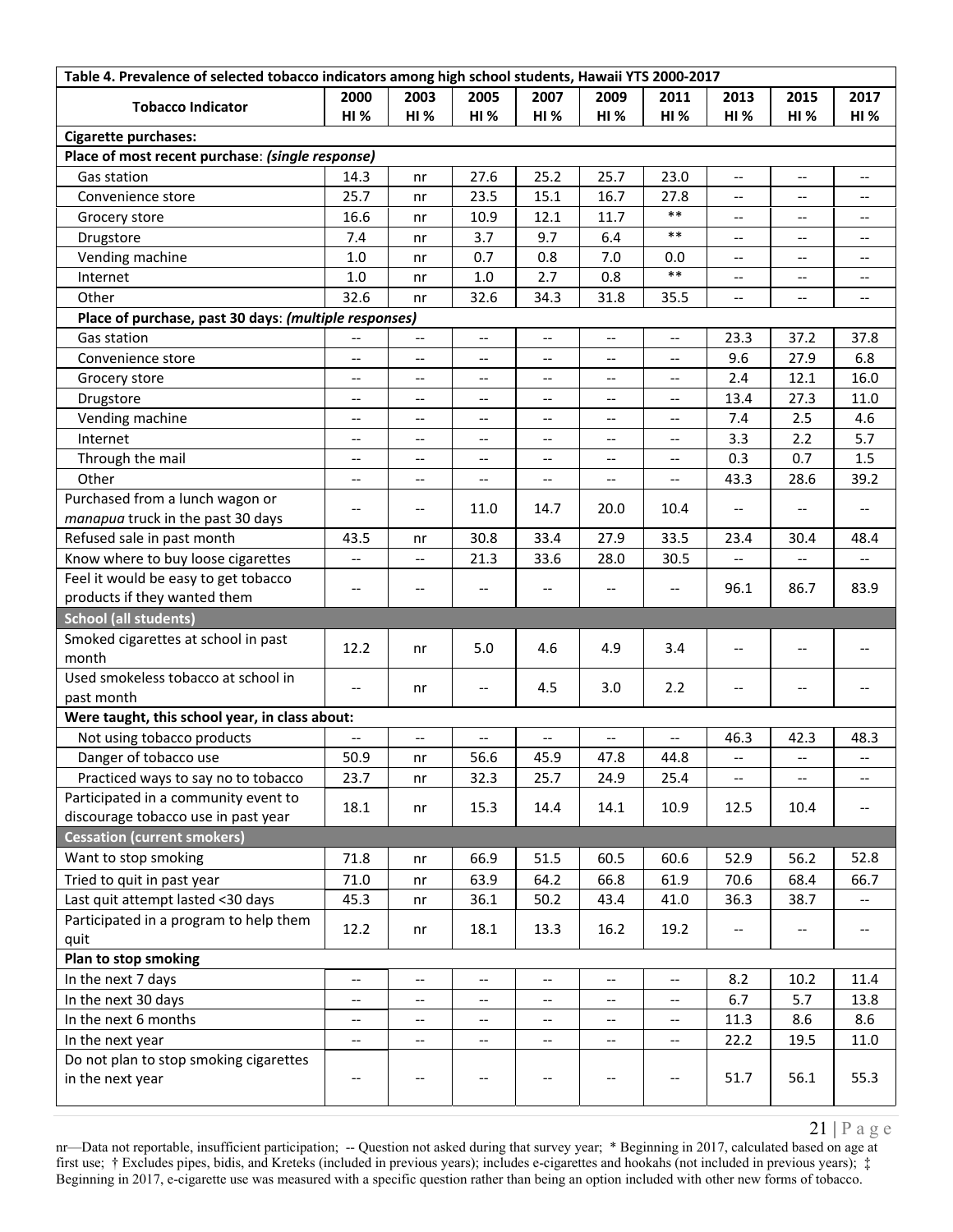| Table 4. Prevalence of selected tobacco indicators among high school students, Hawaii YTS 2000-2017 |                          |                                       |                                       |                                   |                                                     |                                                     |                          |                                                     |                                                     |  |
|-----------------------------------------------------------------------------------------------------|--------------------------|---------------------------------------|---------------------------------------|-----------------------------------|-----------------------------------------------------|-----------------------------------------------------|--------------------------|-----------------------------------------------------|-----------------------------------------------------|--|
| <b>Tobacco Indicator</b>                                                                            | 2000                     | 2003                                  | 2005                                  | 2007                              | 2009                                                | 2011                                                | 2013                     | 2015                                                | 2017                                                |  |
|                                                                                                     | <b>HI %</b>              | HI%                                   | <b>HI %</b>                           | HI%                               | HI%                                                 | <b>HI %</b>                                         | <b>HI%</b>               | <b>HI%</b>                                          | <b>HI%</b>                                          |  |
| <b>Cigarette purchases:</b>                                                                         |                          |                                       |                                       |                                   |                                                     |                                                     |                          |                                                     |                                                     |  |
| Place of most recent purchase: (single response)                                                    |                          |                                       |                                       |                                   |                                                     |                                                     |                          |                                                     |                                                     |  |
| Gas station                                                                                         | 14.3                     | nr                                    | 27.6                                  | 25.2                              | 25.7                                                | 23.0                                                | $\overline{\phantom{m}}$ | $\overline{\phantom{a}}$                            | $\overline{\phantom{a}}$                            |  |
| Convenience store                                                                                   | 25.7                     | nr                                    | 23.5                                  | 15.1                              | 16.7                                                | 27.8                                                | $\overline{\phantom{a}}$ | $- -$                                               | $\overline{\phantom{a}}$                            |  |
| Grocery store                                                                                       | 16.6                     | nr                                    | 10.9                                  | 12.1                              | 11.7                                                | $\ast\ast$                                          | $-\,-$                   | $\hspace{0.05cm}$ – $\hspace{0.05cm}$               | $\overline{\phantom{a}}$                            |  |
| Drugstore                                                                                           | 7.4                      | nr                                    | 3.7                                   | 9.7                               | 6.4                                                 | $***$                                               | $\overline{\phantom{a}}$ | $\overline{\phantom{a}}$                            | $\hspace{0.05cm} -\hspace{0.05cm} -\hspace{0.05cm}$ |  |
| Vending machine                                                                                     | $1.0$                    | nr                                    | 0.7                                   | 0.8                               | 7.0                                                 | 0.0                                                 | $-$                      | $- -$                                               | $\overline{\phantom{a}}$                            |  |
| Internet                                                                                            | $1.0$                    | nr                                    | 1.0                                   | 2.7                               | 0.8                                                 | $***$                                               | $-$                      | $\overline{\phantom{a}}$                            | $- -$                                               |  |
| Other                                                                                               | 32.6                     | nr                                    | 32.6                                  | 34.3                              | 31.8                                                | 35.5                                                | $\overline{\phantom{a}}$ | $-\,-$                                              | $\overline{\phantom{a}}$                            |  |
| Place of purchase, past 30 days: (multiple responses)                                               |                          |                                       |                                       |                                   |                                                     |                                                     |                          |                                                     |                                                     |  |
| Gas station                                                                                         | $\overline{\phantom{a}}$ | $\overline{\phantom{a}}$              | --                                    | $\overline{\phantom{a}}$          | --                                                  | $\overline{\phantom{a}}$                            | 23.3                     | 37.2                                                | 37.8                                                |  |
| Convenience store                                                                                   | $\overline{\phantom{m}}$ | $\overline{\phantom{a}}$              | $\hspace{0.05cm} \ldots$              | $\overline{\phantom{a}}$          | $\overline{\phantom{a}}$                            | $\hspace{0.05cm} -\hspace{0.05cm} -\hspace{0.05cm}$ | 9.6                      | 27.9                                                | 6.8                                                 |  |
| Grocery store                                                                                       | $-$                      | $-$                                   | --                                    | $\overline{\phantom{a}}$          | $\overline{\phantom{a}}$                            | $\overline{\phantom{a}}$                            | 2.4                      | 12.1                                                | 16.0                                                |  |
| Drugstore                                                                                           | $\qquad \qquad -$        | --                                    | --                                    | $\hspace{0.05cm} \textbf{--}$     | $\overline{\phantom{m}}$                            | $\overline{\phantom{a}}$                            | 13.4                     | 27.3                                                | 11.0                                                |  |
| Vending machine                                                                                     | $\overline{\phantom{m}}$ | --                                    | $-$                                   | $\overline{\phantom{a}}$          | $\overline{\phantom{a}}$                            | $\qquad \qquad -$                                   | 7.4                      | 2.5                                                 | 4.6                                                 |  |
| Internet                                                                                            | $-$                      | --                                    | $\overline{\phantom{a}}$              | $\overline{\phantom{a}}$          | $\overline{\phantom{a}}$                            | $\qquad \qquad -$                                   | 3.3                      | 2.2                                                 | 5.7                                                 |  |
| Through the mail                                                                                    | $\overline{\phantom{a}}$ | --                                    | $\hspace{0.05cm} \textbf{--}$         | $-\!$ –                           | $\overline{\phantom{a}}$                            | $-\!$ $\!-$                                         | 0.3                      | 0.7                                                 | 1.5                                                 |  |
| Other                                                                                               | $\overline{\phantom{m}}$ | $\overline{\phantom{a}}$              | $\hspace{0.05cm} \ldots$              | $\overline{\phantom{a}}$          | $\overline{\phantom{m}}$                            | $\hspace{0.05cm} -\hspace{0.05cm} -\hspace{0.05cm}$ | 43.3                     | 28.6                                                | 39.2                                                |  |
| Purchased from a lunch wagon or                                                                     |                          |                                       |                                       |                                   |                                                     |                                                     |                          |                                                     |                                                     |  |
| manapua truck in the past 30 days                                                                   | $-\,-$                   | $-\, -$                               | 11.0                                  | 14.7                              | 20.0                                                | 10.4                                                | $\overline{\phantom{m}}$ | $\overline{\phantom{a}}$                            | $\hspace{0.05cm}$ $\hspace{0.05cm}$                 |  |
| Refused sale in past month                                                                          | 43.5                     | nr                                    | 30.8                                  | 33.4                              | 27.9                                                | 33.5                                                | 23.4                     | 30.4                                                | 48.4                                                |  |
| Know where to buy loose cigarettes                                                                  |                          | --                                    | 21.3                                  | 33.6                              | 28.0                                                | 30.5                                                |                          |                                                     |                                                     |  |
| Feel it would be easy to get tobacco                                                                |                          |                                       |                                       |                                   |                                                     |                                                     |                          |                                                     |                                                     |  |
| products if they wanted them                                                                        | $\overline{\phantom{m}}$ | --                                    |                                       |                                   | --                                                  | $-$                                                 | 96.1                     | 86.7                                                | 83.9                                                |  |
| <b>School (all students)</b>                                                                        |                          |                                       |                                       |                                   |                                                     |                                                     |                          |                                                     |                                                     |  |
| Smoked cigarettes at school in past                                                                 |                          |                                       |                                       |                                   |                                                     | 3.4                                                 |                          |                                                     |                                                     |  |
| month                                                                                               | 12.2                     | nr                                    | 5.0                                   | 4.6                               | 4.9                                                 |                                                     | $\overline{\phantom{m}}$ | $\overline{\phantom{a}}$                            | $\hspace{0.05cm}$ $\hspace{0.05cm}$                 |  |
| Used smokeless tobacco at school in                                                                 | $\overline{\phantom{m}}$ | nr                                    | $\hspace{0.05cm} \ldots$              | 4.5                               | 3.0                                                 | 2.2                                                 | $\overline{\phantom{m}}$ | $-\,-$                                              | $\hspace{0.05cm}$ $\hspace{0.05cm}$                 |  |
| past month                                                                                          |                          |                                       |                                       |                                   |                                                     |                                                     |                          |                                                     |                                                     |  |
| Were taught, this school year, in class about:                                                      |                          |                                       |                                       |                                   |                                                     |                                                     |                          |                                                     |                                                     |  |
| Not using tobacco products                                                                          |                          | --                                    |                                       |                                   | --                                                  | $-$                                                 | 46.3                     | 42.3                                                | 48.3                                                |  |
| Danger of tobacco use                                                                               | 50.9                     | nr                                    | 56.6                                  | 45.9                              | 47.8                                                | 44.8                                                | --                       | --                                                  |                                                     |  |
| Practiced ways to say no to tobacco                                                                 | 23.7                     | nr                                    | 32.3                                  | 25.7                              | 24.9                                                | 25.4                                                | $\overline{\phantom{a}}$ | $\hspace{0.05cm} -\hspace{0.05cm} -\hspace{0.05cm}$ | $\overline{\phantom{a}}$                            |  |
| Participated in a community event to                                                                | 18.1                     | nr                                    | 15.3                                  | 14.4                              | 14.1                                                | 10.9                                                | 12.5                     | 10.4                                                | $\overline{\phantom{a}}$                            |  |
| discourage tobacco use in past year                                                                 |                          |                                       |                                       |                                   |                                                     |                                                     |                          |                                                     |                                                     |  |
| <b>Cessation (current smokers)</b>                                                                  |                          |                                       |                                       |                                   |                                                     |                                                     |                          |                                                     |                                                     |  |
| Want to stop smoking                                                                                | 71.8                     | nr                                    | 66.9                                  | 51.5                              | 60.5                                                | 60.6                                                | 52.9                     | 56.2                                                | 52.8                                                |  |
| Tried to quit in past year                                                                          | 71.0                     | nr                                    | 63.9                                  | 64.2                              | 66.8                                                | 61.9                                                | 70.6                     | 68.4                                                | 66.7                                                |  |
| Last quit attempt lasted <30 days                                                                   | 45.3                     | nr                                    | 36.1                                  | 50.2                              | 43.4                                                | 41.0                                                | 36.3                     | 38.7                                                | $\hspace{0.05cm} -\hspace{0.05cm} -\hspace{0.05cm}$ |  |
| Participated in a program to help them                                                              | 12.2                     | nr                                    | 18.1                                  | 13.3                              | 16.2                                                | 19.2                                                | $\overline{\phantom{a}}$ | $\hspace{0.05cm}$ – $\hspace{0.05cm}$               | $\hspace{0.05cm} -\hspace{0.05cm} -\hspace{0.05cm}$ |  |
| quit                                                                                                |                          |                                       |                                       |                                   |                                                     |                                                     |                          |                                                     |                                                     |  |
| <b>Plan to stop smoking</b>                                                                         |                          |                                       |                                       |                                   |                                                     |                                                     |                          |                                                     |                                                     |  |
| In the next 7 days                                                                                  | $\qquad \qquad -$        | --                                    | --                                    |                                   | $\qquad \qquad -$                                   | $\overline{\phantom{a}}$                            | 8.2                      | 10.2                                                | 11.4                                                |  |
| In the next 30 days                                                                                 | $-$                      | --                                    | --                                    |                                   | $\hspace{0.05cm} -\hspace{0.05cm} -\hspace{0.05cm}$ | $\hspace{0.05cm} -\hspace{0.05cm} -\hspace{0.05cm}$ | 6.7                      | 5.7                                                 | 13.8                                                |  |
| In the next 6 months                                                                                | $\overline{\phantom{a}}$ | $\overline{\phantom{a}}$              | $\overline{\phantom{a}}$              | $\qquad \qquad -$                 | $\overline{\phantom{a}}$                            | $\overline{\phantom{a}}$                            | 11.3                     | 8.6                                                 | 8.6                                                 |  |
| In the next year                                                                                    | $-\hbox{--}$             | $\hspace{0.05cm}$ – $\hspace{0.05cm}$ | $\hspace{0.05cm} \textbf{--}$         | $\hspace{0.05cm} \dashv$          | $-\hbox{--}$                                        | $\hspace{0.05cm} -\hspace{0.05cm} -\hspace{0.05cm}$ | 22.2                     | 19.5                                                | 11.0                                                |  |
| Do not plan to stop smoking cigarettes                                                              |                          |                                       |                                       |                                   |                                                     |                                                     |                          |                                                     |                                                     |  |
| in the next year                                                                                    | $\overline{\phantom{m}}$ | $-\, -$                               | $\hspace{0.05cm}$ – $\hspace{0.05cm}$ | $\hspace{0.05cm} \dashrightarrow$ | $-\hbox{--}$                                        | $\hspace{0.05cm} \dashv$                            | 51.7                     | 56.1                                                | 55.3                                                |  |
|                                                                                                     |                          |                                       |                                       |                                   |                                                     |                                                     |                          |                                                     |                                                     |  |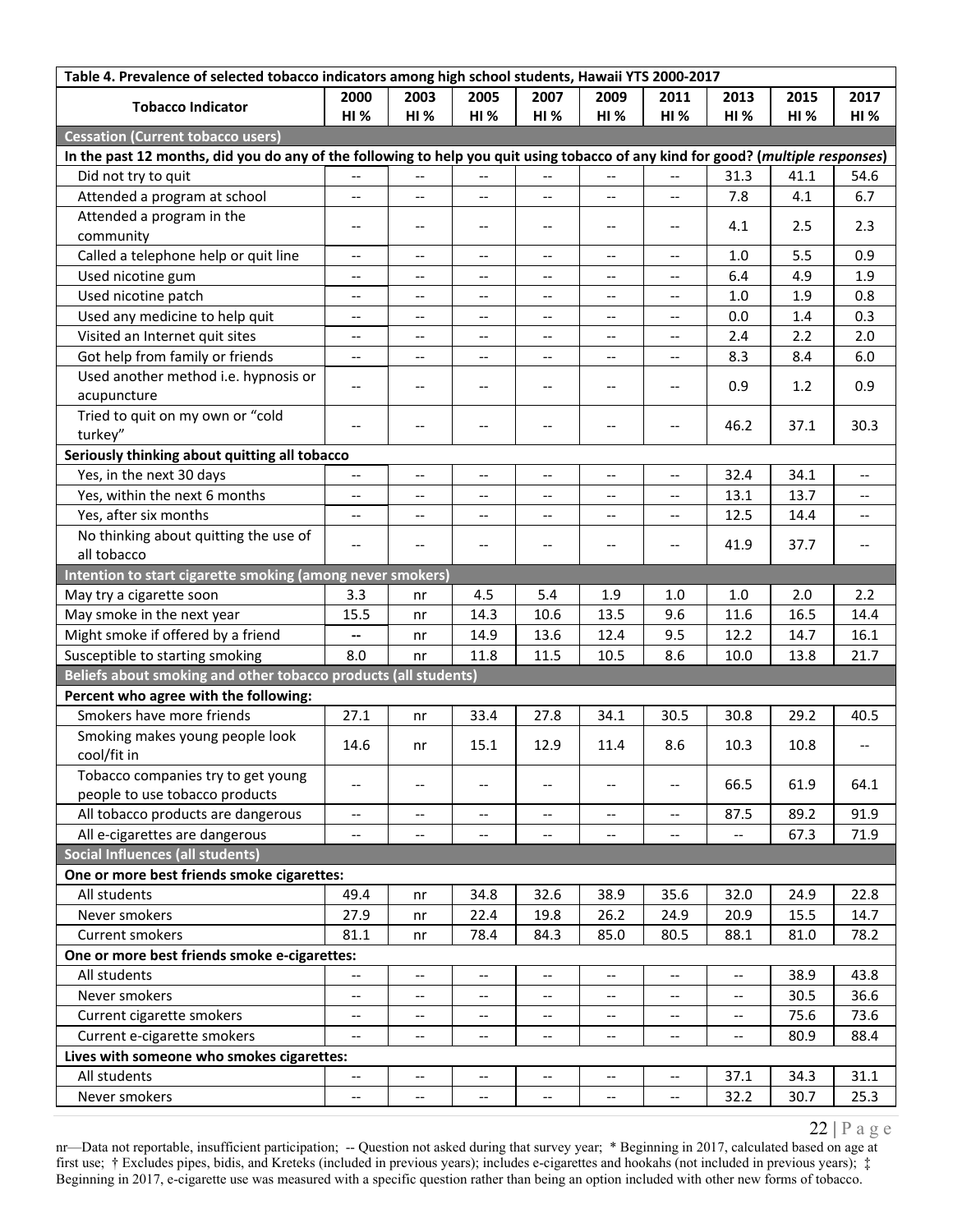| Table 4. Prevalence of selected tobacco indicators among high school students, Hawaii YTS 2000-2017                              |                                                     |                                       |                                                     |                                                     |                               |                                                     |                          |            |                                     |
|----------------------------------------------------------------------------------------------------------------------------------|-----------------------------------------------------|---------------------------------------|-----------------------------------------------------|-----------------------------------------------------|-------------------------------|-----------------------------------------------------|--------------------------|------------|-------------------------------------|
| <b>Tobacco Indicator</b>                                                                                                         | 2000                                                | 2003                                  | 2005                                                | 2007                                                | 2009                          | 2011                                                | 2013                     | 2015       | 2017                                |
|                                                                                                                                  | <b>HI %</b>                                         | HI%                                   | <b>HI %</b>                                         | HI%                                                 | <b>HI%</b>                    | <b>HI %</b>                                         | <b>HI%</b>               | <b>HI%</b> | <b>HI%</b>                          |
| <b>Cessation (Current tobacco users)</b>                                                                                         |                                                     |                                       |                                                     |                                                     |                               |                                                     |                          |            |                                     |
| In the past 12 months, did you do any of the following to help you quit using tobacco of any kind for good? (multiple responses) |                                                     |                                       |                                                     |                                                     |                               |                                                     |                          |            |                                     |
| Did not try to quit                                                                                                              | $\overline{\phantom{a}}$                            | $\overline{\phantom{a}}$              | $\overline{\phantom{a}}$                            | $\overline{\phantom{a}}$                            | $\overline{\phantom{m}}$      | $\overline{\phantom{a}}$                            | 31.3                     | 41.1       | 54.6                                |
| Attended a program at school                                                                                                     | $-$                                                 | $-$                                   | $-$                                                 | $\overline{\phantom{a}}$                            | $\overline{\phantom{a}}$      | $-$                                                 | 7.8                      | 4.1        | 6.7                                 |
| Attended a program in the                                                                                                        | $-\, -$                                             | $\qquad \qquad -$                     | --                                                  | $\hspace{0.05cm} -\hspace{0.05cm} -\hspace{0.05cm}$ | $\overline{\phantom{a}}$      | $\overline{\phantom{a}}$                            | 4.1                      | 2.5        | 2.3                                 |
| community                                                                                                                        |                                                     |                                       |                                                     |                                                     |                               |                                                     |                          |            |                                     |
| Called a telephone help or quit line                                                                                             | $\overline{\phantom{m}}$                            | $- -$                                 | $\hspace{0.05cm} -\hspace{0.05cm} -\hspace{0.05cm}$ | $\overline{\phantom{a}}$                            | $\overline{\phantom{a}}$      | $\hspace{0.05cm} -\hspace{0.05cm} -\hspace{0.05cm}$ | 1.0                      | 5.5        | 0.9                                 |
| Used nicotine gum                                                                                                                | $-\,-$                                              | $-$                                   | $-$                                                 | $-$                                                 | $\overline{\phantom{a}}$      | $\overline{\phantom{a}}$                            | 6.4                      | 4.9        | 1.9                                 |
| Used nicotine patch                                                                                                              | $\overline{\phantom{a}}$                            | --                                    | --                                                  | $\overline{\phantom{a}}$                            | $\overline{\phantom{a}}$      | $\overline{\phantom{a}}$                            | 1.0                      | 1.9        | 0.8                                 |
| Used any medicine to help quit                                                                                                   | $\qquad \qquad -$                                   | $-$                                   | $\overline{\phantom{a}}$                            | $-$                                                 | $\overline{\phantom{a}}$      | $\overline{\phantom{a}}$                            | 0.0                      | 1.4        | 0.3                                 |
| Visited an Internet quit sites                                                                                                   | $-$                                                 | $-$                                   |                                                     |                                                     | --                            | $\qquad \qquad -$                                   | 2.4                      | 2.2        | 2.0                                 |
| Got help from family or friends                                                                                                  | $\hspace{0.05cm} -\hspace{0.05cm} -\hspace{0.05cm}$ | --                                    | --                                                  | $\overline{\phantom{a}}$                            | --                            | $\overline{\phantom{a}}$                            | 8.3                      | 8.4        | 6.0                                 |
| Used another method i.e. hypnosis or                                                                                             | $\overline{\phantom{a}}$                            | $\overline{\phantom{a}}$              | $\hspace{0.05cm}$ $\hspace{0.05cm}$                 | $\hspace{0.05cm} -\hspace{0.05cm} -\hspace{0.05cm}$ | $\hspace{0.05cm} \textbf{--}$ | $\overline{\phantom{a}}$                            | 0.9                      | 1.2        | 0.9                                 |
| acupuncture                                                                                                                      |                                                     |                                       |                                                     |                                                     |                               |                                                     |                          |            |                                     |
| Tried to quit on my own or "cold                                                                                                 | $-$                                                 | $- -$                                 | $\hspace{0.05cm}$ – $\hspace{0.05cm}$               | $\hspace{0.05cm} -\hspace{0.05cm} -\hspace{0.05cm}$ | $\overline{\phantom{a}}$      | $\hspace{0.05cm} \ldots$                            | 46.2                     | 37.1       | 30.3                                |
| turkey"                                                                                                                          |                                                     |                                       |                                                     |                                                     |                               |                                                     |                          |            |                                     |
| Seriously thinking about quitting all tobacco                                                                                    |                                                     |                                       |                                                     |                                                     |                               |                                                     |                          |            |                                     |
| Yes, in the next 30 days                                                                                                         | $\overline{\phantom{m}}$                            | $\overline{\phantom{a}}$              | $\hspace{0.05cm}$ $\hspace{0.05cm}$                 | $\overline{\phantom{a}}$                            | $\hspace{0.05cm} \textbf{--}$ | $\overline{\phantom{a}}$                            | 32.4                     | 34.1       | $\overline{\phantom{a}}$            |
| Yes, within the next 6 months                                                                                                    | $-$                                                 | $-$                                   | $\overline{\phantom{a}}$                            |                                                     | $-$                           | $-$                                                 | 13.1                     | 13.7       |                                     |
| Yes, after six months                                                                                                            | $\overline{\phantom{a}}$                            | --                                    | --                                                  | $\hspace{0.05cm} \dashv$                            | $\overline{\phantom{a}}$      | $\overline{\phantom{a}}$                            | 12.5                     | 14.4       | $\overline{\phantom{a}}$            |
| No thinking about quitting the use of                                                                                            | $\overline{\phantom{m}}$                            | $\hspace{0.05cm}$ – $\hspace{0.05cm}$ | $\hspace{0.05cm}$ $\hspace{0.05cm}$                 | $\hspace{0.05cm} -\hspace{0.05cm} -\hspace{0.05cm}$ | $-\!$                         | $\overline{\phantom{a}}$                            | 41.9                     | 37.7       | $\hspace{0.05cm} \ldots$            |
| all tobacco                                                                                                                      |                                                     |                                       |                                                     |                                                     |                               |                                                     |                          |            |                                     |
| Intention to start cigarette smoking (among never smokers)                                                                       |                                                     |                                       |                                                     |                                                     |                               |                                                     |                          |            |                                     |
| May try a cigarette soon                                                                                                         | 3.3                                                 | nr                                    | 4.5                                                 | 5.4                                                 | 1.9                           | 1.0                                                 | 1.0                      | 2.0        | 2.2                                 |
| May smoke in the next year                                                                                                       | 15.5                                                | nr                                    | 14.3                                                | 10.6                                                | 13.5                          | 9.6                                                 | 11.6                     | 16.5       | 14.4                                |
| Might smoke if offered by a friend                                                                                               | ۰.                                                  | nr                                    | 14.9                                                | 13.6                                                | 12.4                          | 9.5                                                 | 12.2                     | 14.7       | 16.1                                |
| Susceptible to starting smoking                                                                                                  | 8.0                                                 | nr                                    | 11.8                                                | 11.5                                                | 10.5                          | 8.6                                                 | 10.0                     | 13.8       | 21.7                                |
| Beliefs about smoking and other tobacco products (all students)                                                                  |                                                     |                                       |                                                     |                                                     |                               |                                                     |                          |            |                                     |
| Percent who agree with the following:                                                                                            |                                                     |                                       |                                                     |                                                     |                               |                                                     |                          |            |                                     |
| Smokers have more friends                                                                                                        | 27.1                                                | nr                                    | 33.4                                                | 27.8                                                | 34.1                          | 30.5                                                | 30.8                     | 29.2       | 40.5                                |
| Smoking makes young people look                                                                                                  | 14.6                                                | nr                                    | 15.1                                                | 12.9                                                | 11.4                          | 8.6                                                 | 10.3                     | 10.8       | $\hspace{0.05cm}$ $\hspace{0.05cm}$ |
| cool/fit in                                                                                                                      |                                                     |                                       |                                                     |                                                     |                               |                                                     |                          |            |                                     |
| Tobacco companies try to get young                                                                                               | $\qquad \qquad -$                                   | $-$                                   |                                                     |                                                     | $-$                           | $\qquad \qquad -$                                   | 66.5                     | 61.9       | 64.1                                |
| people to use tobacco products                                                                                                   |                                                     |                                       |                                                     |                                                     |                               |                                                     |                          |            |                                     |
| All tobacco products are dangerous                                                                                               | $\overline{\phantom{a}}$                            | $\overline{\phantom{a}}$              | $\hspace{0.05cm}$ – $\hspace{0.05cm}$               | $\overline{\phantom{a}}$                            | $\overline{\phantom{a}}$      | $\overline{\phantom{a}}$                            | 87.5                     | 89.2       | 91.9                                |
| All e-cigarettes are dangerous                                                                                                   | $\overline{\phantom{a}}$                            | $\qquad \qquad -$                     | $\hspace{0.05cm}$ – $\hspace{0.05cm}$               | $\overline{\phantom{a}}$                            | $\overline{\phantom{a}}$      | $\overline{\phantom{a}}$                            | $\overline{\phantom{a}}$ | 67.3       | 71.9                                |
| <b>Social Influences (all students)</b>                                                                                          |                                                     |                                       |                                                     |                                                     |                               |                                                     |                          |            |                                     |
| One or more best friends smoke cigarettes:                                                                                       |                                                     |                                       |                                                     |                                                     |                               |                                                     |                          |            |                                     |
| All students                                                                                                                     | 49.4                                                | nr                                    | 34.8                                                | 32.6                                                | 38.9                          | 35.6                                                | 32.0                     | 24.9       | 22.8                                |
| Never smokers                                                                                                                    | 27.9                                                | nr                                    | 22.4                                                | 19.8                                                | 26.2                          | 24.9                                                | 20.9                     | 15.5       | 14.7                                |
| Current smokers                                                                                                                  | 81.1                                                | nr                                    | 78.4                                                | 84.3                                                | 85.0                          | 80.5                                                | 88.1                     | 81.0       | 78.2                                |
| One or more best friends smoke e-cigarettes:                                                                                     |                                                     |                                       |                                                     |                                                     |                               |                                                     |                          |            |                                     |
| All students                                                                                                                     | $\overline{\phantom{m}}$                            | $\overline{\phantom{a}}$              | $\overline{\phantom{a}}$                            | $\overline{\phantom{a}}$                            | $\overline{\phantom{a}}$      | $\overline{\phantom{m}}$                            | $\overline{\phantom{m}}$ | 38.9       | 43.8                                |
| Never smokers                                                                                                                    | $\overline{\phantom{a}}$                            | $- -$                                 | $\hspace{0.05cm}$ – $\hspace{0.05cm}$               | $\overline{\phantom{a}}$                            | --                            | $\hspace{0.05cm} -\hspace{0.05cm} -\hspace{0.05cm}$ | $-$                      | 30.5       | 36.6                                |
| Current cigarette smokers                                                                                                        | $\overline{\phantom{m}}$                            | $\overline{\phantom{a}}$              | --                                                  |                                                     | $\overline{\phantom{a}}$      | $\overline{\phantom{a}}$                            | $\overline{\phantom{m}}$ | 75.6       | 73.6                                |
| Current e-cigarette smokers                                                                                                      | $-$                                                 | $- -$                                 | $-$                                                 | $\overline{\phantom{a}}$                            | --                            | $\overline{\phantom{a}}$                            | $-$                      | 80.9       | 88.4                                |
| Lives with someone who smokes cigarettes:                                                                                        |                                                     |                                       |                                                     |                                                     |                               |                                                     |                          |            |                                     |
| All students                                                                                                                     | $\overline{\phantom{a}}$                            | --                                    | $\overline{\phantom{a}}$                            | $\hspace{0.05cm} \ldots$                            | --                            | $\hspace{0.05cm} -\hspace{0.05cm} -\hspace{0.05cm}$ | 37.1                     | 34.3       | 31.1                                |
| Never smokers                                                                                                                    | $\overline{\phantom{a}}$                            | $\overline{\phantom{a}}$              | $\overline{\phantom{a}}$                            | $\overline{\phantom{a}}$                            | --                            | $\hspace{0.05cm} \ldots$                            | 32.2                     | 30.7       | 25.3                                |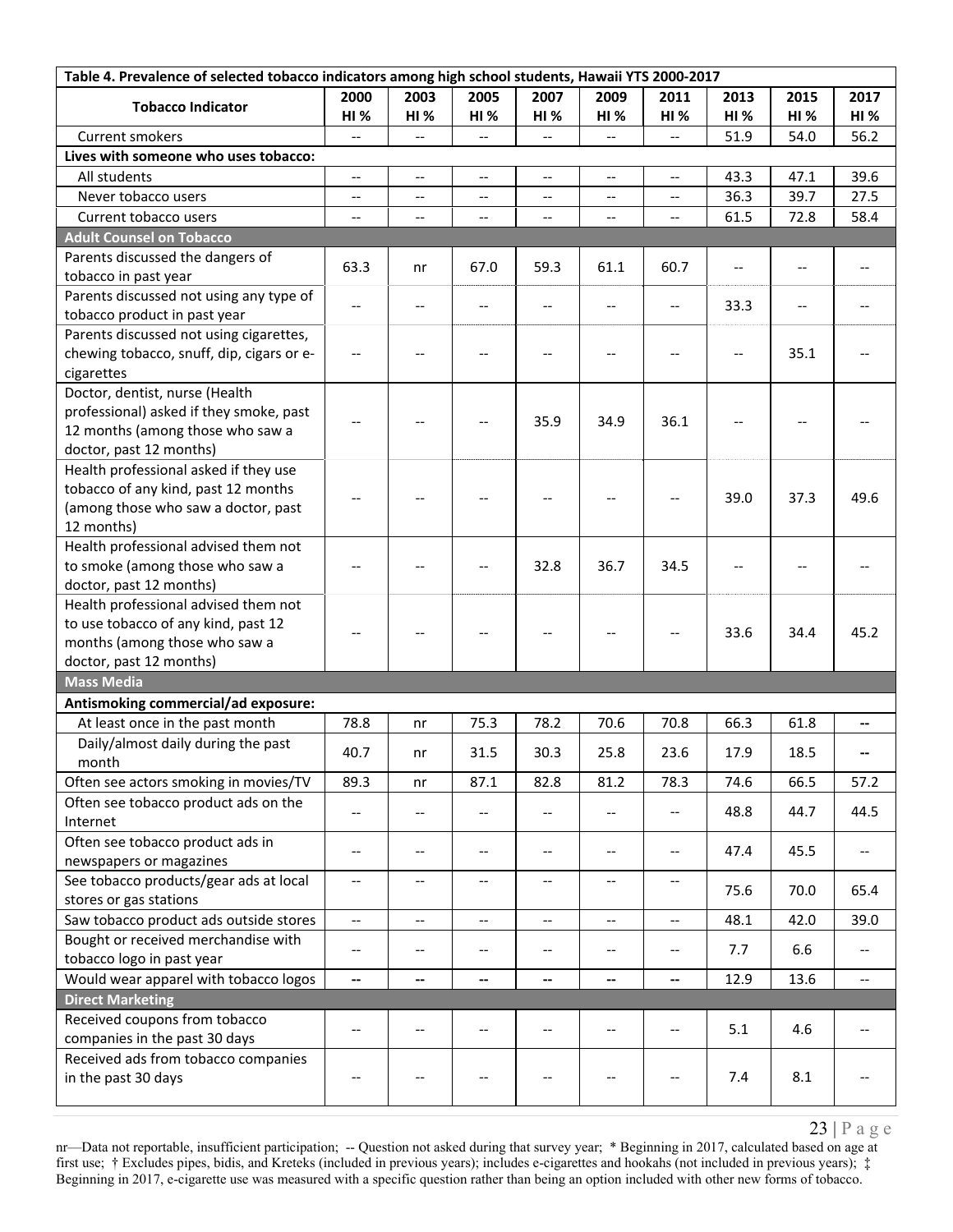| 2000<br>2003<br>2005<br>2007<br>2009<br>2011<br>2013<br>2015<br>2017<br><b>Tobacco Indicator</b><br><b>HI %</b><br><b>HI %</b><br><b>HI%</b><br>HI%<br><b>HI %</b><br>HI%<br>HI%<br><b>HI%</b><br><b>HI</b> %<br>56.2<br>Current smokers<br>51.9<br>54.0<br>$\overline{a}$<br>$\overline{a}$<br>$-$<br>Lives with someone who uses tobacco:<br>43.3<br>47.1<br>39.6<br>All students<br>$\overline{\phantom{a}}$<br>$\qquad \qquad -$<br>$\overline{\phantom{a}}$<br>$-\, -$<br>$\overline{\phantom{a}}$<br>--<br>Never tobacco users<br>39.7<br>36.3<br>27.5<br>--<br>--<br>$-$<br>$-$<br>$-$<br>Current tobacco users<br>61.5<br>72.8<br>58.4<br>--<br>$\hspace{0.05cm}$ – $\hspace{0.05cm}$<br>$\hspace{0.05cm}$ – $\hspace{0.05cm}$<br>--<br>$\qquad \qquad -$<br>--<br><b>Adult Counsel on Tobacco</b><br>Parents discussed the dangers of<br>63.3<br>67.0<br>59.3<br>61.1<br>60.7<br>nr<br>tobacco in past year<br>Parents discussed not using any type of<br>33.3<br>$-$<br>$\qquad \qquad -$<br>$-$<br>$-$<br>$-$<br>tobacco product in past year<br>Parents discussed not using cigarettes,<br>35.1<br>chewing tobacco, snuff, dip, cigars or e-<br>$-$<br>$-$<br>cigarettes<br>Doctor, dentist, nurse (Health<br>professional) asked if they smoke, past<br>35.9<br>34.9<br>36.1<br>12 months (among those who saw a<br>doctor, past 12 months)<br>Health professional asked if they use<br>tobacco of any kind, past 12 months<br>37.3<br>49.6<br>39.0<br>--<br>(among those who saw a doctor, past<br>12 months)<br>Health professional advised them not<br>to smoke (among those who saw a<br>32.8<br>36.7<br>34.5<br>doctor, past 12 months)<br>Health professional advised them not<br>to use tobacco of any kind, past 12<br>33.6<br>34.4<br>45.2<br>months (among those who saw a<br>doctor, past 12 months)<br><b>Mass Media</b><br>Antismoking commercial/ad exposure:<br>At least once in the past month<br>78.8<br>75.3<br>78.2<br>70.6<br>70.8<br>66.3<br>61.8<br>nr<br>--<br>Daily/almost daily during the past<br>40.7<br>18.5<br>31.5<br>30.3<br>25.8<br>23.6<br>17.9<br>nr<br>--<br>month<br>66.5<br>57.2<br>Often see actors smoking in movies/TV<br>89.3<br>87.1<br>82.8<br>81.2<br>78.3<br>74.6<br>nr<br>Often see tobacco product ads on the<br>44.5<br>48.8<br>44.7<br>--<br>$-$<br>--<br>--<br>Internet<br>Often see tobacco product ads in<br>47.4<br>45.5<br>$\qquad \qquad -$<br>$\overline{\phantom{m}}$<br>$-$<br>$-$<br>$\overline{\phantom{a}}$<br>$-$<br>--<br>newspapers or magazines<br>See tobacco products/gear ads at local<br>$\hspace{0.05cm} \ldots$<br>$\hspace{0.05cm}$ – $\hspace{0.05cm}$<br>$\qquad \qquad -$<br>$\qquad \qquad -$<br>--<br>$\hspace{0.05cm}$ – $\hspace{0.05cm}$<br>75.6<br>70.0<br>65.4<br>stores or gas stations<br>Saw tobacco product ads outside stores<br>39.0<br>48.1<br>42.0<br>$\overline{\phantom{a}}$<br>$\overline{\phantom{m}}$<br>$\overline{\phantom{a}}$<br>$\overline{\phantom{a}}$<br>$\overline{\phantom{a}}$<br>$\overline{\phantom{a}}$<br>Bought or received merchandise with<br>6.6<br>7.7<br>$-$<br>$\qquad \qquad -$<br>$-\, -$<br>$\hspace{0.05cm}$ – $\hspace{0.05cm}$<br>--<br>--<br>tobacco logo in past year<br>Would wear apparel with tobacco logos<br>13.6<br>12.9<br>$\overline{\phantom{a}}$<br>$\overline{\phantom{a}}$<br>--<br>--<br>--<br>--<br>--<br><b>Direct Marketing</b><br>Received coupons from tobacco<br>4.6<br>5.1<br>--<br>$-$<br>$\overline{\phantom{a}}$<br>companies in the past 30 days<br>Received ads from tobacco companies<br>in the past 30 days<br>8.1<br>7.4<br>--<br>--<br>-- | Table 4. Prevalence of selected tobacco indicators among high school students, Hawaii YTS 2000-2017 |  |  |  |  |  |  |  |  |
|------------------------------------------------------------------------------------------------------------------------------------------------------------------------------------------------------------------------------------------------------------------------------------------------------------------------------------------------------------------------------------------------------------------------------------------------------------------------------------------------------------------------------------------------------------------------------------------------------------------------------------------------------------------------------------------------------------------------------------------------------------------------------------------------------------------------------------------------------------------------------------------------------------------------------------------------------------------------------------------------------------------------------------------------------------------------------------------------------------------------------------------------------------------------------------------------------------------------------------------------------------------------------------------------------------------------------------------------------------------------------------------------------------------------------------------------------------------------------------------------------------------------------------------------------------------------------------------------------------------------------------------------------------------------------------------------------------------------------------------------------------------------------------------------------------------------------------------------------------------------------------------------------------------------------------------------------------------------------------------------------------------------------------------------------------------------------------------------------------------------------------------------------------------------------------------------------------------------------------------------------------------------------------------------------------------------------------------------------------------------------------------------------------------------------------------------------------------------------------------------------------------------------------------------------------------------------------------------------------------------------------------------------------------------------------------------------------------------------------------------------------------------------------------------------------------------------------------------------------------------------------------------------------------------------------------------------------------------------------------------------------------------------------------------------------------------------------------------------------------------------------------------------------------------------------------------------------------------------------------------------------------------------------------------------------------------------------------------------------------------------------------------------------------------------------------------------------------------------------------------------------------------------------------------------------------------------------------------------------------|-----------------------------------------------------------------------------------------------------|--|--|--|--|--|--|--|--|
|                                                                                                                                                                                                                                                                                                                                                                                                                                                                                                                                                                                                                                                                                                                                                                                                                                                                                                                                                                                                                                                                                                                                                                                                                                                                                                                                                                                                                                                                                                                                                                                                                                                                                                                                                                                                                                                                                                                                                                                                                                                                                                                                                                                                                                                                                                                                                                                                                                                                                                                                                                                                                                                                                                                                                                                                                                                                                                                                                                                                                                                                                                                                                                                                                                                                                                                                                                                                                                                                                                                                                                                                                  |                                                                                                     |  |  |  |  |  |  |  |  |
|                                                                                                                                                                                                                                                                                                                                                                                                                                                                                                                                                                                                                                                                                                                                                                                                                                                                                                                                                                                                                                                                                                                                                                                                                                                                                                                                                                                                                                                                                                                                                                                                                                                                                                                                                                                                                                                                                                                                                                                                                                                                                                                                                                                                                                                                                                                                                                                                                                                                                                                                                                                                                                                                                                                                                                                                                                                                                                                                                                                                                                                                                                                                                                                                                                                                                                                                                                                                                                                                                                                                                                                                                  |                                                                                                     |  |  |  |  |  |  |  |  |
|                                                                                                                                                                                                                                                                                                                                                                                                                                                                                                                                                                                                                                                                                                                                                                                                                                                                                                                                                                                                                                                                                                                                                                                                                                                                                                                                                                                                                                                                                                                                                                                                                                                                                                                                                                                                                                                                                                                                                                                                                                                                                                                                                                                                                                                                                                                                                                                                                                                                                                                                                                                                                                                                                                                                                                                                                                                                                                                                                                                                                                                                                                                                                                                                                                                                                                                                                                                                                                                                                                                                                                                                                  |                                                                                                     |  |  |  |  |  |  |  |  |
|                                                                                                                                                                                                                                                                                                                                                                                                                                                                                                                                                                                                                                                                                                                                                                                                                                                                                                                                                                                                                                                                                                                                                                                                                                                                                                                                                                                                                                                                                                                                                                                                                                                                                                                                                                                                                                                                                                                                                                                                                                                                                                                                                                                                                                                                                                                                                                                                                                                                                                                                                                                                                                                                                                                                                                                                                                                                                                                                                                                                                                                                                                                                                                                                                                                                                                                                                                                                                                                                                                                                                                                                                  |                                                                                                     |  |  |  |  |  |  |  |  |
|                                                                                                                                                                                                                                                                                                                                                                                                                                                                                                                                                                                                                                                                                                                                                                                                                                                                                                                                                                                                                                                                                                                                                                                                                                                                                                                                                                                                                                                                                                                                                                                                                                                                                                                                                                                                                                                                                                                                                                                                                                                                                                                                                                                                                                                                                                                                                                                                                                                                                                                                                                                                                                                                                                                                                                                                                                                                                                                                                                                                                                                                                                                                                                                                                                                                                                                                                                                                                                                                                                                                                                                                                  |                                                                                                     |  |  |  |  |  |  |  |  |
|                                                                                                                                                                                                                                                                                                                                                                                                                                                                                                                                                                                                                                                                                                                                                                                                                                                                                                                                                                                                                                                                                                                                                                                                                                                                                                                                                                                                                                                                                                                                                                                                                                                                                                                                                                                                                                                                                                                                                                                                                                                                                                                                                                                                                                                                                                                                                                                                                                                                                                                                                                                                                                                                                                                                                                                                                                                                                                                                                                                                                                                                                                                                                                                                                                                                                                                                                                                                                                                                                                                                                                                                                  |                                                                                                     |  |  |  |  |  |  |  |  |
|                                                                                                                                                                                                                                                                                                                                                                                                                                                                                                                                                                                                                                                                                                                                                                                                                                                                                                                                                                                                                                                                                                                                                                                                                                                                                                                                                                                                                                                                                                                                                                                                                                                                                                                                                                                                                                                                                                                                                                                                                                                                                                                                                                                                                                                                                                                                                                                                                                                                                                                                                                                                                                                                                                                                                                                                                                                                                                                                                                                                                                                                                                                                                                                                                                                                                                                                                                                                                                                                                                                                                                                                                  |                                                                                                     |  |  |  |  |  |  |  |  |
|                                                                                                                                                                                                                                                                                                                                                                                                                                                                                                                                                                                                                                                                                                                                                                                                                                                                                                                                                                                                                                                                                                                                                                                                                                                                                                                                                                                                                                                                                                                                                                                                                                                                                                                                                                                                                                                                                                                                                                                                                                                                                                                                                                                                                                                                                                                                                                                                                                                                                                                                                                                                                                                                                                                                                                                                                                                                                                                                                                                                                                                                                                                                                                                                                                                                                                                                                                                                                                                                                                                                                                                                                  |                                                                                                     |  |  |  |  |  |  |  |  |
|                                                                                                                                                                                                                                                                                                                                                                                                                                                                                                                                                                                                                                                                                                                                                                                                                                                                                                                                                                                                                                                                                                                                                                                                                                                                                                                                                                                                                                                                                                                                                                                                                                                                                                                                                                                                                                                                                                                                                                                                                                                                                                                                                                                                                                                                                                                                                                                                                                                                                                                                                                                                                                                                                                                                                                                                                                                                                                                                                                                                                                                                                                                                                                                                                                                                                                                                                                                                                                                                                                                                                                                                                  |                                                                                                     |  |  |  |  |  |  |  |  |
|                                                                                                                                                                                                                                                                                                                                                                                                                                                                                                                                                                                                                                                                                                                                                                                                                                                                                                                                                                                                                                                                                                                                                                                                                                                                                                                                                                                                                                                                                                                                                                                                                                                                                                                                                                                                                                                                                                                                                                                                                                                                                                                                                                                                                                                                                                                                                                                                                                                                                                                                                                                                                                                                                                                                                                                                                                                                                                                                                                                                                                                                                                                                                                                                                                                                                                                                                                                                                                                                                                                                                                                                                  |                                                                                                     |  |  |  |  |  |  |  |  |
|                                                                                                                                                                                                                                                                                                                                                                                                                                                                                                                                                                                                                                                                                                                                                                                                                                                                                                                                                                                                                                                                                                                                                                                                                                                                                                                                                                                                                                                                                                                                                                                                                                                                                                                                                                                                                                                                                                                                                                                                                                                                                                                                                                                                                                                                                                                                                                                                                                                                                                                                                                                                                                                                                                                                                                                                                                                                                                                                                                                                                                                                                                                                                                                                                                                                                                                                                                                                                                                                                                                                                                                                                  |                                                                                                     |  |  |  |  |  |  |  |  |
|                                                                                                                                                                                                                                                                                                                                                                                                                                                                                                                                                                                                                                                                                                                                                                                                                                                                                                                                                                                                                                                                                                                                                                                                                                                                                                                                                                                                                                                                                                                                                                                                                                                                                                                                                                                                                                                                                                                                                                                                                                                                                                                                                                                                                                                                                                                                                                                                                                                                                                                                                                                                                                                                                                                                                                                                                                                                                                                                                                                                                                                                                                                                                                                                                                                                                                                                                                                                                                                                                                                                                                                                                  |                                                                                                     |  |  |  |  |  |  |  |  |
|                                                                                                                                                                                                                                                                                                                                                                                                                                                                                                                                                                                                                                                                                                                                                                                                                                                                                                                                                                                                                                                                                                                                                                                                                                                                                                                                                                                                                                                                                                                                                                                                                                                                                                                                                                                                                                                                                                                                                                                                                                                                                                                                                                                                                                                                                                                                                                                                                                                                                                                                                                                                                                                                                                                                                                                                                                                                                                                                                                                                                                                                                                                                                                                                                                                                                                                                                                                                                                                                                                                                                                                                                  |                                                                                                     |  |  |  |  |  |  |  |  |
|                                                                                                                                                                                                                                                                                                                                                                                                                                                                                                                                                                                                                                                                                                                                                                                                                                                                                                                                                                                                                                                                                                                                                                                                                                                                                                                                                                                                                                                                                                                                                                                                                                                                                                                                                                                                                                                                                                                                                                                                                                                                                                                                                                                                                                                                                                                                                                                                                                                                                                                                                                                                                                                                                                                                                                                                                                                                                                                                                                                                                                                                                                                                                                                                                                                                                                                                                                                                                                                                                                                                                                                                                  |                                                                                                     |  |  |  |  |  |  |  |  |
|                                                                                                                                                                                                                                                                                                                                                                                                                                                                                                                                                                                                                                                                                                                                                                                                                                                                                                                                                                                                                                                                                                                                                                                                                                                                                                                                                                                                                                                                                                                                                                                                                                                                                                                                                                                                                                                                                                                                                                                                                                                                                                                                                                                                                                                                                                                                                                                                                                                                                                                                                                                                                                                                                                                                                                                                                                                                                                                                                                                                                                                                                                                                                                                                                                                                                                                                                                                                                                                                                                                                                                                                                  |                                                                                                     |  |  |  |  |  |  |  |  |
|                                                                                                                                                                                                                                                                                                                                                                                                                                                                                                                                                                                                                                                                                                                                                                                                                                                                                                                                                                                                                                                                                                                                                                                                                                                                                                                                                                                                                                                                                                                                                                                                                                                                                                                                                                                                                                                                                                                                                                                                                                                                                                                                                                                                                                                                                                                                                                                                                                                                                                                                                                                                                                                                                                                                                                                                                                                                                                                                                                                                                                                                                                                                                                                                                                                                                                                                                                                                                                                                                                                                                                                                                  |                                                                                                     |  |  |  |  |  |  |  |  |
|                                                                                                                                                                                                                                                                                                                                                                                                                                                                                                                                                                                                                                                                                                                                                                                                                                                                                                                                                                                                                                                                                                                                                                                                                                                                                                                                                                                                                                                                                                                                                                                                                                                                                                                                                                                                                                                                                                                                                                                                                                                                                                                                                                                                                                                                                                                                                                                                                                                                                                                                                                                                                                                                                                                                                                                                                                                                                                                                                                                                                                                                                                                                                                                                                                                                                                                                                                                                                                                                                                                                                                                                                  |                                                                                                     |  |  |  |  |  |  |  |  |
|                                                                                                                                                                                                                                                                                                                                                                                                                                                                                                                                                                                                                                                                                                                                                                                                                                                                                                                                                                                                                                                                                                                                                                                                                                                                                                                                                                                                                                                                                                                                                                                                                                                                                                                                                                                                                                                                                                                                                                                                                                                                                                                                                                                                                                                                                                                                                                                                                                                                                                                                                                                                                                                                                                                                                                                                                                                                                                                                                                                                                                                                                                                                                                                                                                                                                                                                                                                                                                                                                                                                                                                                                  |                                                                                                     |  |  |  |  |  |  |  |  |
|                                                                                                                                                                                                                                                                                                                                                                                                                                                                                                                                                                                                                                                                                                                                                                                                                                                                                                                                                                                                                                                                                                                                                                                                                                                                                                                                                                                                                                                                                                                                                                                                                                                                                                                                                                                                                                                                                                                                                                                                                                                                                                                                                                                                                                                                                                                                                                                                                                                                                                                                                                                                                                                                                                                                                                                                                                                                                                                                                                                                                                                                                                                                                                                                                                                                                                                                                                                                                                                                                                                                                                                                                  |                                                                                                     |  |  |  |  |  |  |  |  |
|                                                                                                                                                                                                                                                                                                                                                                                                                                                                                                                                                                                                                                                                                                                                                                                                                                                                                                                                                                                                                                                                                                                                                                                                                                                                                                                                                                                                                                                                                                                                                                                                                                                                                                                                                                                                                                                                                                                                                                                                                                                                                                                                                                                                                                                                                                                                                                                                                                                                                                                                                                                                                                                                                                                                                                                                                                                                                                                                                                                                                                                                                                                                                                                                                                                                                                                                                                                                                                                                                                                                                                                                                  |                                                                                                     |  |  |  |  |  |  |  |  |
|                                                                                                                                                                                                                                                                                                                                                                                                                                                                                                                                                                                                                                                                                                                                                                                                                                                                                                                                                                                                                                                                                                                                                                                                                                                                                                                                                                                                                                                                                                                                                                                                                                                                                                                                                                                                                                                                                                                                                                                                                                                                                                                                                                                                                                                                                                                                                                                                                                                                                                                                                                                                                                                                                                                                                                                                                                                                                                                                                                                                                                                                                                                                                                                                                                                                                                                                                                                                                                                                                                                                                                                                                  |                                                                                                     |  |  |  |  |  |  |  |  |
|                                                                                                                                                                                                                                                                                                                                                                                                                                                                                                                                                                                                                                                                                                                                                                                                                                                                                                                                                                                                                                                                                                                                                                                                                                                                                                                                                                                                                                                                                                                                                                                                                                                                                                                                                                                                                                                                                                                                                                                                                                                                                                                                                                                                                                                                                                                                                                                                                                                                                                                                                                                                                                                                                                                                                                                                                                                                                                                                                                                                                                                                                                                                                                                                                                                                                                                                                                                                                                                                                                                                                                                                                  |                                                                                                     |  |  |  |  |  |  |  |  |
|                                                                                                                                                                                                                                                                                                                                                                                                                                                                                                                                                                                                                                                                                                                                                                                                                                                                                                                                                                                                                                                                                                                                                                                                                                                                                                                                                                                                                                                                                                                                                                                                                                                                                                                                                                                                                                                                                                                                                                                                                                                                                                                                                                                                                                                                                                                                                                                                                                                                                                                                                                                                                                                                                                                                                                                                                                                                                                                                                                                                                                                                                                                                                                                                                                                                                                                                                                                                                                                                                                                                                                                                                  |                                                                                                     |  |  |  |  |  |  |  |  |
|                                                                                                                                                                                                                                                                                                                                                                                                                                                                                                                                                                                                                                                                                                                                                                                                                                                                                                                                                                                                                                                                                                                                                                                                                                                                                                                                                                                                                                                                                                                                                                                                                                                                                                                                                                                                                                                                                                                                                                                                                                                                                                                                                                                                                                                                                                                                                                                                                                                                                                                                                                                                                                                                                                                                                                                                                                                                                                                                                                                                                                                                                                                                                                                                                                                                                                                                                                                                                                                                                                                                                                                                                  |                                                                                                     |  |  |  |  |  |  |  |  |
|                                                                                                                                                                                                                                                                                                                                                                                                                                                                                                                                                                                                                                                                                                                                                                                                                                                                                                                                                                                                                                                                                                                                                                                                                                                                                                                                                                                                                                                                                                                                                                                                                                                                                                                                                                                                                                                                                                                                                                                                                                                                                                                                                                                                                                                                                                                                                                                                                                                                                                                                                                                                                                                                                                                                                                                                                                                                                                                                                                                                                                                                                                                                                                                                                                                                                                                                                                                                                                                                                                                                                                                                                  |                                                                                                     |  |  |  |  |  |  |  |  |
|                                                                                                                                                                                                                                                                                                                                                                                                                                                                                                                                                                                                                                                                                                                                                                                                                                                                                                                                                                                                                                                                                                                                                                                                                                                                                                                                                                                                                                                                                                                                                                                                                                                                                                                                                                                                                                                                                                                                                                                                                                                                                                                                                                                                                                                                                                                                                                                                                                                                                                                                                                                                                                                                                                                                                                                                                                                                                                                                                                                                                                                                                                                                                                                                                                                                                                                                                                                                                                                                                                                                                                                                                  |                                                                                                     |  |  |  |  |  |  |  |  |
|                                                                                                                                                                                                                                                                                                                                                                                                                                                                                                                                                                                                                                                                                                                                                                                                                                                                                                                                                                                                                                                                                                                                                                                                                                                                                                                                                                                                                                                                                                                                                                                                                                                                                                                                                                                                                                                                                                                                                                                                                                                                                                                                                                                                                                                                                                                                                                                                                                                                                                                                                                                                                                                                                                                                                                                                                                                                                                                                                                                                                                                                                                                                                                                                                                                                                                                                                                                                                                                                                                                                                                                                                  |                                                                                                     |  |  |  |  |  |  |  |  |
|                                                                                                                                                                                                                                                                                                                                                                                                                                                                                                                                                                                                                                                                                                                                                                                                                                                                                                                                                                                                                                                                                                                                                                                                                                                                                                                                                                                                                                                                                                                                                                                                                                                                                                                                                                                                                                                                                                                                                                                                                                                                                                                                                                                                                                                                                                                                                                                                                                                                                                                                                                                                                                                                                                                                                                                                                                                                                                                                                                                                                                                                                                                                                                                                                                                                                                                                                                                                                                                                                                                                                                                                                  |                                                                                                     |  |  |  |  |  |  |  |  |
|                                                                                                                                                                                                                                                                                                                                                                                                                                                                                                                                                                                                                                                                                                                                                                                                                                                                                                                                                                                                                                                                                                                                                                                                                                                                                                                                                                                                                                                                                                                                                                                                                                                                                                                                                                                                                                                                                                                                                                                                                                                                                                                                                                                                                                                                                                                                                                                                                                                                                                                                                                                                                                                                                                                                                                                                                                                                                                                                                                                                                                                                                                                                                                                                                                                                                                                                                                                                                                                                                                                                                                                                                  |                                                                                                     |  |  |  |  |  |  |  |  |
|                                                                                                                                                                                                                                                                                                                                                                                                                                                                                                                                                                                                                                                                                                                                                                                                                                                                                                                                                                                                                                                                                                                                                                                                                                                                                                                                                                                                                                                                                                                                                                                                                                                                                                                                                                                                                                                                                                                                                                                                                                                                                                                                                                                                                                                                                                                                                                                                                                                                                                                                                                                                                                                                                                                                                                                                                                                                                                                                                                                                                                                                                                                                                                                                                                                                                                                                                                                                                                                                                                                                                                                                                  |                                                                                                     |  |  |  |  |  |  |  |  |
|                                                                                                                                                                                                                                                                                                                                                                                                                                                                                                                                                                                                                                                                                                                                                                                                                                                                                                                                                                                                                                                                                                                                                                                                                                                                                                                                                                                                                                                                                                                                                                                                                                                                                                                                                                                                                                                                                                                                                                                                                                                                                                                                                                                                                                                                                                                                                                                                                                                                                                                                                                                                                                                                                                                                                                                                                                                                                                                                                                                                                                                                                                                                                                                                                                                                                                                                                                                                                                                                                                                                                                                                                  |                                                                                                     |  |  |  |  |  |  |  |  |
|                                                                                                                                                                                                                                                                                                                                                                                                                                                                                                                                                                                                                                                                                                                                                                                                                                                                                                                                                                                                                                                                                                                                                                                                                                                                                                                                                                                                                                                                                                                                                                                                                                                                                                                                                                                                                                                                                                                                                                                                                                                                                                                                                                                                                                                                                                                                                                                                                                                                                                                                                                                                                                                                                                                                                                                                                                                                                                                                                                                                                                                                                                                                                                                                                                                                                                                                                                                                                                                                                                                                                                                                                  |                                                                                                     |  |  |  |  |  |  |  |  |
|                                                                                                                                                                                                                                                                                                                                                                                                                                                                                                                                                                                                                                                                                                                                                                                                                                                                                                                                                                                                                                                                                                                                                                                                                                                                                                                                                                                                                                                                                                                                                                                                                                                                                                                                                                                                                                                                                                                                                                                                                                                                                                                                                                                                                                                                                                                                                                                                                                                                                                                                                                                                                                                                                                                                                                                                                                                                                                                                                                                                                                                                                                                                                                                                                                                                                                                                                                                                                                                                                                                                                                                                                  |                                                                                                     |  |  |  |  |  |  |  |  |
|                                                                                                                                                                                                                                                                                                                                                                                                                                                                                                                                                                                                                                                                                                                                                                                                                                                                                                                                                                                                                                                                                                                                                                                                                                                                                                                                                                                                                                                                                                                                                                                                                                                                                                                                                                                                                                                                                                                                                                                                                                                                                                                                                                                                                                                                                                                                                                                                                                                                                                                                                                                                                                                                                                                                                                                                                                                                                                                                                                                                                                                                                                                                                                                                                                                                                                                                                                                                                                                                                                                                                                                                                  |                                                                                                     |  |  |  |  |  |  |  |  |
|                                                                                                                                                                                                                                                                                                                                                                                                                                                                                                                                                                                                                                                                                                                                                                                                                                                                                                                                                                                                                                                                                                                                                                                                                                                                                                                                                                                                                                                                                                                                                                                                                                                                                                                                                                                                                                                                                                                                                                                                                                                                                                                                                                                                                                                                                                                                                                                                                                                                                                                                                                                                                                                                                                                                                                                                                                                                                                                                                                                                                                                                                                                                                                                                                                                                                                                                                                                                                                                                                                                                                                                                                  |                                                                                                     |  |  |  |  |  |  |  |  |
|                                                                                                                                                                                                                                                                                                                                                                                                                                                                                                                                                                                                                                                                                                                                                                                                                                                                                                                                                                                                                                                                                                                                                                                                                                                                                                                                                                                                                                                                                                                                                                                                                                                                                                                                                                                                                                                                                                                                                                                                                                                                                                                                                                                                                                                                                                                                                                                                                                                                                                                                                                                                                                                                                                                                                                                                                                                                                                                                                                                                                                                                                                                                                                                                                                                                                                                                                                                                                                                                                                                                                                                                                  |                                                                                                     |  |  |  |  |  |  |  |  |
|                                                                                                                                                                                                                                                                                                                                                                                                                                                                                                                                                                                                                                                                                                                                                                                                                                                                                                                                                                                                                                                                                                                                                                                                                                                                                                                                                                                                                                                                                                                                                                                                                                                                                                                                                                                                                                                                                                                                                                                                                                                                                                                                                                                                                                                                                                                                                                                                                                                                                                                                                                                                                                                                                                                                                                                                                                                                                                                                                                                                                                                                                                                                                                                                                                                                                                                                                                                                                                                                                                                                                                                                                  |                                                                                                     |  |  |  |  |  |  |  |  |
|                                                                                                                                                                                                                                                                                                                                                                                                                                                                                                                                                                                                                                                                                                                                                                                                                                                                                                                                                                                                                                                                                                                                                                                                                                                                                                                                                                                                                                                                                                                                                                                                                                                                                                                                                                                                                                                                                                                                                                                                                                                                                                                                                                                                                                                                                                                                                                                                                                                                                                                                                                                                                                                                                                                                                                                                                                                                                                                                                                                                                                                                                                                                                                                                                                                                                                                                                                                                                                                                                                                                                                                                                  |                                                                                                     |  |  |  |  |  |  |  |  |
|                                                                                                                                                                                                                                                                                                                                                                                                                                                                                                                                                                                                                                                                                                                                                                                                                                                                                                                                                                                                                                                                                                                                                                                                                                                                                                                                                                                                                                                                                                                                                                                                                                                                                                                                                                                                                                                                                                                                                                                                                                                                                                                                                                                                                                                                                                                                                                                                                                                                                                                                                                                                                                                                                                                                                                                                                                                                                                                                                                                                                                                                                                                                                                                                                                                                                                                                                                                                                                                                                                                                                                                                                  |                                                                                                     |  |  |  |  |  |  |  |  |
|                                                                                                                                                                                                                                                                                                                                                                                                                                                                                                                                                                                                                                                                                                                                                                                                                                                                                                                                                                                                                                                                                                                                                                                                                                                                                                                                                                                                                                                                                                                                                                                                                                                                                                                                                                                                                                                                                                                                                                                                                                                                                                                                                                                                                                                                                                                                                                                                                                                                                                                                                                                                                                                                                                                                                                                                                                                                                                                                                                                                                                                                                                                                                                                                                                                                                                                                                                                                                                                                                                                                                                                                                  |                                                                                                     |  |  |  |  |  |  |  |  |
|                                                                                                                                                                                                                                                                                                                                                                                                                                                                                                                                                                                                                                                                                                                                                                                                                                                                                                                                                                                                                                                                                                                                                                                                                                                                                                                                                                                                                                                                                                                                                                                                                                                                                                                                                                                                                                                                                                                                                                                                                                                                                                                                                                                                                                                                                                                                                                                                                                                                                                                                                                                                                                                                                                                                                                                                                                                                                                                                                                                                                                                                                                                                                                                                                                                                                                                                                                                                                                                                                                                                                                                                                  |                                                                                                     |  |  |  |  |  |  |  |  |
|                                                                                                                                                                                                                                                                                                                                                                                                                                                                                                                                                                                                                                                                                                                                                                                                                                                                                                                                                                                                                                                                                                                                                                                                                                                                                                                                                                                                                                                                                                                                                                                                                                                                                                                                                                                                                                                                                                                                                                                                                                                                                                                                                                                                                                                                                                                                                                                                                                                                                                                                                                                                                                                                                                                                                                                                                                                                                                                                                                                                                                                                                                                                                                                                                                                                                                                                                                                                                                                                                                                                                                                                                  |                                                                                                     |  |  |  |  |  |  |  |  |
|                                                                                                                                                                                                                                                                                                                                                                                                                                                                                                                                                                                                                                                                                                                                                                                                                                                                                                                                                                                                                                                                                                                                                                                                                                                                                                                                                                                                                                                                                                                                                                                                                                                                                                                                                                                                                                                                                                                                                                                                                                                                                                                                                                                                                                                                                                                                                                                                                                                                                                                                                                                                                                                                                                                                                                                                                                                                                                                                                                                                                                                                                                                                                                                                                                                                                                                                                                                                                                                                                                                                                                                                                  |                                                                                                     |  |  |  |  |  |  |  |  |
|                                                                                                                                                                                                                                                                                                                                                                                                                                                                                                                                                                                                                                                                                                                                                                                                                                                                                                                                                                                                                                                                                                                                                                                                                                                                                                                                                                                                                                                                                                                                                                                                                                                                                                                                                                                                                                                                                                                                                                                                                                                                                                                                                                                                                                                                                                                                                                                                                                                                                                                                                                                                                                                                                                                                                                                                                                                                                                                                                                                                                                                                                                                                                                                                                                                                                                                                                                                                                                                                                                                                                                                                                  |                                                                                                     |  |  |  |  |  |  |  |  |
|                                                                                                                                                                                                                                                                                                                                                                                                                                                                                                                                                                                                                                                                                                                                                                                                                                                                                                                                                                                                                                                                                                                                                                                                                                                                                                                                                                                                                                                                                                                                                                                                                                                                                                                                                                                                                                                                                                                                                                                                                                                                                                                                                                                                                                                                                                                                                                                                                                                                                                                                                                                                                                                                                                                                                                                                                                                                                                                                                                                                                                                                                                                                                                                                                                                                                                                                                                                                                                                                                                                                                                                                                  |                                                                                                     |  |  |  |  |  |  |  |  |
|                                                                                                                                                                                                                                                                                                                                                                                                                                                                                                                                                                                                                                                                                                                                                                                                                                                                                                                                                                                                                                                                                                                                                                                                                                                                                                                                                                                                                                                                                                                                                                                                                                                                                                                                                                                                                                                                                                                                                                                                                                                                                                                                                                                                                                                                                                                                                                                                                                                                                                                                                                                                                                                                                                                                                                                                                                                                                                                                                                                                                                                                                                                                                                                                                                                                                                                                                                                                                                                                                                                                                                                                                  |                                                                                                     |  |  |  |  |  |  |  |  |
|                                                                                                                                                                                                                                                                                                                                                                                                                                                                                                                                                                                                                                                                                                                                                                                                                                                                                                                                                                                                                                                                                                                                                                                                                                                                                                                                                                                                                                                                                                                                                                                                                                                                                                                                                                                                                                                                                                                                                                                                                                                                                                                                                                                                                                                                                                                                                                                                                                                                                                                                                                                                                                                                                                                                                                                                                                                                                                                                                                                                                                                                                                                                                                                                                                                                                                                                                                                                                                                                                                                                                                                                                  |                                                                                                     |  |  |  |  |  |  |  |  |
|                                                                                                                                                                                                                                                                                                                                                                                                                                                                                                                                                                                                                                                                                                                                                                                                                                                                                                                                                                                                                                                                                                                                                                                                                                                                                                                                                                                                                                                                                                                                                                                                                                                                                                                                                                                                                                                                                                                                                                                                                                                                                                                                                                                                                                                                                                                                                                                                                                                                                                                                                                                                                                                                                                                                                                                                                                                                                                                                                                                                                                                                                                                                                                                                                                                                                                                                                                                                                                                                                                                                                                                                                  |                                                                                                     |  |  |  |  |  |  |  |  |
|                                                                                                                                                                                                                                                                                                                                                                                                                                                                                                                                                                                                                                                                                                                                                                                                                                                                                                                                                                                                                                                                                                                                                                                                                                                                                                                                                                                                                                                                                                                                                                                                                                                                                                                                                                                                                                                                                                                                                                                                                                                                                                                                                                                                                                                                                                                                                                                                                                                                                                                                                                                                                                                                                                                                                                                                                                                                                                                                                                                                                                                                                                                                                                                                                                                                                                                                                                                                                                                                                                                                                                                                                  |                                                                                                     |  |  |  |  |  |  |  |  |
|                                                                                                                                                                                                                                                                                                                                                                                                                                                                                                                                                                                                                                                                                                                                                                                                                                                                                                                                                                                                                                                                                                                                                                                                                                                                                                                                                                                                                                                                                                                                                                                                                                                                                                                                                                                                                                                                                                                                                                                                                                                                                                                                                                                                                                                                                                                                                                                                                                                                                                                                                                                                                                                                                                                                                                                                                                                                                                                                                                                                                                                                                                                                                                                                                                                                                                                                                                                                                                                                                                                                                                                                                  |                                                                                                     |  |  |  |  |  |  |  |  |
|                                                                                                                                                                                                                                                                                                                                                                                                                                                                                                                                                                                                                                                                                                                                                                                                                                                                                                                                                                                                                                                                                                                                                                                                                                                                                                                                                                                                                                                                                                                                                                                                                                                                                                                                                                                                                                                                                                                                                                                                                                                                                                                                                                                                                                                                                                                                                                                                                                                                                                                                                                                                                                                                                                                                                                                                                                                                                                                                                                                                                                                                                                                                                                                                                                                                                                                                                                                                                                                                                                                                                                                                                  |                                                                                                     |  |  |  |  |  |  |  |  |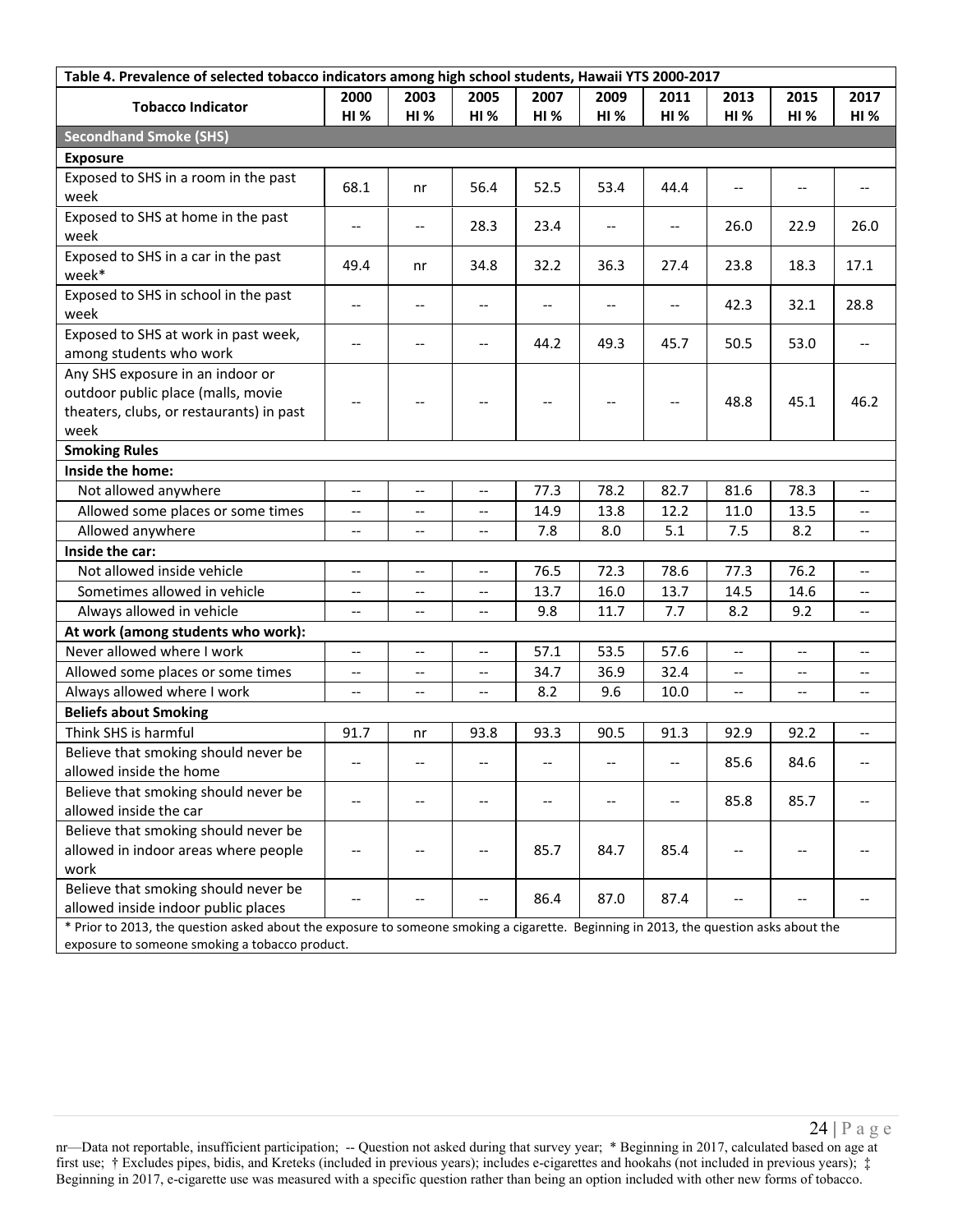| Table 4. Prevalence of selected tobacco indicators among high school students, Hawaii YTS 2000-2017                                   |                          |                          |             |      |                                       |                                       |                          |                          |                          |
|---------------------------------------------------------------------------------------------------------------------------------------|--------------------------|--------------------------|-------------|------|---------------------------------------|---------------------------------------|--------------------------|--------------------------|--------------------------|
| <b>Tobacco Indicator</b>                                                                                                              | 2000                     | 2003                     | 2005        | 2007 | 2009                                  | 2011                                  | 2013                     | 2015                     | 2017                     |
|                                                                                                                                       | HI%                      | <b>HI %</b>              | <b>HI %</b> | HI%  | HI%                                   | <b>HI %</b>                           | HI%                      | <b>HI%</b>               | <b>HI%</b>               |
| <b>Secondhand Smoke (SHS)</b>                                                                                                         |                          |                          |             |      |                                       |                                       |                          |                          |                          |
| <b>Exposure</b>                                                                                                                       |                          |                          |             |      |                                       |                                       |                          |                          |                          |
| Exposed to SHS in a room in the past                                                                                                  | 68.1                     | nr                       | 56.4        | 52.5 | 53.4                                  | 44.4                                  | $-$                      | $-$                      | $\overline{\phantom{a}}$ |
| week                                                                                                                                  |                          |                          |             |      |                                       |                                       |                          |                          |                          |
| Exposed to SHS at home in the past<br>week                                                                                            | $\overline{\phantom{m}}$ | $\qquad \qquad -$        | 28.3        | 23.4 | $\overline{\phantom{m}}$              | $\overline{\phantom{m}}$              | 26.0                     | 22.9                     | 26.0                     |
| Exposed to SHS in a car in the past<br>week*                                                                                          | 49.4                     | nr                       | 34.8        | 32.2 | 36.3                                  | 27.4                                  | 23.8                     | 18.3                     | 17.1                     |
| Exposed to SHS in school in the past<br>week                                                                                          | $\overline{\phantom{m}}$ | --                       |             |      | --                                    | $\hspace{0.05cm}$ – $\hspace{0.05cm}$ | 42.3                     | 32.1                     | 28.8                     |
| Exposed to SHS at work in past week,                                                                                                  |                          |                          |             |      |                                       |                                       |                          |                          |                          |
| among students who work                                                                                                               | $-$                      | $-$                      |             | 44.2 | 49.3                                  | 45.7                                  | 50.5                     | 53.0                     |                          |
| Any SHS exposure in an indoor or                                                                                                      |                          |                          |             |      |                                       |                                       |                          |                          |                          |
| outdoor public place (malls, movie                                                                                                    | $\overline{\phantom{a}}$ | $-$                      |             |      | $\hspace{0.05cm}$ – $\hspace{0.05cm}$ | $\hspace{0.05cm}$ – $\hspace{0.05cm}$ | 48.8                     | 45.1                     | 46.2                     |
| theaters, clubs, or restaurants) in past                                                                                              |                          |                          |             |      |                                       |                                       |                          |                          |                          |
| week                                                                                                                                  |                          |                          |             |      |                                       |                                       |                          |                          |                          |
| <b>Smoking Rules</b>                                                                                                                  |                          |                          |             |      |                                       |                                       |                          |                          |                          |
| Inside the home:                                                                                                                      |                          |                          |             |      |                                       |                                       |                          |                          |                          |
| Not allowed anywhere                                                                                                                  | $\overline{\phantom{a}}$ | $-$                      | --          | 77.3 | 78.2                                  | 82.7                                  | 81.6                     | 78.3                     | --                       |
| Allowed some places or some times                                                                                                     | $\overline{\phantom{m}}$ | $-$                      | --          | 14.9 | 13.8                                  | 12.2                                  | 11.0                     | 13.5                     | --                       |
| Allowed anywhere                                                                                                                      | $\overline{\phantom{a}}$ | --                       | --          | 7.8  | 8.0                                   | 5.1                                   | 7.5                      | 8.2                      | --                       |
| Inside the car:                                                                                                                       |                          |                          |             |      |                                       |                                       |                          |                          |                          |
| Not allowed inside vehicle                                                                                                            | $\overline{\phantom{a}}$ | $\overline{\phantom{a}}$ | --          | 76.5 | 72.3                                  | 78.6                                  | 77.3                     | 76.2                     | $- -$                    |
| Sometimes allowed in vehicle                                                                                                          | $\overline{\phantom{a}}$ | $-$                      | --          | 13.7 | 16.0                                  | 13.7                                  | 14.5                     | 14.6                     | --                       |
| Always allowed in vehicle                                                                                                             | $\overline{\phantom{a}}$ | $\overline{\phantom{a}}$ | --          | 9.8  | 11.7                                  | 7.7                                   | 8.2                      | 9.2                      | $-$                      |
| At work (among students who work):                                                                                                    |                          |                          |             |      |                                       |                                       |                          |                          |                          |
| Never allowed where I work                                                                                                            | $-$                      | $-$                      | $-$         | 57.1 | 53.5                                  | 57.6                                  | $-$                      | $-$                      | $-$                      |
| Allowed some places or some times                                                                                                     | $-\, -$                  | $- -$                    | --          | 34.7 | 36.9                                  | 32.4                                  | $-$                      | $-$                      | --                       |
| Always allowed where I work                                                                                                           | $\overline{\phantom{a}}$ | $\overline{\phantom{a}}$ | --          | 8.2  | 9.6                                   | 10.0                                  | $\overline{\phantom{a}}$ | $\overline{\phantom{m}}$ | $- -$                    |
| <b>Beliefs about Smoking</b>                                                                                                          |                          |                          |             |      |                                       |                                       |                          |                          |                          |
| Think SHS is harmful                                                                                                                  | 91.7                     | nr                       | 93.8        | 93.3 | 90.5                                  | 91.3                                  | 92.9                     | 92.2                     | --                       |
| Believe that smoking should never be<br>allowed inside the home                                                                       |                          |                          |             |      |                                       |                                       | 85.6                     | 84.6                     |                          |
| Believe that smoking should never be                                                                                                  |                          |                          |             |      |                                       |                                       |                          |                          |                          |
| allowed inside the car                                                                                                                |                          |                          |             |      |                                       |                                       | 85.8                     | 85.7                     |                          |
| Believe that smoking should never be                                                                                                  |                          |                          |             |      |                                       |                                       |                          |                          |                          |
| allowed in indoor areas where people                                                                                                  |                          |                          |             | 85.7 | 84.7                                  | 85.4                                  |                          |                          |                          |
| work                                                                                                                                  |                          |                          |             |      |                                       |                                       |                          |                          |                          |
| Believe that smoking should never be                                                                                                  |                          |                          |             |      |                                       |                                       |                          |                          |                          |
| allowed inside indoor public places                                                                                                   |                          |                          |             | 86.4 | 87.0                                  | 87.4                                  |                          |                          |                          |
| * Prior to 2013, the question asked about the exposure to someone smoking a cigarette. Beginning in 2013, the question asks about the |                          |                          |             |      |                                       |                                       |                          |                          |                          |
| exposure to someone smoking a tobacco product.                                                                                        |                          |                          |             |      |                                       |                                       |                          |                          |                          |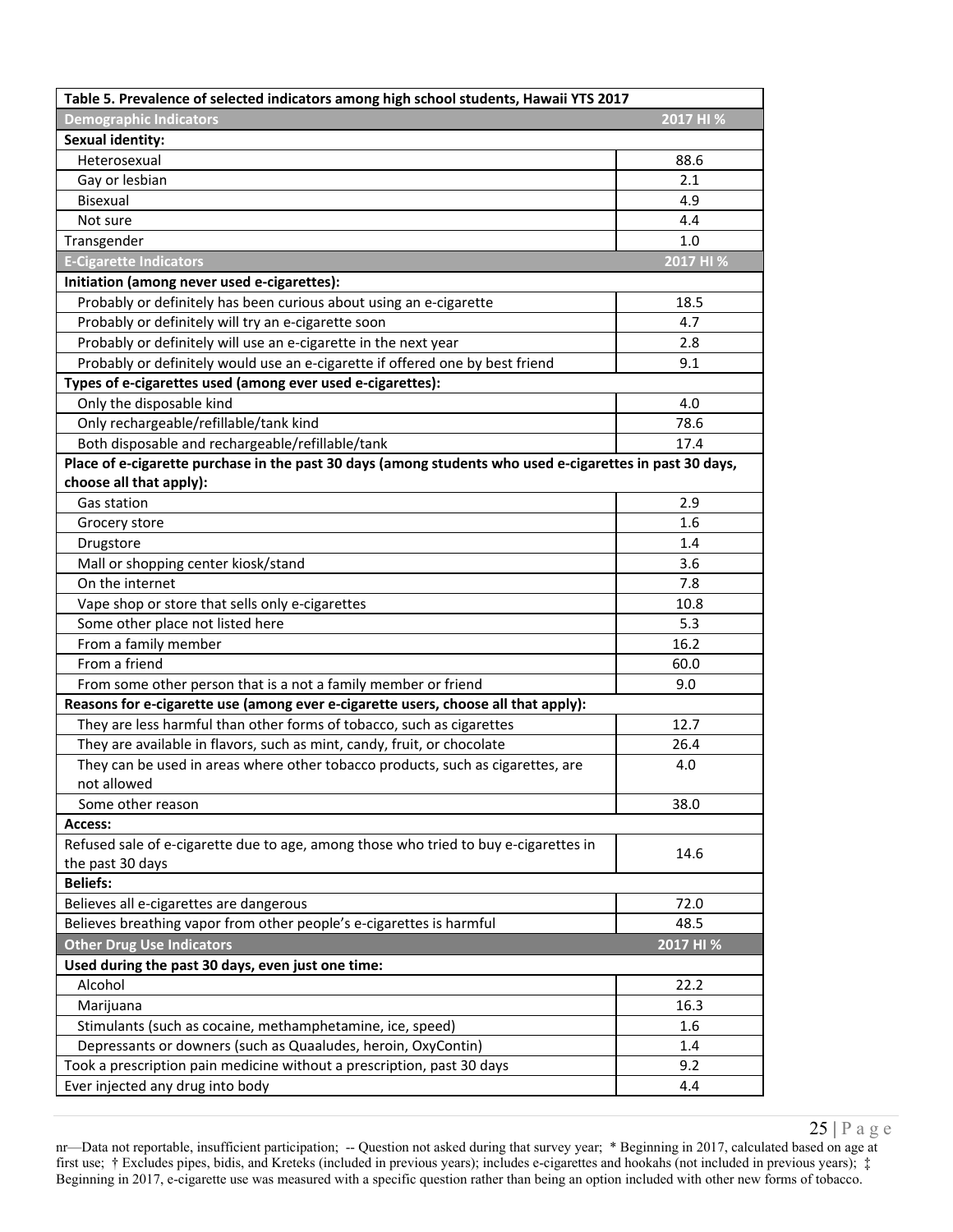| Table 5. Prevalence of selected indicators among high school students, Hawaii YTS 2017                   |           |  |  |  |  |  |
|----------------------------------------------------------------------------------------------------------|-----------|--|--|--|--|--|
| <b>Demographic Indicators</b>                                                                            | 2017 HI % |  |  |  |  |  |
| <b>Sexual identity:</b>                                                                                  |           |  |  |  |  |  |
| Heterosexual                                                                                             | 88.6      |  |  |  |  |  |
| Gay or lesbian                                                                                           | 2.1       |  |  |  |  |  |
| Bisexual                                                                                                 | 4.9       |  |  |  |  |  |
| Not sure                                                                                                 | 4.4       |  |  |  |  |  |
| Transgender                                                                                              | 1.0       |  |  |  |  |  |
| <b>E-Cigarette Indicators</b>                                                                            | 2017 HI % |  |  |  |  |  |
| Initiation (among never used e-cigarettes):                                                              |           |  |  |  |  |  |
| Probably or definitely has been curious about using an e-cigarette                                       | 18.5      |  |  |  |  |  |
| Probably or definitely will try an e-cigarette soon                                                      | 4.7       |  |  |  |  |  |
| Probably or definitely will use an e-cigarette in the next year                                          | 2.8       |  |  |  |  |  |
| Probably or definitely would use an e-cigarette if offered one by best friend                            | 9.1       |  |  |  |  |  |
| Types of e-cigarettes used (among ever used e-cigarettes):                                               |           |  |  |  |  |  |
| Only the disposable kind                                                                                 | 4.0       |  |  |  |  |  |
| Only rechargeable/refillable/tank kind                                                                   | 78.6      |  |  |  |  |  |
| Both disposable and rechargeable/refillable/tank                                                         | 17.4      |  |  |  |  |  |
| Place of e-cigarette purchase in the past 30 days (among students who used e-cigarettes in past 30 days, |           |  |  |  |  |  |
| choose all that apply):                                                                                  |           |  |  |  |  |  |
| Gas station                                                                                              | 2.9       |  |  |  |  |  |
| Grocery store                                                                                            | 1.6       |  |  |  |  |  |
| Drugstore                                                                                                | 1.4       |  |  |  |  |  |
| Mall or shopping center kiosk/stand                                                                      | 3.6       |  |  |  |  |  |
| On the internet                                                                                          | 7.8       |  |  |  |  |  |
| Vape shop or store that sells only e-cigarettes                                                          | 10.8      |  |  |  |  |  |
| Some other place not listed here                                                                         | 5.3       |  |  |  |  |  |
| From a family member                                                                                     | 16.2      |  |  |  |  |  |
| From a friend                                                                                            | 60.0      |  |  |  |  |  |
| From some other person that is a not a family member or friend                                           | 9.0       |  |  |  |  |  |
| Reasons for e-cigarette use (among ever e-cigarette users, choose all that apply):                       |           |  |  |  |  |  |
| They are less harmful than other forms of tobacco, such as cigarettes                                    | 12.7      |  |  |  |  |  |
| They are available in flavors, such as mint, candy, fruit, or chocolate                                  | 26.4      |  |  |  |  |  |
| They can be used in areas where other tobacco products, such as cigarettes, are                          | 4.0       |  |  |  |  |  |
| not allowed                                                                                              |           |  |  |  |  |  |
| Some other reason                                                                                        | 38.0      |  |  |  |  |  |
| Access:                                                                                                  |           |  |  |  |  |  |
| Refused sale of e-cigarette due to age, among those who tried to buy e-cigarettes in                     | 14.6      |  |  |  |  |  |
| the past 30 days<br><b>Beliefs:</b>                                                                      |           |  |  |  |  |  |
| Believes all e-cigarettes are dangerous                                                                  | 72.0      |  |  |  |  |  |
| Believes breathing vapor from other people's e-cigarettes is harmful                                     | 48.5      |  |  |  |  |  |
| <b>Other Drug Use Indicators</b>                                                                         | 2017 HI % |  |  |  |  |  |
| Used during the past 30 days, even just one time:                                                        |           |  |  |  |  |  |
| Alcohol                                                                                                  | 22.2      |  |  |  |  |  |
| Marijuana                                                                                                | 16.3      |  |  |  |  |  |
| Stimulants (such as cocaine, methamphetamine, ice, speed)                                                | 1.6       |  |  |  |  |  |
| Depressants or downers (such as Quaaludes, heroin, OxyContin)                                            | 1.4       |  |  |  |  |  |
| Took a prescription pain medicine without a prescription, past 30 days                                   | 9.2       |  |  |  |  |  |
| Ever injected any drug into body                                                                         | 4.4       |  |  |  |  |  |
|                                                                                                          |           |  |  |  |  |  |